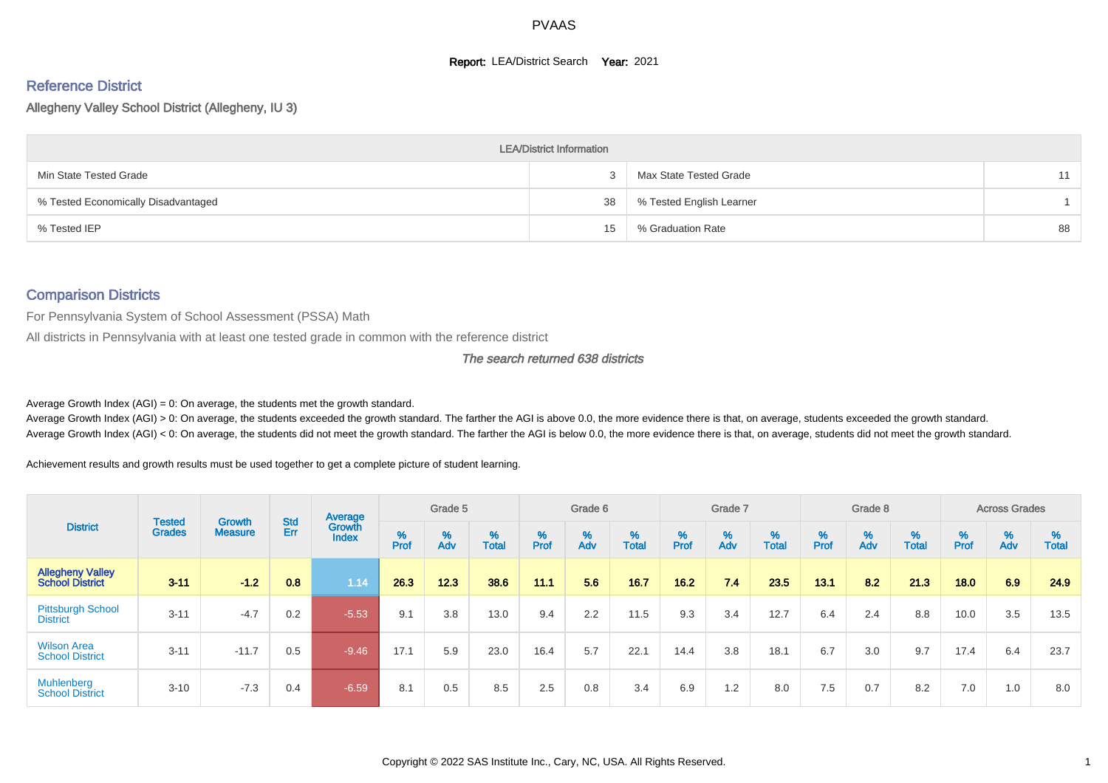#### **Report: LEA/District Search Year: 2021**

# Reference District

Allegheny Valley School District (Allegheny, IU 3)

|                                     | <b>LEA/District Information</b> |                          |    |
|-------------------------------------|---------------------------------|--------------------------|----|
| Min State Tested Grade              |                                 | Max State Tested Grade   | 11 |
| % Tested Economically Disadvantaged | 38                              | % Tested English Learner |    |
| % Tested IEP                        | 15                              | % Graduation Rate        | 88 |

#### Comparison Districts

For Pennsylvania System of School Assessment (PSSA) Math

All districts in Pennsylvania with at least one tested grade in common with the reference district

The search returned 638 districts

Average Growth Index  $(AGI) = 0$ : On average, the students met the growth standard.

Average Growth Index (AGI) > 0: On average, the students exceeded the growth standard. The farther the AGI is above 0.0, the more evidence there is that, on average, students exceeded the growth standard. Average Growth Index (AGI) < 0: On average, the students did not meet the growth standard. The farther the AGI is below 0.0, the more evidence there is that, on average, students did not meet the growth standard.

Achievement results and growth results must be used together to get a complete picture of student learning.

|                                                   |                                |                          |            | Average                |           | Grade 5  |                   |        | Grade 6  |                   |          | Grade 7  |            |           | Grade 8  |                   |        | <b>Across Grades</b> |                   |
|---------------------------------------------------|--------------------------------|--------------------------|------------|------------------------|-----------|----------|-------------------|--------|----------|-------------------|----------|----------|------------|-----------|----------|-------------------|--------|----------------------|-------------------|
| <b>District</b>                                   | <b>Tested</b><br><b>Grades</b> | Growth<br><b>Measure</b> | Std<br>Err | Growth<br><b>Index</b> | %<br>Prof | %<br>Adv | %<br><b>Total</b> | % Pref | %<br>Adv | %<br><b>Total</b> | $%$ Prof | %<br>Adv | %<br>Total | %<br>Prof | %<br>Adv | %<br><b>Total</b> | % Pref | %<br>Adv             | %<br><b>Total</b> |
| <b>Allegheny Valley</b><br><b>School District</b> | $3 - 11$                       | $-1.2$                   | 0.8        | 1.14                   | 26.3      | 12.3     | 38.6              | 11.1   | 5.6      | 16.7              | 16.2     | 7.4      | 23.5       | 13.1      | 8.2      | 21.3              | 18.0   | 6.9                  | 24.9              |
| <b>Pittsburgh School</b><br><b>District</b>       | $3 - 11$                       | $-4.7$                   | 0.2        | $-5.53$                | 9.1       | 3.8      | 13.0              | 9.4    | 2.2      | 11.5              | 9.3      | 3.4      | 12.7       | 6.4       | 2.4      | 8.8               | 10.0   | 3.5                  | 13.5              |
| <b>Wilson Area</b><br><b>School District</b>      | $3 - 11$                       | $-11.7$                  | 0.5        | $-9.46$                | 17.1      | 5.9      | 23.0              | 16.4   | 5.7      | 22.1              | 14.4     | 3.8      | 18.1       | 6.7       | 3.0      | 9.7               | 17.4   | 6.4                  | 23.7              |
| <b>Muhlenberg</b><br><b>School District</b>       | $3 - 10$                       | $-7.3$                   | 0.4        | $-6.59$                | 8.1       | 0.5      | 8.5               | 2.5    | 0.8      | 3.4               | 6.9      | 1.2      | 8.0        | 7.5       | 0.7      | 8.2               | 7.0    | 1.0                  | 8.0               |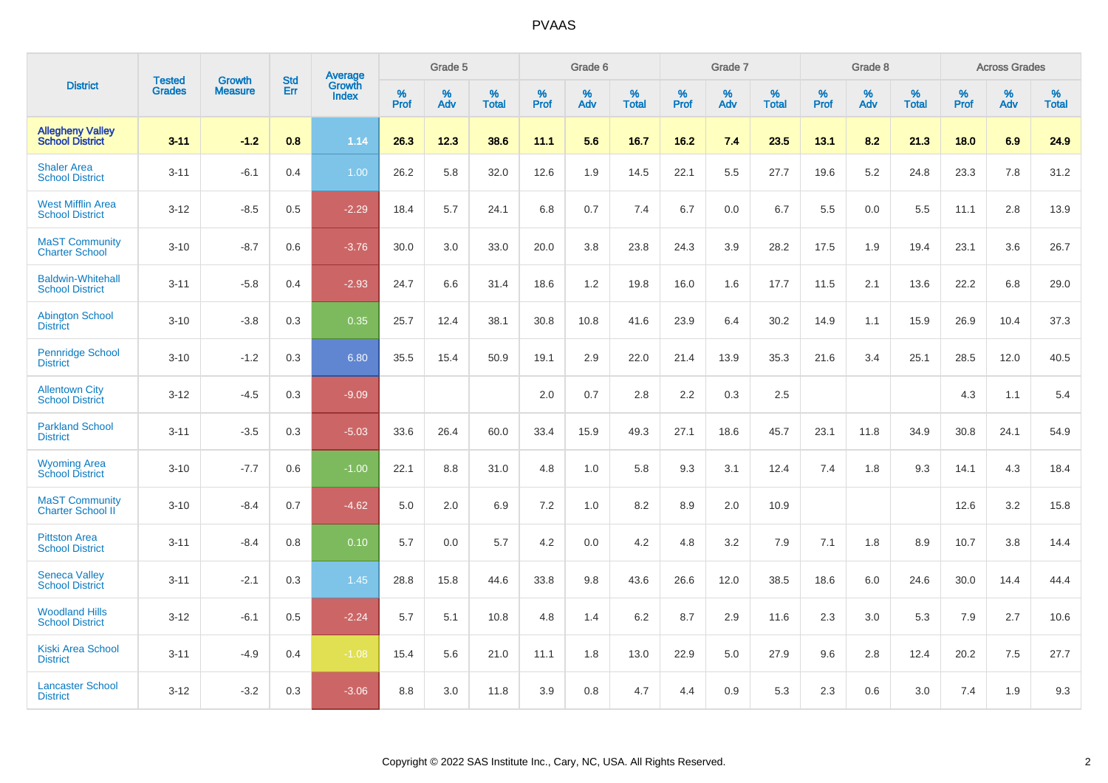|                                                    |                                |                                 | <b>Std</b> | Average                |           | Grade 5  |                   |           | Grade 6  |                   |           | Grade 7  |                   |                  | Grade 8  |                   |           | <b>Across Grades</b> |                   |
|----------------------------------------------------|--------------------------------|---------------------------------|------------|------------------------|-----------|----------|-------------------|-----------|----------|-------------------|-----------|----------|-------------------|------------------|----------|-------------------|-----------|----------------------|-------------------|
| <b>District</b>                                    | <b>Tested</b><br><b>Grades</b> | <b>Growth</b><br><b>Measure</b> | Err        | Growth<br><b>Index</b> | %<br>Prof | %<br>Adv | %<br><b>Total</b> | %<br>Prof | %<br>Adv | %<br><b>Total</b> | %<br>Prof | %<br>Adv | %<br><b>Total</b> | %<br><b>Prof</b> | %<br>Adv | %<br><b>Total</b> | %<br>Prof | %<br>Adv             | %<br><b>Total</b> |
| <b>Allegheny Valley</b><br><b>School District</b>  | $3 - 11$                       | $-1.2$                          | 0.8        | 1.14                   | 26.3      | 12.3     | 38.6              | 11.1      | 5.6      | 16.7              | 16.2      | 7.4      | 23.5              | 13.1             | 8.2      | 21.3              | 18.0      | 6.9                  | 24.9              |
| <b>Shaler Area</b><br><b>School District</b>       | $3 - 11$                       | $-6.1$                          | 0.4        | 1.00                   | 26.2      | 5.8      | 32.0              | 12.6      | 1.9      | 14.5              | 22.1      | 5.5      | 27.7              | 19.6             | 5.2      | 24.8              | 23.3      | 7.8                  | 31.2              |
| <b>West Mifflin Area</b><br><b>School District</b> | $3 - 12$                       | $-8.5$                          | 0.5        | $-2.29$                | 18.4      | 5.7      | 24.1              | 6.8       | 0.7      | 7.4               | 6.7       | 0.0      | 6.7               | 5.5              | 0.0      | 5.5               | 11.1      | 2.8                  | 13.9              |
| <b>MaST Community</b><br><b>Charter School</b>     | $3 - 10$                       | $-8.7$                          | 0.6        | $-3.76$                | 30.0      | 3.0      | 33.0              | 20.0      | 3.8      | 23.8              | 24.3      | 3.9      | 28.2              | 17.5             | 1.9      | 19.4              | 23.1      | 3.6                  | 26.7              |
| <b>Baldwin-Whitehall</b><br><b>School District</b> | $3 - 11$                       | $-5.8$                          | 0.4        | $-2.93$                | 24.7      | 6.6      | 31.4              | 18.6      | 1.2      | 19.8              | 16.0      | 1.6      | 17.7              | 11.5             | 2.1      | 13.6              | 22.2      | 6.8                  | 29.0              |
| <b>Abington School</b><br><b>District</b>          | $3 - 10$                       | $-3.8$                          | 0.3        | 0.35                   | 25.7      | 12.4     | 38.1              | 30.8      | 10.8     | 41.6              | 23.9      | 6.4      | 30.2              | 14.9             | 1.1      | 15.9              | 26.9      | 10.4                 | 37.3              |
| <b>Pennridge School</b><br><b>District</b>         | $3 - 10$                       | $-1.2$                          | 0.3        | 6.80                   | 35.5      | 15.4     | 50.9              | 19.1      | 2.9      | 22.0              | 21.4      | 13.9     | 35.3              | 21.6             | 3.4      | 25.1              | 28.5      | 12.0                 | 40.5              |
| <b>Allentown City</b><br><b>School District</b>    | $3 - 12$                       | $-4.5$                          | 0.3        | $-9.09$                |           |          |                   | 2.0       | 0.7      | 2.8               | 2.2       | 0.3      | 2.5               |                  |          |                   | 4.3       | 1.1                  | 5.4               |
| <b>Parkland School</b><br><b>District</b>          | $3 - 11$                       | $-3.5$                          | 0.3        | $-5.03$                | 33.6      | 26.4     | 60.0              | 33.4      | 15.9     | 49.3              | 27.1      | 18.6     | 45.7              | 23.1             | 11.8     | 34.9              | 30.8      | 24.1                 | 54.9              |
| <b>Wyoming Area</b><br><b>School District</b>      | $3 - 10$                       | $-7.7$                          | 0.6        | $-1.00$                | 22.1      | 8.8      | 31.0              | 4.8       | 1.0      | 5.8               | 9.3       | 3.1      | 12.4              | 7.4              | 1.8      | 9.3               | 14.1      | 4.3                  | 18.4              |
| <b>MaST Community</b><br><b>Charter School II</b>  | $3 - 10$                       | $-8.4$                          | 0.7        | $-4.62$                | 5.0       | 2.0      | 6.9               | 7.2       | 1.0      | 8.2               | 8.9       | 2.0      | 10.9              |                  |          |                   | 12.6      | 3.2                  | 15.8              |
| <b>Pittston Area</b><br><b>School District</b>     | $3 - 11$                       | $-8.4$                          | 0.8        | 0.10                   | 5.7       | 0.0      | 5.7               | 4.2       | 0.0      | 4.2               | 4.8       | 3.2      | 7.9               | 7.1              | 1.8      | 8.9               | 10.7      | 3.8                  | 14.4              |
| <b>Seneca Valley</b><br><b>School District</b>     | $3 - 11$                       | $-2.1$                          | 0.3        | 1.45                   | 28.8      | 15.8     | 44.6              | 33.8      | 9.8      | 43.6              | 26.6      | 12.0     | 38.5              | 18.6             | 6.0      | 24.6              | 30.0      | 14.4                 | 44.4              |
| <b>Woodland Hills</b><br><b>School District</b>    | $3 - 12$                       | $-6.1$                          | 0.5        | $-2.24$                | 5.7       | 5.1      | 10.8              | 4.8       | 1.4      | 6.2               | 8.7       | 2.9      | 11.6              | 2.3              | 3.0      | 5.3               | 7.9       | 2.7                  | 10.6              |
| <b>Kiski Area School</b><br><b>District</b>        | $3 - 11$                       | $-4.9$                          | 0.4        | $-1.08$                | 15.4      | 5.6      | 21.0              | 11.1      | 1.8      | 13.0              | 22.9      | 5.0      | 27.9              | 9.6              | 2.8      | 12.4              | 20.2      | 7.5                  | 27.7              |
| <b>Lancaster School</b><br><b>District</b>         | $3 - 12$                       | $-3.2$                          | 0.3        | $-3.06$                | 8.8       | 3.0      | 11.8              | 3.9       | 0.8      | 4.7               | 4.4       | 0.9      | 5.3               | 2.3              | 0.6      | 3.0               | 7.4       | 1.9                  | 9.3               |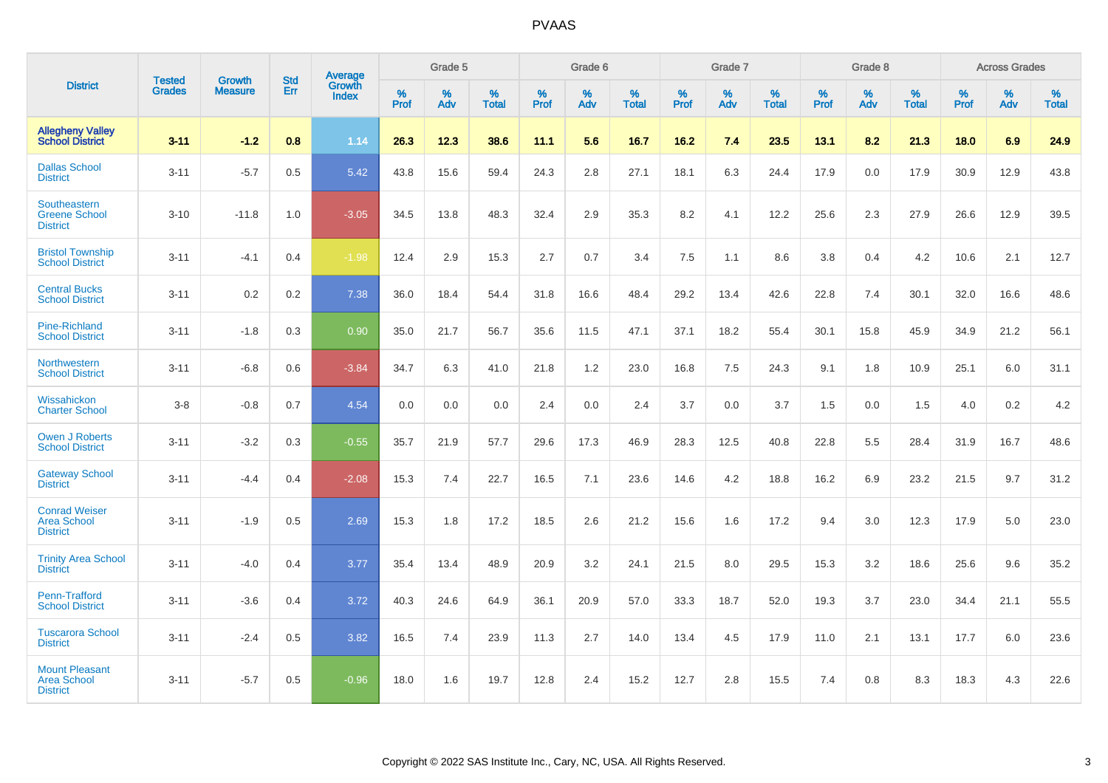|                                                                |                                | <b>Growth</b>  | <b>Std</b> | Average                |           | Grade 5  |                   |           | Grade 6  |                   |           | Grade 7  |                   |           | Grade 8  |                   |           | <b>Across Grades</b> |                   |
|----------------------------------------------------------------|--------------------------------|----------------|------------|------------------------|-----------|----------|-------------------|-----------|----------|-------------------|-----------|----------|-------------------|-----------|----------|-------------------|-----------|----------------------|-------------------|
| <b>District</b>                                                | <b>Tested</b><br><b>Grades</b> | <b>Measure</b> | Err        | Growth<br><b>Index</b> | %<br>Prof | %<br>Adv | %<br><b>Total</b> | %<br>Prof | %<br>Adv | %<br><b>Total</b> | %<br>Prof | %<br>Adv | %<br><b>Total</b> | %<br>Prof | %<br>Adv | %<br><b>Total</b> | %<br>Prof | %<br>Adv             | %<br><b>Total</b> |
| <b>Allegheny Valley</b><br><b>School District</b>              | $3 - 11$                       | $-1.2$         | 0.8        | 1.14                   | 26.3      | 12.3     | 38.6              | 11.1      | 5.6      | 16.7              | 16.2      | 7.4      | 23.5              | 13.1      | 8.2      | 21.3              | 18.0      | 6.9                  | 24.9              |
| <b>Dallas School</b><br><b>District</b>                        | $3 - 11$                       | $-5.7$         | 0.5        | 5.42                   | 43.8      | 15.6     | 59.4              | 24.3      | 2.8      | 27.1              | 18.1      | 6.3      | 24.4              | 17.9      | 0.0      | 17.9              | 30.9      | 12.9                 | 43.8              |
| Southeastern<br><b>Greene School</b><br><b>District</b>        | $3 - 10$                       | $-11.8$        | 1.0        | $-3.05$                | 34.5      | 13.8     | 48.3              | 32.4      | 2.9      | 35.3              | 8.2       | 4.1      | 12.2              | 25.6      | 2.3      | 27.9              | 26.6      | 12.9                 | 39.5              |
| <b>Bristol Township</b><br><b>School District</b>              | $3 - 11$                       | $-4.1$         | 0.4        | $-1.98$                | 12.4      | 2.9      | 15.3              | 2.7       | 0.7      | 3.4               | 7.5       | 1.1      | 8.6               | 3.8       | 0.4      | 4.2               | 10.6      | 2.1                  | 12.7              |
| <b>Central Bucks</b><br><b>School District</b>                 | $3 - 11$                       | 0.2            | 0.2        | 7.38                   | 36.0      | 18.4     | 54.4              | 31.8      | 16.6     | 48.4              | 29.2      | 13.4     | 42.6              | 22.8      | 7.4      | 30.1              | 32.0      | 16.6                 | 48.6              |
| <b>Pine-Richland</b><br><b>School District</b>                 | $3 - 11$                       | $-1.8$         | 0.3        | 0.90                   | 35.0      | 21.7     | 56.7              | 35.6      | 11.5     | 47.1              | 37.1      | 18.2     | 55.4              | 30.1      | 15.8     | 45.9              | 34.9      | 21.2                 | 56.1              |
| Northwestern<br><b>School District</b>                         | $3 - 11$                       | $-6.8$         | 0.6        | $-3.84$                | 34.7      | 6.3      | 41.0              | 21.8      | 1.2      | 23.0              | 16.8      | 7.5      | 24.3              | 9.1       | 1.8      | 10.9              | 25.1      | 6.0                  | 31.1              |
| Wissahickon<br><b>Charter School</b>                           | $3 - 8$                        | $-0.8$         | 0.7        | 4.54                   | 0.0       | 0.0      | 0.0               | 2.4       | $0.0\,$  | 2.4               | 3.7       | 0.0      | 3.7               | 1.5       | 0.0      | 1.5               | 4.0       | $0.2\,$              | 4.2               |
| <b>Owen J Roberts</b><br><b>School District</b>                | $3 - 11$                       | $-3.2$         | 0.3        | $-0.55$                | 35.7      | 21.9     | 57.7              | 29.6      | 17.3     | 46.9              | 28.3      | 12.5     | 40.8              | 22.8      | 5.5      | 28.4              | 31.9      | 16.7                 | 48.6              |
| <b>Gateway School</b><br><b>District</b>                       | $3 - 11$                       | $-4.4$         | 0.4        | $-2.08$                | 15.3      | 7.4      | 22.7              | 16.5      | 7.1      | 23.6              | 14.6      | 4.2      | 18.8              | 16.2      | 6.9      | 23.2              | 21.5      | 9.7                  | 31.2              |
| <b>Conrad Weiser</b><br><b>Area School</b><br><b>District</b>  | $3 - 11$                       | $-1.9$         | 0.5        | 2.69                   | 15.3      | 1.8      | 17.2              | 18.5      | 2.6      | 21.2              | 15.6      | 1.6      | 17.2              | 9.4       | 3.0      | 12.3              | 17.9      | 5.0                  | 23.0              |
| <b>Trinity Area School</b><br><b>District</b>                  | $3 - 11$                       | $-4.0$         | 0.4        | 3.77                   | 35.4      | 13.4     | 48.9              | 20.9      | 3.2      | 24.1              | 21.5      | 8.0      | 29.5              | 15.3      | 3.2      | 18.6              | 25.6      | 9.6                  | 35.2              |
| <b>Penn-Trafford</b><br><b>School District</b>                 | $3 - 11$                       | $-3.6$         | 0.4        | 3.72                   | 40.3      | 24.6     | 64.9              | 36.1      | 20.9     | 57.0              | 33.3      | 18.7     | 52.0              | 19.3      | 3.7      | 23.0              | 34.4      | 21.1                 | 55.5              |
| <b>Tuscarora School</b><br><b>District</b>                     | $3 - 11$                       | $-2.4$         | 0.5        | 3.82                   | 16.5      | 7.4      | 23.9              | 11.3      | 2.7      | 14.0              | 13.4      | 4.5      | 17.9              | 11.0      | 2.1      | 13.1              | 17.7      | 6.0                  | 23.6              |
| <b>Mount Pleasant</b><br><b>Area School</b><br><b>District</b> | $3 - 11$                       | $-5.7$         | 0.5        | $-0.96$                | 18.0      | 1.6      | 19.7              | 12.8      | 2.4      | 15.2              | 12.7      | 2.8      | 15.5              | 7.4       | 0.8      | 8.3               | 18.3      | 4.3                  | 22.6              |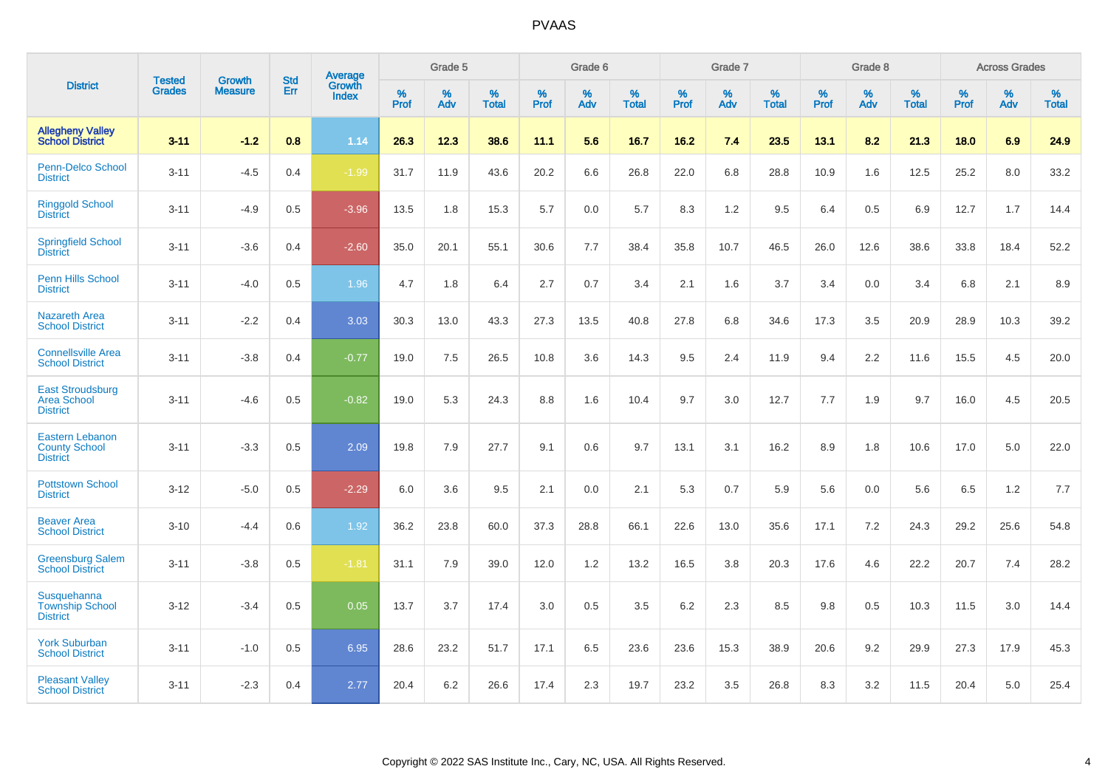|                                                                   |                                |                                 | <b>Std</b> | Average                       |           | Grade 5  |                   |           | Grade 6  |                   |           | Grade 7  |                   |           | Grade 8  |                   |           | <b>Across Grades</b> |                   |
|-------------------------------------------------------------------|--------------------------------|---------------------------------|------------|-------------------------------|-----------|----------|-------------------|-----------|----------|-------------------|-----------|----------|-------------------|-----------|----------|-------------------|-----------|----------------------|-------------------|
| <b>District</b>                                                   | <b>Tested</b><br><b>Grades</b> | <b>Growth</b><br><b>Measure</b> | Err        | <b>Growth</b><br><b>Index</b> | %<br>Prof | %<br>Adv | %<br><b>Total</b> | %<br>Prof | %<br>Adv | %<br><b>Total</b> | %<br>Prof | %<br>Adv | %<br><b>Total</b> | %<br>Prof | %<br>Adv | %<br><b>Total</b> | %<br>Prof | %<br>Adv             | %<br><b>Total</b> |
| <b>Allegheny Valley</b><br><b>School District</b>                 | $3 - 11$                       | $-1.2$                          | 0.8        | 1.14                          | 26.3      | 12.3     | 38.6              | 11.1      | 5.6      | 16.7              | 16.2      | 7.4      | 23.5              | 13.1      | 8.2      | 21.3              | 18.0      | 6.9                  | 24.9              |
| <b>Penn-Delco School</b><br><b>District</b>                       | $3 - 11$                       | $-4.5$                          | 0.4        | $-1.99$                       | 31.7      | 11.9     | 43.6              | 20.2      | 6.6      | 26.8              | 22.0      | 6.8      | 28.8              | 10.9      | 1.6      | 12.5              | 25.2      | 8.0                  | 33.2              |
| <b>Ringgold School</b><br><b>District</b>                         | $3 - 11$                       | $-4.9$                          | 0.5        | $-3.96$                       | 13.5      | 1.8      | 15.3              | 5.7       | 0.0      | 5.7               | 8.3       | 1.2      | 9.5               | 6.4       | 0.5      | 6.9               | 12.7      | 1.7                  | 14.4              |
| <b>Springfield School</b><br><b>District</b>                      | $3 - 11$                       | $-3.6$                          | 0.4        | $-2.60$                       | 35.0      | 20.1     | 55.1              | 30.6      | 7.7      | 38.4              | 35.8      | 10.7     | 46.5              | 26.0      | 12.6     | 38.6              | 33.8      | 18.4                 | 52.2              |
| Penn Hills School<br><b>District</b>                              | $3 - 11$                       | $-4.0$                          | 0.5        | 1.96                          | 4.7       | 1.8      | 6.4               | 2.7       | 0.7      | 3.4               | 2.1       | 1.6      | 3.7               | 3.4       | 0.0      | 3.4               | 6.8       | 2.1                  | 8.9               |
| <b>Nazareth Area</b><br><b>School District</b>                    | $3 - 11$                       | $-2.2$                          | 0.4        | 3.03                          | 30.3      | 13.0     | 43.3              | 27.3      | 13.5     | 40.8              | 27.8      | 6.8      | 34.6              | 17.3      | 3.5      | 20.9              | 28.9      | 10.3                 | 39.2              |
| <b>Connellsville Area</b><br><b>School District</b>               | $3 - 11$                       | $-3.8$                          | 0.4        | $-0.77$                       | 19.0      | 7.5      | 26.5              | 10.8      | 3.6      | 14.3              | 9.5       | 2.4      | 11.9              | 9.4       | 2.2      | 11.6              | 15.5      | 4.5                  | 20.0              |
| <b>East Stroudsburg</b><br><b>Area School</b><br><b>District</b>  | $3 - 11$                       | $-4.6$                          | 0.5        | $-0.82$                       | 19.0      | 5.3      | 24.3              | 8.8       | 1.6      | 10.4              | 9.7       | 3.0      | 12.7              | 7.7       | 1.9      | 9.7               | 16.0      | 4.5                  | 20.5              |
| <b>Eastern Lebanon</b><br><b>County School</b><br><b>District</b> | $3 - 11$                       | $-3.3$                          | 0.5        | 2.09                          | 19.8      | 7.9      | 27.7              | 9.1       | 0.6      | 9.7               | 13.1      | 3.1      | 16.2              | 8.9       | 1.8      | 10.6              | 17.0      | 5.0                  | 22.0              |
| <b>Pottstown School</b><br><b>District</b>                        | $3 - 12$                       | $-5.0$                          | 0.5        | $-2.29$                       | 6.0       | 3.6      | 9.5               | 2.1       | 0.0      | 2.1               | 5.3       | 0.7      | 5.9               | 5.6       | 0.0      | 5.6               | 6.5       | 1.2                  | 7.7               |
| <b>Beaver Area</b><br><b>School District</b>                      | $3 - 10$                       | $-4.4$                          | 0.6        | 1.92                          | 36.2      | 23.8     | 60.0              | 37.3      | 28.8     | 66.1              | 22.6      | 13.0     | 35.6              | 17.1      | 7.2      | 24.3              | 29.2      | 25.6                 | 54.8              |
| <b>Greensburg Salem</b><br><b>School District</b>                 | $3 - 11$                       | $-3.8$                          | 0.5        | $-1.81$                       | 31.1      | 7.9      | 39.0              | 12.0      | 1.2      | 13.2              | 16.5      | 3.8      | 20.3              | 17.6      | 4.6      | 22.2              | 20.7      | 7.4                  | 28.2              |
| Susquehanna<br><b>Township School</b><br><b>District</b>          | $3 - 12$                       | $-3.4$                          | 0.5        | 0.05                          | 13.7      | 3.7      | 17.4              | 3.0       | 0.5      | 3.5               | 6.2       | 2.3      | 8.5               | 9.8       | 0.5      | 10.3              | 11.5      | 3.0                  | 14.4              |
| <b>York Suburban</b><br><b>School District</b>                    | $3 - 11$                       | $-1.0$                          | 0.5        | 6.95                          | 28.6      | 23.2     | 51.7              | 17.1      | 6.5      | 23.6              | 23.6      | 15.3     | 38.9              | 20.6      | 9.2      | 29.9              | 27.3      | 17.9                 | 45.3              |
| <b>Pleasant Valley</b><br><b>School District</b>                  | $3 - 11$                       | $-2.3$                          | 0.4        | 2.77                          | 20.4      | 6.2      | 26.6              | 17.4      | 2.3      | 19.7              | 23.2      | 3.5      | 26.8              | 8.3       | 3.2      | 11.5              | 20.4      | 5.0                  | 25.4              |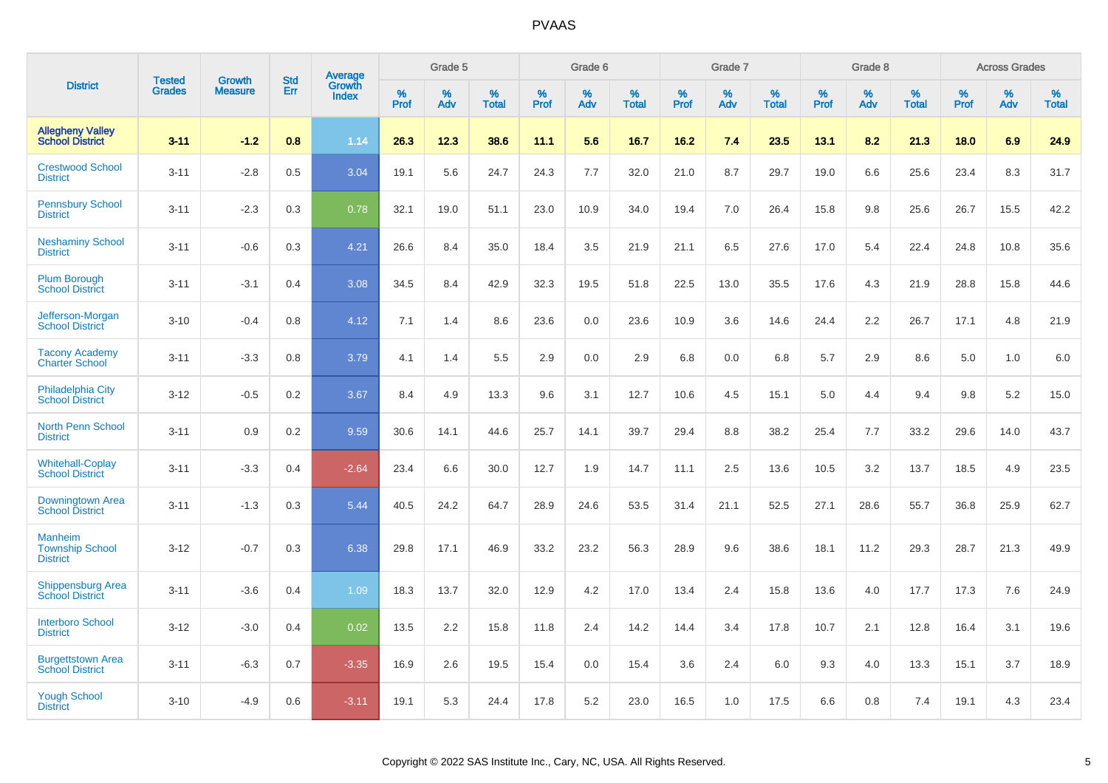|                                                             | <b>Tested</b> | <b>Growth</b>  | <b>Std</b> | Average         |              | Grade 5  |                   |              | Grade 6  |                   |              | Grade 7  |                   |              | Grade 8  |                   |              | <b>Across Grades</b> |                   |
|-------------------------------------------------------------|---------------|----------------|------------|-----------------|--------------|----------|-------------------|--------------|----------|-------------------|--------------|----------|-------------------|--------------|----------|-------------------|--------------|----------------------|-------------------|
| <b>District</b>                                             | <b>Grades</b> | <b>Measure</b> | Err        | Growth<br>Index | $\%$<br>Prof | %<br>Adv | %<br><b>Total</b> | $\%$<br>Prof | %<br>Adv | %<br><b>Total</b> | $\%$<br>Prof | %<br>Adv | %<br><b>Total</b> | $\%$<br>Prof | %<br>Adv | %<br><b>Total</b> | $\%$<br>Prof | $\%$<br>Adv          | %<br><b>Total</b> |
| <b>Allegheny Valley</b><br><b>School District</b>           | $3 - 11$      | $-1.2$         | 0.8        | 1.14            | 26.3         | 12.3     | 38.6              | 11.1         | 5.6      | 16.7              | 16.2         | 7.4      | 23.5              | 13.1         | 8.2      | 21.3              | 18.0         | 6.9                  | 24.9              |
| <b>Crestwood School</b><br><b>District</b>                  | $3 - 11$      | $-2.8$         | 0.5        | 3.04            | 19.1         | 5.6      | 24.7              | 24.3         | 7.7      | 32.0              | 21.0         | 8.7      | 29.7              | 19.0         | 6.6      | 25.6              | 23.4         | 8.3                  | 31.7              |
| <b>Pennsbury School</b><br><b>District</b>                  | $3 - 11$      | $-2.3$         | 0.3        | 0.78            | 32.1         | 19.0     | 51.1              | 23.0         | 10.9     | 34.0              | 19.4         | 7.0      | 26.4              | 15.8         | 9.8      | 25.6              | 26.7         | 15.5                 | 42.2              |
| <b>Neshaminy School</b><br><b>District</b>                  | $3 - 11$      | $-0.6$         | 0.3        | 4.21            | 26.6         | 8.4      | 35.0              | 18.4         | 3.5      | 21.9              | 21.1         | 6.5      | 27.6              | 17.0         | 5.4      | 22.4              | 24.8         | 10.8                 | 35.6              |
| <b>Plum Borough</b><br><b>School District</b>               | $3 - 11$      | $-3.1$         | 0.4        | 3.08            | 34.5         | 8.4      | 42.9              | 32.3         | 19.5     | 51.8              | 22.5         | 13.0     | 35.5              | 17.6         | 4.3      | 21.9              | 28.8         | 15.8                 | 44.6              |
| Jefferson-Morgan<br><b>School District</b>                  | $3 - 10$      | $-0.4$         | 0.8        | 4.12            | 7.1          | 1.4      | 8.6               | 23.6         | 0.0      | 23.6              | 10.9         | 3.6      | 14.6              | 24.4         | 2.2      | 26.7              | 17.1         | 4.8                  | 21.9              |
| <b>Tacony Academy</b><br><b>Charter School</b>              | $3 - 11$      | $-3.3$         | 0.8        | 3.79            | 4.1          | 1.4      | 5.5               | 2.9          | 0.0      | 2.9               | 6.8          | 0.0      | 6.8               | 5.7          | 2.9      | 8.6               | 5.0          | 1.0                  | 6.0               |
| <b>Philadelphia City</b><br><b>School District</b>          | $3 - 12$      | $-0.5$         | 0.2        | 3.67            | 8.4          | 4.9      | 13.3              | 9.6          | 3.1      | 12.7              | 10.6         | 4.5      | 15.1              | 5.0          | 4.4      | 9.4               | 9.8          | 5.2                  | 15.0              |
| <b>North Penn School</b><br><b>District</b>                 | $3 - 11$      | 0.9            | 0.2        | 9.59            | 30.6         | 14.1     | 44.6              | 25.7         | 14.1     | 39.7              | 29.4         | 8.8      | 38.2              | 25.4         | 7.7      | 33.2              | 29.6         | 14.0                 | 43.7              |
| <b>Whitehall-Coplay</b><br><b>School District</b>           | $3 - 11$      | $-3.3$         | 0.4        | $-2.64$         | 23.4         | 6.6      | 30.0              | 12.7         | 1.9      | 14.7              | 11.1         | 2.5      | 13.6              | 10.5         | 3.2      | 13.7              | 18.5         | 4.9                  | 23.5              |
| Downingtown Area<br><b>School District</b>                  | $3 - 11$      | $-1.3$         | 0.3        | 5.44            | 40.5         | 24.2     | 64.7              | 28.9         | 24.6     | 53.5              | 31.4         | 21.1     | 52.5              | 27.1         | 28.6     | 55.7              | 36.8         | 25.9                 | 62.7              |
| <b>Manheim</b><br><b>Township School</b><br><b>District</b> | $3 - 12$      | $-0.7$         | 0.3        | 6.38            | 29.8         | 17.1     | 46.9              | 33.2         | 23.2     | 56.3              | 28.9         | 9.6      | 38.6              | 18.1         | 11.2     | 29.3              | 28.7         | 21.3                 | 49.9              |
| <b>Shippensburg Area</b><br><b>School District</b>          | $3 - 11$      | $-3.6$         | 0.4        | 1.09            | 18.3         | 13.7     | 32.0              | 12.9         | 4.2      | 17.0              | 13.4         | 2.4      | 15.8              | 13.6         | 4.0      | 17.7              | 17.3         | 7.6                  | 24.9              |
| <b>Interboro School</b><br><b>District</b>                  | $3 - 12$      | $-3.0$         | 0.4        | 0.02            | 13.5         | 2.2      | 15.8              | 11.8         | 2.4      | 14.2              | 14.4         | 3.4      | 17.8              | 10.7         | 2.1      | 12.8              | 16.4         | 3.1                  | 19.6              |
| <b>Burgettstown Area</b><br><b>School District</b>          | $3 - 11$      | $-6.3$         | 0.7        | $-3.35$         | 16.9         | 2.6      | 19.5              | 15.4         | 0.0      | 15.4              | 3.6          | 2.4      | 6.0               | 9.3          | 4.0      | 13.3              | 15.1         | 3.7                  | 18.9              |
| <b>Yough School</b><br><b>District</b>                      | $3 - 10$      | $-4.9$         | 0.6        | $-3.11$         | 19.1         | 5.3      | 24.4              | 17.8         | 5.2      | 23.0              | 16.5         | 1.0      | 17.5              | 6.6          | 0.8      | 7.4               | 19.1         | 4.3                  | 23.4              |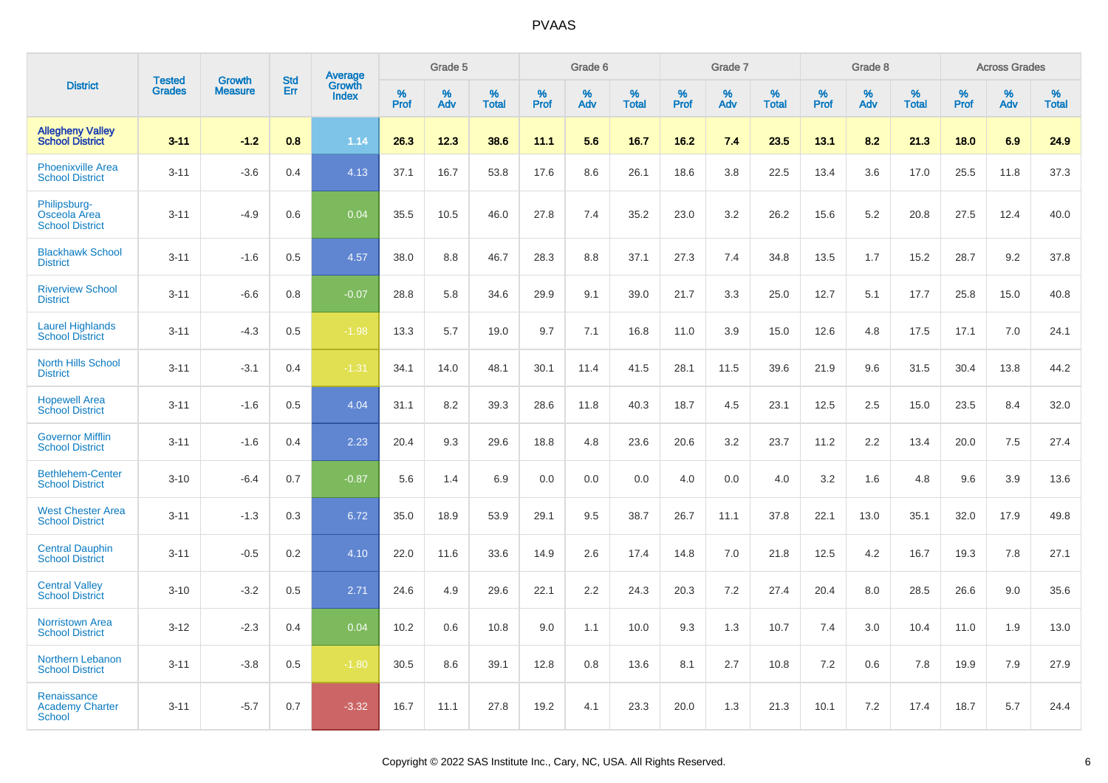|                                                        | <b>Tested</b> | <b>Growth</b>  | <b>Std</b> |                                   |                     | Grade 5  |                   |              | Grade 6  |                   |              | Grade 7  |                   |              | Grade 8  |                   |              | <b>Across Grades</b> |                   |
|--------------------------------------------------------|---------------|----------------|------------|-----------------------------------|---------------------|----------|-------------------|--------------|----------|-------------------|--------------|----------|-------------------|--------------|----------|-------------------|--------------|----------------------|-------------------|
| <b>District</b>                                        | <b>Grades</b> | <b>Measure</b> | Err        | Average<br>Growth<br><b>Index</b> | $\%$<br><b>Prof</b> | %<br>Adv | %<br><b>Total</b> | $\%$<br>Prof | %<br>Adv | %<br><b>Total</b> | $\%$<br>Prof | %<br>Adv | %<br><b>Total</b> | $\%$<br>Prof | %<br>Adv | %<br><b>Total</b> | $\%$<br>Prof | %<br>Adv             | %<br><b>Total</b> |
| <b>Allegheny Valley</b><br><b>School District</b>      | $3 - 11$      | $-1.2$         | 0.8        | 1.14                              | 26.3                | 12.3     | 38.6              | 11.1         | 5.6      | 16.7              | 16.2         | 7.4      | 23.5              | 13.1         | 8.2      | 21.3              | 18.0         | 6.9                  | 24.9              |
| <b>Phoenixville Area</b><br><b>School District</b>     | $3 - 11$      | $-3.6$         | 0.4        | 4.13                              | 37.1                | 16.7     | 53.8              | 17.6         | 8.6      | 26.1              | 18.6         | 3.8      | 22.5              | 13.4         | 3.6      | 17.0              | 25.5         | 11.8                 | 37.3              |
| Philipsburg-<br>Osceola Area<br><b>School District</b> | $3 - 11$      | $-4.9$         | 0.6        | 0.04                              | 35.5                | 10.5     | 46.0              | 27.8         | 7.4      | 35.2              | 23.0         | 3.2      | 26.2              | 15.6         | 5.2      | 20.8              | 27.5         | 12.4                 | 40.0              |
| <b>Blackhawk School</b><br><b>District</b>             | $3 - 11$      | $-1.6$         | 0.5        | 4.57                              | 38.0                | 8.8      | 46.7              | 28.3         | 8.8      | 37.1              | 27.3         | 7.4      | 34.8              | 13.5         | 1.7      | 15.2              | 28.7         | 9.2                  | 37.8              |
| <b>Riverview School</b><br><b>District</b>             | $3 - 11$      | $-6.6$         | 0.8        | $-0.07$                           | 28.8                | 5.8      | 34.6              | 29.9         | 9.1      | 39.0              | 21.7         | 3.3      | 25.0              | 12.7         | 5.1      | 17.7              | 25.8         | 15.0                 | 40.8              |
| <b>Laurel Highlands</b><br><b>School District</b>      | $3 - 11$      | $-4.3$         | 0.5        | $-1.98$                           | 13.3                | 5.7      | 19.0              | 9.7          | 7.1      | 16.8              | 11.0         | 3.9      | 15.0              | 12.6         | 4.8      | 17.5              | 17.1         | 7.0                  | 24.1              |
| <b>North Hills School</b><br><b>District</b>           | $3 - 11$      | $-3.1$         | 0.4        | $-1.31$                           | 34.1                | 14.0     | 48.1              | 30.1         | 11.4     | 41.5              | 28.1         | 11.5     | 39.6              | 21.9         | 9.6      | 31.5              | 30.4         | 13.8                 | 44.2              |
| <b>Hopewell Area</b><br><b>School District</b>         | $3 - 11$      | $-1.6$         | 0.5        | 4.04                              | 31.1                | 8.2      | 39.3              | 28.6         | 11.8     | 40.3              | 18.7         | 4.5      | 23.1              | 12.5         | 2.5      | 15.0              | 23.5         | 8.4                  | 32.0              |
| <b>Governor Mifflin</b><br><b>School District</b>      | $3 - 11$      | $-1.6$         | 0.4        | 2.23                              | 20.4                | 9.3      | 29.6              | 18.8         | 4.8      | 23.6              | 20.6         | 3.2      | 23.7              | 11.2         | 2.2      | 13.4              | 20.0         | 7.5                  | 27.4              |
| <b>Bethlehem-Center</b><br><b>School District</b>      | $3 - 10$      | $-6.4$         | 0.7        | $-0.87$                           | 5.6                 | 1.4      | 6.9               | 0.0          | 0.0      | 0.0               | 4.0          | 0.0      | 4.0               | 3.2          | 1.6      | 4.8               | 9.6          | 3.9                  | 13.6              |
| <b>West Chester Area</b><br><b>School District</b>     | $3 - 11$      | $-1.3$         | 0.3        | 6.72                              | 35.0                | 18.9     | 53.9              | 29.1         | 9.5      | 38.7              | 26.7         | 11.1     | 37.8              | 22.1         | 13.0     | 35.1              | 32.0         | 17.9                 | 49.8              |
| <b>Central Dauphin</b><br><b>School District</b>       | $3 - 11$      | $-0.5$         | 0.2        | 4.10                              | 22.0                | 11.6     | 33.6              | 14.9         | 2.6      | 17.4              | 14.8         | 7.0      | 21.8              | 12.5         | 4.2      | 16.7              | 19.3         | 7.8                  | 27.1              |
| <b>Central Valley</b><br><b>School District</b>        | $3 - 10$      | $-3.2$         | 0.5        | 2.71                              | 24.6                | 4.9      | 29.6              | 22.1         | 2.2      | 24.3              | 20.3         | 7.2      | 27.4              | 20.4         | 8.0      | 28.5              | 26.6         | 9.0                  | 35.6              |
| <b>Norristown Area</b><br><b>School District</b>       | $3 - 12$      | $-2.3$         | 0.4        | 0.04                              | 10.2                | 0.6      | 10.8              | 9.0          | 1.1      | 10.0              | 9.3          | 1.3      | 10.7              | 7.4          | 3.0      | 10.4              | 11.0         | 1.9                  | 13.0              |
| <b>Northern Lebanon</b><br><b>School District</b>      | $3 - 11$      | $-3.8$         | 0.5        | $-1.80$                           | 30.5                | 8.6      | 39.1              | 12.8         | 0.8      | 13.6              | 8.1          | 2.7      | 10.8              | 7.2          | 0.6      | 7.8               | 19.9         | 7.9                  | 27.9              |
| Renaissance<br><b>Academy Charter</b><br><b>School</b> | $3 - 11$      | $-5.7$         | 0.7        | $-3.32$                           | 16.7                | 11.1     | 27.8              | 19.2         | 4.1      | 23.3              | 20.0         | 1.3      | 21.3              | 10.1         | 7.2      | 17.4              | 18.7         | 5.7                  | 24.4              |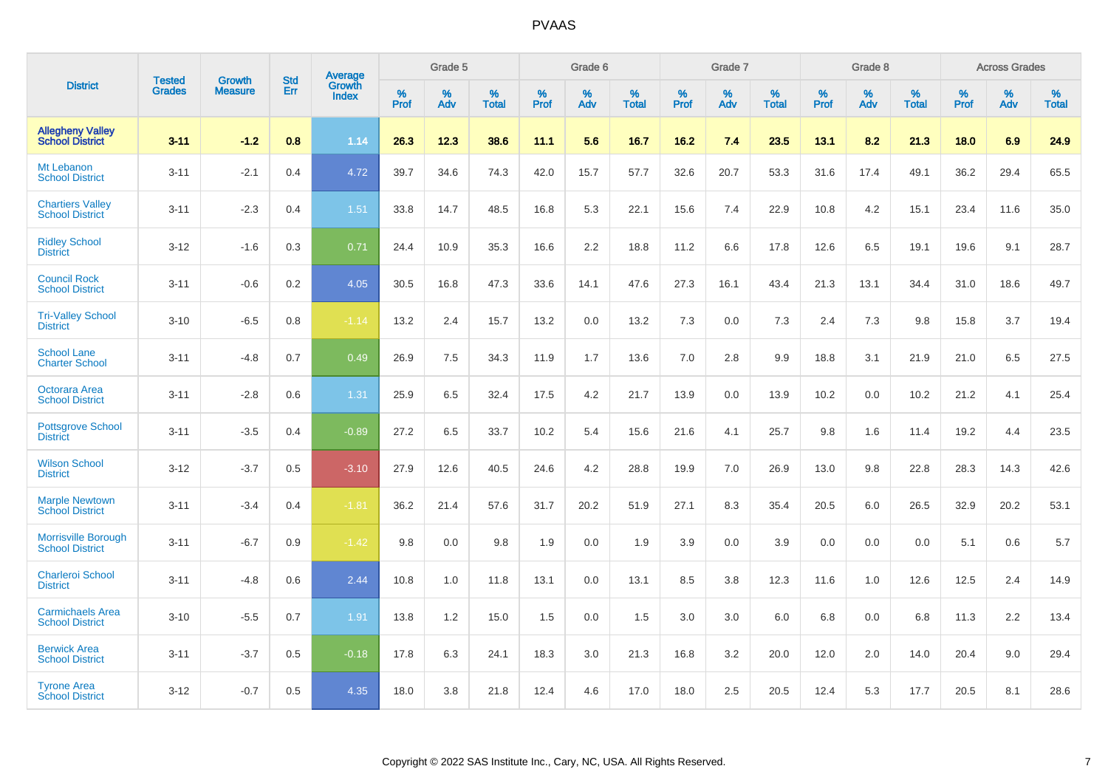|                                                      |                                |                                 | <b>Std</b> | Average                |           | Grade 5  |                   |           | Grade 6  |                   |           | Grade 7  |                   |           | Grade 8  |                   |           | <b>Across Grades</b> |                   |
|------------------------------------------------------|--------------------------------|---------------------------------|------------|------------------------|-----------|----------|-------------------|-----------|----------|-------------------|-----------|----------|-------------------|-----------|----------|-------------------|-----------|----------------------|-------------------|
| <b>District</b>                                      | <b>Tested</b><br><b>Grades</b> | <b>Growth</b><br><b>Measure</b> | Err        | Growth<br><b>Index</b> | %<br>Prof | %<br>Adv | %<br><b>Total</b> | %<br>Prof | %<br>Adv | %<br><b>Total</b> | %<br>Prof | %<br>Adv | %<br><b>Total</b> | %<br>Prof | %<br>Adv | %<br><b>Total</b> | %<br>Prof | %<br>Adv             | %<br><b>Total</b> |
| <b>Allegheny Valley</b><br><b>School District</b>    | $3 - 11$                       | $-1.2$                          | 0.8        | 1.14                   | 26.3      | 12.3     | 38.6              | 11.1      | 5.6      | 16.7              | 16.2      | 7.4      | 23.5              | 13.1      | 8.2      | 21.3              | 18.0      | 6.9                  | 24.9              |
| Mt Lebanon<br><b>School District</b>                 | $3 - 11$                       | $-2.1$                          | 0.4        | 4.72                   | 39.7      | 34.6     | 74.3              | 42.0      | 15.7     | 57.7              | 32.6      | 20.7     | 53.3              | 31.6      | 17.4     | 49.1              | 36.2      | 29.4                 | 65.5              |
| <b>Chartiers Valley</b><br><b>School District</b>    | $3 - 11$                       | $-2.3$                          | 0.4        | 1.51                   | 33.8      | 14.7     | 48.5              | 16.8      | 5.3      | 22.1              | 15.6      | 7.4      | 22.9              | 10.8      | 4.2      | 15.1              | 23.4      | 11.6                 | 35.0              |
| <b>Ridley School</b><br><b>District</b>              | $3 - 12$                       | $-1.6$                          | 0.3        | 0.71                   | 24.4      | 10.9     | 35.3              | 16.6      | 2.2      | 18.8              | 11.2      | 6.6      | 17.8              | 12.6      | 6.5      | 19.1              | 19.6      | 9.1                  | 28.7              |
| <b>Council Rock</b><br><b>School District</b>        | $3 - 11$                       | $-0.6$                          | 0.2        | 4.05                   | 30.5      | 16.8     | 47.3              | 33.6      | 14.1     | 47.6              | 27.3      | 16.1     | 43.4              | 21.3      | 13.1     | 34.4              | 31.0      | 18.6                 | 49.7              |
| <b>Tri-Valley School</b><br><b>District</b>          | $3 - 10$                       | $-6.5$                          | 0.8        | $-1.14$                | 13.2      | 2.4      | 15.7              | 13.2      | 0.0      | 13.2              | 7.3       | 0.0      | 7.3               | 2.4       | 7.3      | 9.8               | 15.8      | 3.7                  | 19.4              |
| <b>School Lane</b><br><b>Charter School</b>          | $3 - 11$                       | $-4.8$                          | 0.7        | 0.49                   | 26.9      | 7.5      | 34.3              | 11.9      | 1.7      | 13.6              | 7.0       | 2.8      | 9.9               | 18.8      | 3.1      | 21.9              | 21.0      | 6.5                  | 27.5              |
| Octorara Area<br><b>School District</b>              | $3 - 11$                       | $-2.8$                          | 0.6        | 1.31                   | 25.9      | 6.5      | 32.4              | 17.5      | 4.2      | 21.7              | 13.9      | 0.0      | 13.9              | 10.2      | 0.0      | 10.2              | 21.2      | 4.1                  | 25.4              |
| <b>Pottsgrove School</b><br><b>District</b>          | $3 - 11$                       | $-3.5$                          | 0.4        | $-0.89$                | 27.2      | 6.5      | 33.7              | 10.2      | 5.4      | 15.6              | 21.6      | 4.1      | 25.7              | 9.8       | 1.6      | 11.4              | 19.2      | 4.4                  | 23.5              |
| <b>Wilson School</b><br><b>District</b>              | $3 - 12$                       | $-3.7$                          | 0.5        | $-3.10$                | 27.9      | 12.6     | 40.5              | 24.6      | 4.2      | 28.8              | 19.9      | 7.0      | 26.9              | 13.0      | 9.8      | 22.8              | 28.3      | 14.3                 | 42.6              |
| <b>Marple Newtown</b><br><b>School District</b>      | $3 - 11$                       | $-3.4$                          | 0.4        | $-1.81$                | 36.2      | 21.4     | 57.6              | 31.7      | 20.2     | 51.9              | 27.1      | 8.3      | 35.4              | 20.5      | 6.0      | 26.5              | 32.9      | 20.2                 | 53.1              |
| <b>Morrisville Borough</b><br><b>School District</b> | $3 - 11$                       | $-6.7$                          | 0.9        | $-1.42$                | 9.8       | 0.0      | 9.8               | 1.9       | 0.0      | 1.9               | 3.9       | 0.0      | 3.9               | 0.0       | 0.0      | 0.0               | 5.1       | 0.6                  | 5.7               |
| <b>Charleroi School</b><br><b>District</b>           | $3 - 11$                       | $-4.8$                          | 0.6        | 2.44                   | 10.8      | 1.0      | 11.8              | 13.1      | 0.0      | 13.1              | 8.5       | 3.8      | 12.3              | 11.6      | 1.0      | 12.6              | 12.5      | 2.4                  | 14.9              |
| <b>Carmichaels Area</b><br><b>School District</b>    | $3 - 10$                       | $-5.5$                          | 0.7        | 1.91                   | 13.8      | 1.2      | 15.0              | 1.5       | 0.0      | 1.5               | 3.0       | 3.0      | 6.0               | 6.8       | 0.0      | 6.8               | 11.3      | 2.2                  | 13.4              |
| <b>Berwick Area</b><br><b>School District</b>        | $3 - 11$                       | $-3.7$                          | 0.5        | $-0.18$                | 17.8      | 6.3      | 24.1              | 18.3      | 3.0      | 21.3              | 16.8      | 3.2      | 20.0              | 12.0      | 2.0      | 14.0              | 20.4      | 9.0                  | 29.4              |
| <b>Tyrone Area</b><br><b>School District</b>         | $3 - 12$                       | $-0.7$                          | 0.5        | 4.35                   | 18.0      | 3.8      | 21.8              | 12.4      | 4.6      | 17.0              | 18.0      | 2.5      | 20.5              | 12.4      | 5.3      | 17.7              | 20.5      | 8.1                  | 28.6              |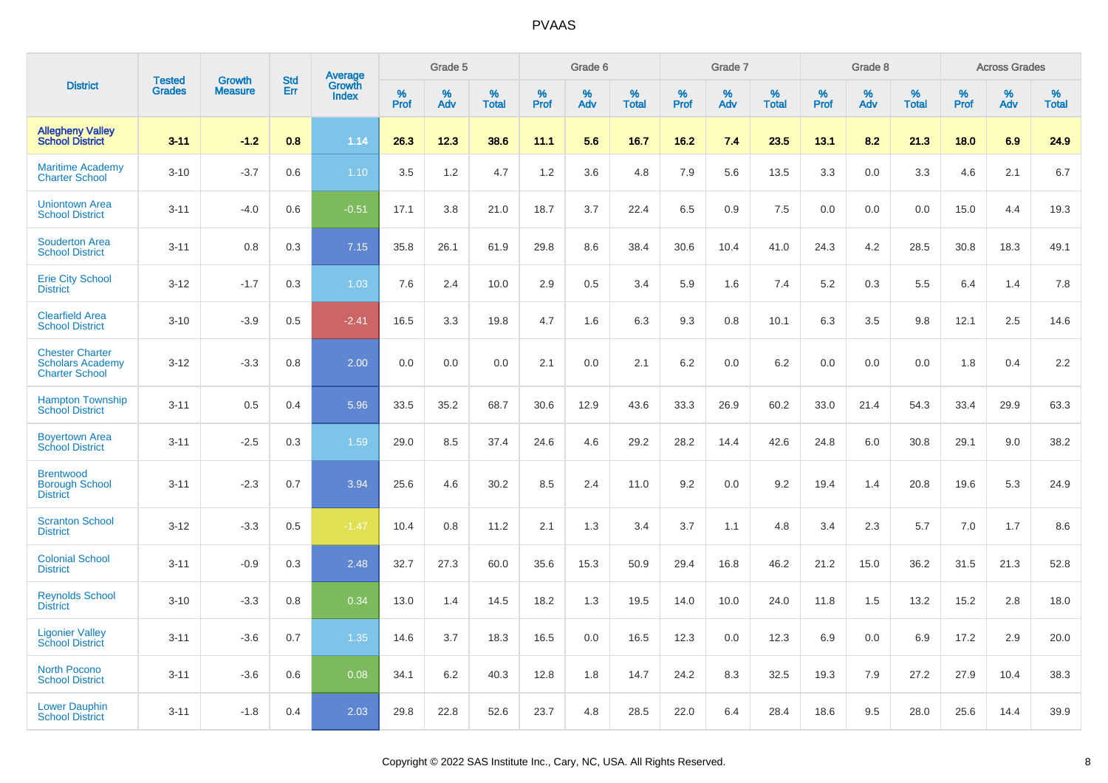|                                                                            | <b>Tested</b> | <b>Growth</b>  | <b>Std</b> | Average                |           | Grade 5  |                   |           | Grade 6  |                   |           | Grade 7  |                   |           | Grade 8  |                   |           | <b>Across Grades</b> |                   |
|----------------------------------------------------------------------------|---------------|----------------|------------|------------------------|-----------|----------|-------------------|-----------|----------|-------------------|-----------|----------|-------------------|-----------|----------|-------------------|-----------|----------------------|-------------------|
| <b>District</b>                                                            | <b>Grades</b> | <b>Measure</b> | Err        | Growth<br><b>Index</b> | %<br>Prof | %<br>Adv | %<br><b>Total</b> | %<br>Prof | %<br>Adv | %<br><b>Total</b> | %<br>Prof | %<br>Adv | %<br><b>Total</b> | %<br>Prof | %<br>Adv | %<br><b>Total</b> | %<br>Prof | %<br>Adv             | %<br><b>Total</b> |
| <b>Allegheny Valley</b><br><b>School District</b>                          | $3 - 11$      | $-1.2$         | 0.8        | 1.14                   | 26.3      | 12.3     | 38.6              | 11.1      | 5.6      | 16.7              | 16.2      | 7.4      | 23.5              | 13.1      | 8.2      | 21.3              | 18.0      | 6.9                  | 24.9              |
| <b>Maritime Academy</b><br><b>Charter School</b>                           | $3 - 10$      | $-3.7$         | 0.6        | 1.10                   | 3.5       | 1.2      | 4.7               | 1.2       | 3.6      | 4.8               | 7.9       | 5.6      | 13.5              | 3.3       | 0.0      | 3.3               | 4.6       | 2.1                  | 6.7               |
| <b>Uniontown Area</b><br><b>School District</b>                            | $3 - 11$      | $-4.0$         | 0.6        | $-0.51$                | 17.1      | 3.8      | 21.0              | 18.7      | 3.7      | 22.4              | 6.5       | 0.9      | 7.5               | 0.0       | 0.0      | 0.0               | 15.0      | 4.4                  | 19.3              |
| <b>Souderton Area</b><br><b>School District</b>                            | $3 - 11$      | 0.8            | 0.3        | 7.15                   | 35.8      | 26.1     | 61.9              | 29.8      | 8.6      | 38.4              | 30.6      | 10.4     | 41.0              | 24.3      | 4.2      | 28.5              | 30.8      | 18.3                 | 49.1              |
| <b>Erie City School</b><br><b>District</b>                                 | $3 - 12$      | $-1.7$         | 0.3        | 1.03                   | 7.6       | 2.4      | 10.0              | 2.9       | 0.5      | 3.4               | 5.9       | 1.6      | 7.4               | 5.2       | 0.3      | 5.5               | 6.4       | 1.4                  | 7.8               |
| <b>Clearfield Area</b><br><b>School District</b>                           | $3 - 10$      | $-3.9$         | 0.5        | $-2.41$                | 16.5      | 3.3      | 19.8              | 4.7       | 1.6      | 6.3               | 9.3       | 0.8      | 10.1              | 6.3       | 3.5      | 9.8               | 12.1      | 2.5                  | 14.6              |
| <b>Chester Charter</b><br><b>Scholars Academy</b><br><b>Charter School</b> | $3 - 12$      | $-3.3$         | 0.8        | 2.00                   | 0.0       | 0.0      | 0.0               | 2.1       | 0.0      | 2.1               | 6.2       | 0.0      | 6.2               | 0.0       | 0.0      | 0.0               | 1.8       | 0.4                  | 2.2               |
| <b>Hampton Township</b><br><b>School District</b>                          | $3 - 11$      | 0.5            | 0.4        | 5.96                   | 33.5      | 35.2     | 68.7              | 30.6      | 12.9     | 43.6              | 33.3      | 26.9     | 60.2              | 33.0      | 21.4     | 54.3              | 33.4      | 29.9                 | 63.3              |
| <b>Boyertown Area</b><br><b>School District</b>                            | $3 - 11$      | $-2.5$         | 0.3        | 1.59                   | 29.0      | 8.5      | 37.4              | 24.6      | 4.6      | 29.2              | 28.2      | 14.4     | 42.6              | 24.8      | 6.0      | 30.8              | 29.1      | 9.0                  | 38.2              |
| <b>Brentwood</b><br><b>Borough School</b><br><b>District</b>               | $3 - 11$      | $-2.3$         | 0.7        | 3.94                   | 25.6      | 4.6      | 30.2              | 8.5       | 2.4      | 11.0              | 9.2       | 0.0      | 9.2               | 19.4      | 1.4      | 20.8              | 19.6      | 5.3                  | 24.9              |
| <b>Scranton School</b><br><b>District</b>                                  | $3 - 12$      | $-3.3$         | 0.5        | $-1.47$                | 10.4      | 0.8      | 11.2              | 2.1       | 1.3      | 3.4               | 3.7       | 1.1      | 4.8               | 3.4       | 2.3      | 5.7               | 7.0       | 1.7                  | 8.6               |
| <b>Colonial School</b><br><b>District</b>                                  | $3 - 11$      | $-0.9$         | 0.3        | 2.48                   | 32.7      | 27.3     | 60.0              | 35.6      | 15.3     | 50.9              | 29.4      | 16.8     | 46.2              | 21.2      | 15.0     | 36.2              | 31.5      | 21.3                 | 52.8              |
| <b>Reynolds School</b><br><b>District</b>                                  | $3 - 10$      | $-3.3$         | 0.8        | 0.34                   | 13.0      | 1.4      | 14.5              | 18.2      | 1.3      | 19.5              | 14.0      | 10.0     | 24.0              | 11.8      | 1.5      | 13.2              | 15.2      | 2.8                  | 18.0              |
| <b>Ligonier Valley</b><br><b>School District</b>                           | $3 - 11$      | $-3.6$         | 0.7        | 1.35                   | 14.6      | 3.7      | 18.3              | 16.5      | 0.0      | 16.5              | 12.3      | 0.0      | 12.3              | 6.9       | 0.0      | 6.9               | 17.2      | 2.9                  | 20.0              |
| <b>North Pocono</b><br><b>School District</b>                              | $3 - 11$      | $-3.6$         | 0.6        | 0.08                   | 34.1      | 6.2      | 40.3              | 12.8      | 1.8      | 14.7              | 24.2      | 8.3      | 32.5              | 19.3      | 7.9      | 27.2              | 27.9      | 10.4                 | 38.3              |
| <b>Lower Dauphin</b><br><b>School District</b>                             | $3 - 11$      | $-1.8$         | 0.4        | 2.03                   | 29.8      | 22.8     | 52.6              | 23.7      | 4.8      | 28.5              | 22.0      | 6.4      | 28.4              | 18.6      | 9.5      | 28.0              | 25.6      | 14.4                 | 39.9              |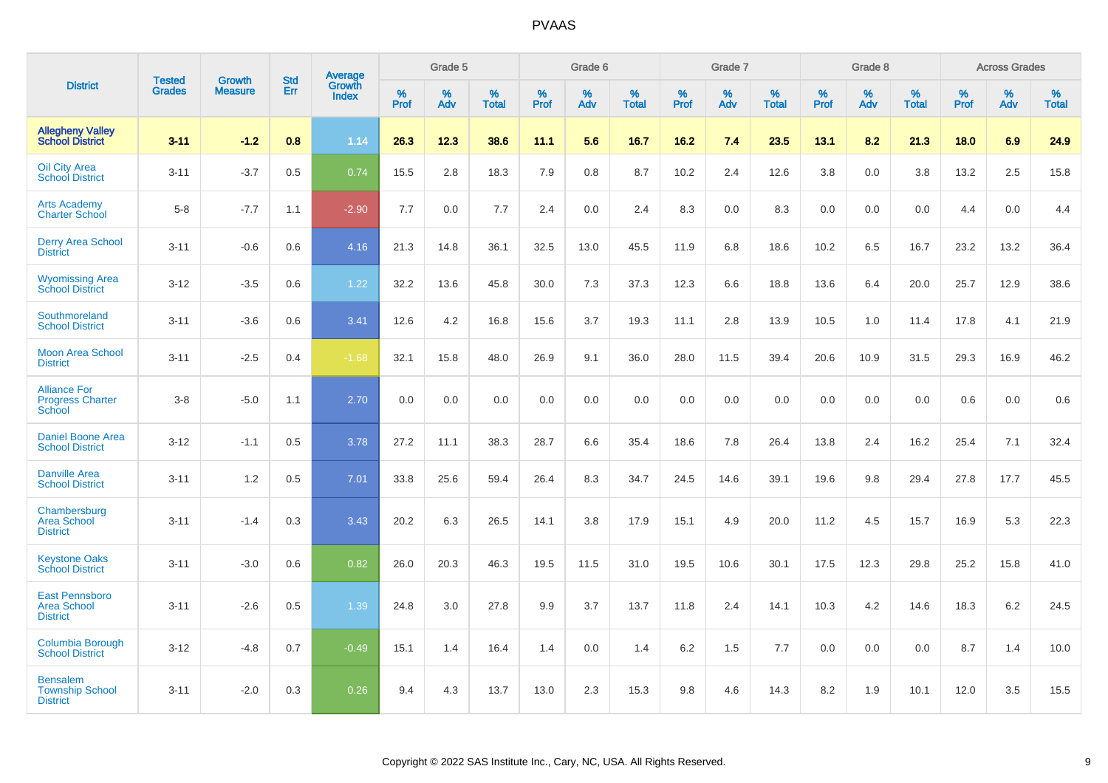|                                                                 |                                |                                 | <b>Std</b> | Average                |           | Grade 5  |                   |           | Grade 6  |                   |           | Grade 7  |                   |           | Grade 8  |                   |           | <b>Across Grades</b> |                   |
|-----------------------------------------------------------------|--------------------------------|---------------------------------|------------|------------------------|-----------|----------|-------------------|-----------|----------|-------------------|-----------|----------|-------------------|-----------|----------|-------------------|-----------|----------------------|-------------------|
| <b>District</b>                                                 | <b>Tested</b><br><b>Grades</b> | <b>Growth</b><br><b>Measure</b> | Err        | Growth<br><b>Index</b> | %<br>Prof | %<br>Adv | %<br><b>Total</b> | %<br>Prof | %<br>Adv | %<br><b>Total</b> | %<br>Prof | %<br>Adv | %<br><b>Total</b> | %<br>Prof | %<br>Adv | %<br><b>Total</b> | %<br>Prof | %<br>Adv             | %<br><b>Total</b> |
| <b>Allegheny Valley</b><br><b>School District</b>               | $3 - 11$                       | $-1.2$                          | 0.8        | 1.14                   | 26.3      | 12.3     | 38.6              | 11.1      | 5.6      | 16.7              | 16.2      | 7.4      | 23.5              | 13.1      | 8.2      | 21.3              | 18.0      | 6.9                  | 24.9              |
| <b>Oil City Area</b><br><b>School District</b>                  | $3 - 11$                       | $-3.7$                          | 0.5        | 0.74                   | 15.5      | 2.8      | 18.3              | 7.9       | 0.8      | 8.7               | 10.2      | 2.4      | 12.6              | 3.8       | 0.0      | 3.8               | 13.2      | 2.5                  | 15.8              |
| <b>Arts Academy</b><br><b>Charter School</b>                    | $5-8$                          | $-7.7$                          | 1.1        | $-2.90$                | 7.7       | 0.0      | 7.7               | 2.4       | 0.0      | 2.4               | 8.3       | 0.0      | 8.3               | 0.0       | 0.0      | 0.0               | 4.4       | 0.0                  | 4.4               |
| <b>Derry Area School</b><br><b>District</b>                     | $3 - 11$                       | $-0.6$                          | 0.6        | 4.16                   | 21.3      | 14.8     | 36.1              | 32.5      | 13.0     | 45.5              | 11.9      | 6.8      | 18.6              | 10.2      | 6.5      | 16.7              | 23.2      | 13.2                 | 36.4              |
| <b>Wyomissing Area</b><br><b>School District</b>                | $3 - 12$                       | $-3.5$                          | 0.6        | 1.22                   | 32.2      | 13.6     | 45.8              | 30.0      | 7.3      | 37.3              | 12.3      | 6.6      | 18.8              | 13.6      | 6.4      | 20.0              | 25.7      | 12.9                 | 38.6              |
| Southmoreland<br><b>School District</b>                         | $3 - 11$                       | $-3.6$                          | 0.6        | 3.41                   | 12.6      | 4.2      | 16.8              | 15.6      | 3.7      | 19.3              | 11.1      | 2.8      | 13.9              | 10.5      | 1.0      | 11.4              | 17.8      | 4.1                  | 21.9              |
| <b>Moon Area School</b><br><b>District</b>                      | $3 - 11$                       | $-2.5$                          | 0.4        | $-1.68$                | 32.1      | 15.8     | 48.0              | 26.9      | 9.1      | 36.0              | 28.0      | 11.5     | 39.4              | 20.6      | 10.9     | 31.5              | 29.3      | 16.9                 | 46.2              |
| <b>Alliance For</b><br><b>Progress Charter</b><br><b>School</b> | $3 - 8$                        | $-5.0$                          | 1.1        | 2.70                   | 0.0       | 0.0      | 0.0               | 0.0       | 0.0      | 0.0               | 0.0       | 0.0      | 0.0               | 0.0       | 0.0      | 0.0               | 0.6       | 0.0                  | 0.6               |
| <b>Daniel Boone Area</b><br><b>School District</b>              | $3 - 12$                       | $-1.1$                          | 0.5        | 3.78                   | 27.2      | 11.1     | 38.3              | 28.7      | 6.6      | 35.4              | 18.6      | 7.8      | 26.4              | 13.8      | 2.4      | 16.2              | 25.4      | 7.1                  | 32.4              |
| <b>Danville Area</b><br><b>School District</b>                  | $3 - 11$                       | 1.2                             | 0.5        | 7.01                   | 33.8      | 25.6     | 59.4              | 26.4      | 8.3      | 34.7              | 24.5      | 14.6     | 39.1              | 19.6      | 9.8      | 29.4              | 27.8      | 17.7                 | 45.5              |
| Chambersburg<br><b>Area School</b><br><b>District</b>           | $3 - 11$                       | $-1.4$                          | 0.3        | 3.43                   | 20.2      | 6.3      | 26.5              | 14.1      | 3.8      | 17.9              | 15.1      | 4.9      | 20.0              | 11.2      | 4.5      | 15.7              | 16.9      | 5.3                  | 22.3              |
| <b>Keystone Oaks</b><br><b>School District</b>                  | $3 - 11$                       | $-3.0$                          | 0.6        | 0.82                   | 26.0      | 20.3     | 46.3              | 19.5      | 11.5     | 31.0              | 19.5      | 10.6     | 30.1              | 17.5      | 12.3     | 29.8              | 25.2      | 15.8                 | 41.0              |
| <b>East Pennsboro</b><br><b>Area School</b><br><b>District</b>  | $3 - 11$                       | $-2.6$                          | 0.5        | 1.39                   | 24.8      | 3.0      | 27.8              | 9.9       | 3.7      | 13.7              | 11.8      | 2.4      | 14.1              | 10.3      | 4.2      | 14.6              | 18.3      | $6.2\,$              | 24.5              |
| <b>Columbia Borough</b><br><b>School District</b>               | $3 - 12$                       | $-4.8$                          | 0.7        | $-0.49$                | 15.1      | 1.4      | 16.4              | 1.4       | 0.0      | 1.4               | 6.2       | 1.5      | 7.7               | 0.0       | 0.0      | 0.0               | 8.7       | 1.4                  | 10.0              |
| <b>Bensalem</b><br><b>Township School</b><br><b>District</b>    | $3 - 11$                       | $-2.0$                          | 0.3        | 0.26                   | 9.4       | 4.3      | 13.7              | 13.0      | 2.3      | 15.3              | 9.8       | 4.6      | 14.3              | 8.2       | 1.9      | 10.1              | 12.0      | 3.5                  | 15.5              |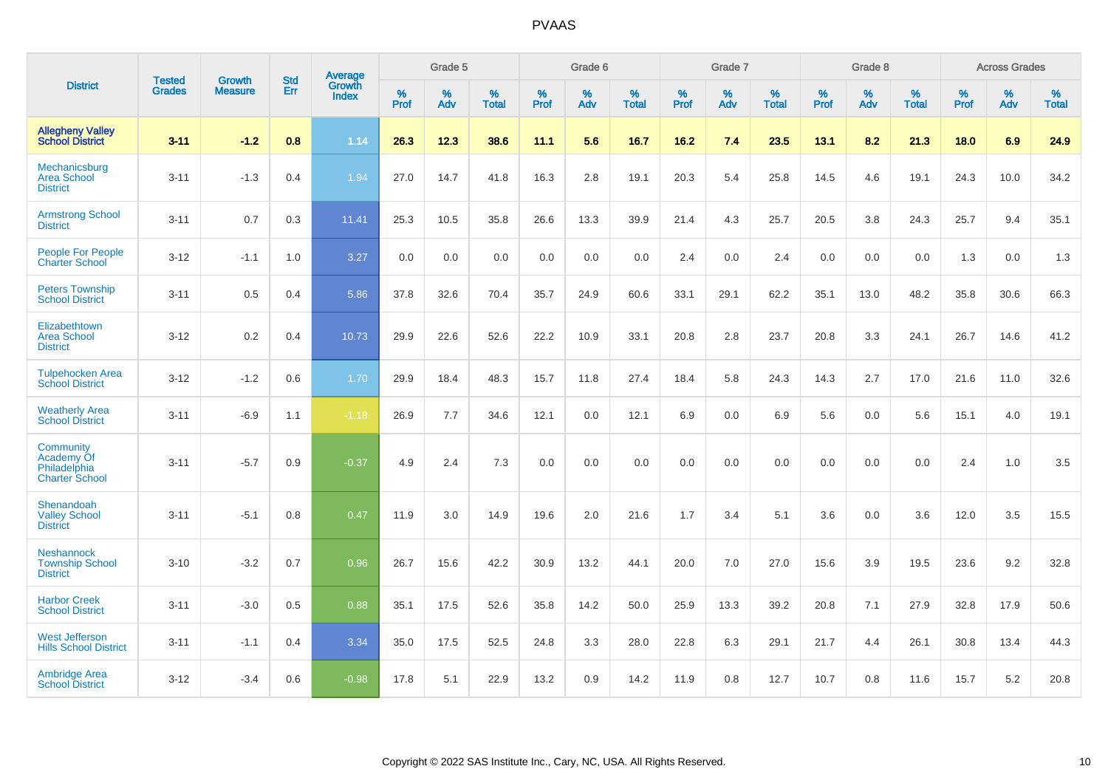|                                                                         |                                |                                 | <b>Std</b> | Average                       |              | Grade 5  |                   |           | Grade 6  |                   |              | Grade 7  |                   |           | Grade 8  |                   |           | <b>Across Grades</b> |                   |
|-------------------------------------------------------------------------|--------------------------------|---------------------------------|------------|-------------------------------|--------------|----------|-------------------|-----------|----------|-------------------|--------------|----------|-------------------|-----------|----------|-------------------|-----------|----------------------|-------------------|
| <b>District</b>                                                         | <b>Tested</b><br><b>Grades</b> | <b>Growth</b><br><b>Measure</b> | Err        | <b>Growth</b><br><b>Index</b> | $\%$<br>Prof | %<br>Adv | %<br><b>Total</b> | %<br>Prof | %<br>Adv | %<br><b>Total</b> | $\%$<br>Prof | %<br>Adv | %<br><b>Total</b> | %<br>Prof | %<br>Adv | %<br><b>Total</b> | %<br>Prof | %<br>Adv             | %<br><b>Total</b> |
| <b>Allegheny Valley</b><br><b>School District</b>                       | $3 - 11$                       | $-1.2$                          | 0.8        | 1.14                          | 26.3         | 12.3     | 38.6              | 11.1      | 5.6      | 16.7              | 16.2         | 7.4      | 23.5              | 13.1      | 8.2      | 21.3              | 18.0      | 6.9                  | 24.9              |
| Mechanicsburg<br><b>Area School</b><br><b>District</b>                  | $3 - 11$                       | $-1.3$                          | 0.4        | 1.94                          | 27.0         | 14.7     | 41.8              | 16.3      | 2.8      | 19.1              | 20.3         | 5.4      | 25.8              | 14.5      | 4.6      | 19.1              | 24.3      | 10.0                 | 34.2              |
| <b>Armstrong School</b><br><b>District</b>                              | $3 - 11$                       | 0.7                             | 0.3        | 11.41                         | 25.3         | 10.5     | 35.8              | 26.6      | 13.3     | 39.9              | 21.4         | 4.3      | 25.7              | 20.5      | 3.8      | 24.3              | 25.7      | 9.4                  | 35.1              |
| <b>People For People</b><br><b>Charter School</b>                       | $3 - 12$                       | $-1.1$                          | 1.0        | 3.27                          | 0.0          | 0.0      | 0.0               | 0.0       | 0.0      | 0.0               | 2.4          | 0.0      | 2.4               | 0.0       | 0.0      | 0.0               | 1.3       | 0.0                  | 1.3               |
| <b>Peters Township</b><br><b>School District</b>                        | $3 - 11$                       | 0.5                             | 0.4        | 5.86                          | 37.8         | 32.6     | 70.4              | 35.7      | 24.9     | 60.6              | 33.1         | 29.1     | 62.2              | 35.1      | 13.0     | 48.2              | 35.8      | 30.6                 | 66.3              |
| Elizabethtown<br><b>Area School</b><br><b>District</b>                  | $3 - 12$                       | 0.2                             | 0.4        | 10.73                         | 29.9         | 22.6     | 52.6              | 22.2      | 10.9     | 33.1              | 20.8         | 2.8      | 23.7              | 20.8      | 3.3      | 24.1              | 26.7      | 14.6                 | 41.2              |
| <b>Tulpehocken Area</b><br><b>School District</b>                       | $3 - 12$                       | $-1.2$                          | 0.6        | 1.70                          | 29.9         | 18.4     | 48.3              | 15.7      | 11.8     | 27.4              | 18.4         | 5.8      | 24.3              | 14.3      | 2.7      | 17.0              | 21.6      | 11.0                 | 32.6              |
| <b>Weatherly Area</b><br><b>School District</b>                         | $3 - 11$                       | $-6.9$                          | 1.1        | $-1.18$                       | 26.9         | 7.7      | 34.6              | 12.1      | 0.0      | 12.1              | 6.9          | $0.0\,$  | 6.9               | 5.6       | $0.0\,$  | 5.6               | 15.1      | 4.0                  | 19.1              |
| <b>Community</b><br>Academy Of<br>Philadelphia<br><b>Charter School</b> | $3 - 11$                       | $-5.7$                          | 0.9        | $-0.37$                       | 4.9          | 2.4      | 7.3               | 0.0       | 0.0      | 0.0               | 0.0          | 0.0      | 0.0               | 0.0       | 0.0      | 0.0               | 2.4       | 1.0                  | 3.5               |
| Shenandoah<br><b>Valley School</b><br><b>District</b>                   | $3 - 11$                       | $-5.1$                          | 0.8        | 0.47                          | 11.9         | 3.0      | 14.9              | 19.6      | 2.0      | 21.6              | 1.7          | 3.4      | 5.1               | 3.6       | 0.0      | 3.6               | 12.0      | 3.5                  | 15.5              |
| <b>Neshannock</b><br><b>Township School</b><br><b>District</b>          | $3 - 10$                       | $-3.2$                          | 0.7        | 0.96                          | 26.7         | 15.6     | 42.2              | 30.9      | 13.2     | 44.1              | 20.0         | 7.0      | 27.0              | 15.6      | 3.9      | 19.5              | 23.6      | 9.2                  | 32.8              |
| <b>Harbor Creek</b><br><b>School District</b>                           | $3 - 11$                       | $-3.0$                          | 0.5        | 0.88                          | 35.1         | 17.5     | 52.6              | 35.8      | 14.2     | 50.0              | 25.9         | 13.3     | 39.2              | 20.8      | 7.1      | 27.9              | 32.8      | 17.9                 | 50.6              |
| <b>West Jefferson</b><br><b>Hills School District</b>                   | $3 - 11$                       | $-1.1$                          | 0.4        | 3.34                          | 35.0         | 17.5     | 52.5              | 24.8      | 3.3      | 28.0              | 22.8         | 6.3      | 29.1              | 21.7      | 4.4      | 26.1              | 30.8      | 13.4                 | 44.3              |
| <b>Ambridge Area</b><br><b>School District</b>                          | $3 - 12$                       | $-3.4$                          | 0.6        | $-0.98$                       | 17.8         | 5.1      | 22.9              | 13.2      | 0.9      | 14.2              | 11.9         | 0.8      | 12.7              | 10.7      | 0.8      | 11.6              | 15.7      | 5.2                  | 20.8              |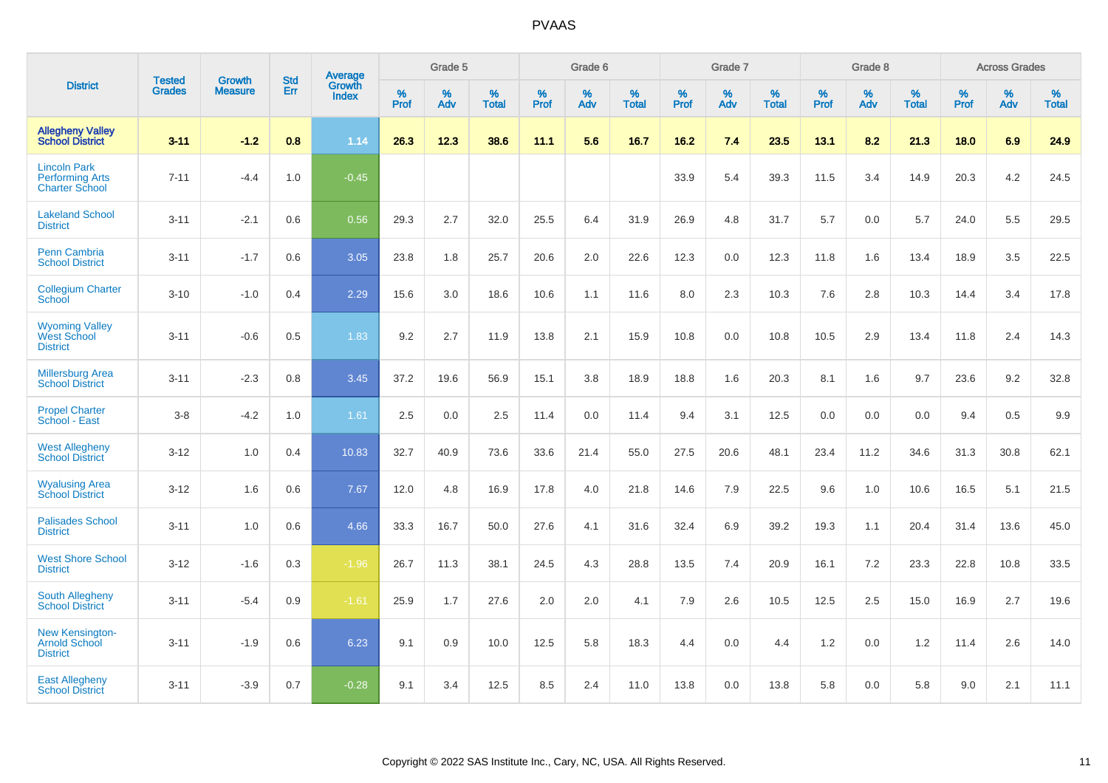|                                                                        | <b>Tested</b> | <b>Growth</b>  | <b>Std</b> | Average                       |           | Grade 5  |                   |           | Grade 6  |                   |           | Grade 7  |                   |           | Grade 8  |                   |           | <b>Across Grades</b> |                   |
|------------------------------------------------------------------------|---------------|----------------|------------|-------------------------------|-----------|----------|-------------------|-----------|----------|-------------------|-----------|----------|-------------------|-----------|----------|-------------------|-----------|----------------------|-------------------|
| <b>District</b>                                                        | <b>Grades</b> | <b>Measure</b> | Err        | <b>Growth</b><br><b>Index</b> | %<br>Prof | %<br>Adv | %<br><b>Total</b> | %<br>Prof | %<br>Adv | %<br><b>Total</b> | %<br>Prof | %<br>Adv | %<br><b>Total</b> | %<br>Prof | %<br>Adv | %<br><b>Total</b> | %<br>Prof | %<br>Adv             | %<br><b>Total</b> |
| <b>Allegheny Valley</b><br><b>School District</b>                      | $3 - 11$      | $-1.2$         | 0.8        | 1.14                          | 26.3      | 12.3     | 38.6              | 11.1      | 5.6      | 16.7              | 16.2      | 7.4      | 23.5              | 13.1      | 8.2      | 21.3              | 18.0      | 6.9                  | 24.9              |
| <b>Lincoln Park</b><br><b>Performing Arts</b><br><b>Charter School</b> | $7 - 11$      | $-4.4$         | 1.0        | $-0.45$                       |           |          |                   |           |          |                   | 33.9      | 5.4      | 39.3              | 11.5      | 3.4      | 14.9              | 20.3      | 4.2                  | 24.5              |
| <b>Lakeland School</b><br><b>District</b>                              | $3 - 11$      | $-2.1$         | 0.6        | 0.56                          | 29.3      | 2.7      | 32.0              | 25.5      | 6.4      | 31.9              | 26.9      | 4.8      | 31.7              | 5.7       | 0.0      | 5.7               | 24.0      | 5.5                  | 29.5              |
| <b>Penn Cambria</b><br><b>School District</b>                          | $3 - 11$      | $-1.7$         | 0.6        | 3.05                          | 23.8      | 1.8      | 25.7              | 20.6      | 2.0      | 22.6              | 12.3      | 0.0      | 12.3              | 11.8      | 1.6      | 13.4              | 18.9      | 3.5                  | 22.5              |
| <b>Collegium Charter</b><br>School                                     | $3 - 10$      | $-1.0$         | 0.4        | 2.29                          | 15.6      | 3.0      | 18.6              | 10.6      | 1.1      | 11.6              | 8.0       | 2.3      | 10.3              | 7.6       | 2.8      | 10.3              | 14.4      | 3.4                  | 17.8              |
| <b>Wyoming Valley</b><br>West School<br><b>District</b>                | $3 - 11$      | $-0.6$         | 0.5        | 1.83                          | 9.2       | 2.7      | 11.9              | 13.8      | 2.1      | 15.9              | 10.8      | 0.0      | 10.8              | 10.5      | 2.9      | 13.4              | 11.8      | 2.4                  | 14.3              |
| <b>Millersburg Area</b><br><b>School District</b>                      | $3 - 11$      | $-2.3$         | 0.8        | 3.45                          | 37.2      | 19.6     | 56.9              | 15.1      | 3.8      | 18.9              | 18.8      | 1.6      | 20.3              | 8.1       | 1.6      | 9.7               | 23.6      | 9.2                  | 32.8              |
| <b>Propel Charter</b><br>School - East                                 | $3 - 8$       | $-4.2$         | 1.0        | 1.61                          | 2.5       | 0.0      | 2.5               | 11.4      | 0.0      | 11.4              | 9.4       | 3.1      | 12.5              | 0.0       | 0.0      | 0.0               | 9.4       | 0.5                  | 9.9               |
| <b>West Allegheny</b><br><b>School District</b>                        | $3 - 12$      | 1.0            | 0.4        | 10.83                         | 32.7      | 40.9     | 73.6              | 33.6      | 21.4     | 55.0              | 27.5      | 20.6     | 48.1              | 23.4      | 11.2     | 34.6              | 31.3      | 30.8                 | 62.1              |
| <b>Wyalusing Area</b><br><b>School District</b>                        | $3 - 12$      | 1.6            | 0.6        | 7.67                          | 12.0      | 4.8      | 16.9              | 17.8      | 4.0      | 21.8              | 14.6      | 7.9      | 22.5              | 9.6       | 1.0      | 10.6              | 16.5      | 5.1                  | 21.5              |
| <b>Palisades School</b><br><b>District</b>                             | $3 - 11$      | 1.0            | 0.6        | 4.66                          | 33.3      | 16.7     | 50.0              | 27.6      | 4.1      | 31.6              | 32.4      | 6.9      | 39.2              | 19.3      | 1.1      | 20.4              | 31.4      | 13.6                 | 45.0              |
| <b>West Shore School</b><br><b>District</b>                            | $3 - 12$      | $-1.6$         | 0.3        | $-1.96$                       | 26.7      | 11.3     | 38.1              | 24.5      | 4.3      | 28.8              | 13.5      | 7.4      | 20.9              | 16.1      | 7.2      | 23.3              | 22.8      | 10.8                 | 33.5              |
| <b>South Allegheny</b><br><b>School District</b>                       | $3 - 11$      | $-5.4$         | 0.9        | $-1.61$                       | 25.9      | 1.7      | 27.6              | 2.0       | 2.0      | 4.1               | 7.9       | 2.6      | 10.5              | 12.5      | 2.5      | 15.0              | 16.9      | 2.7                  | 19.6              |
| <b>New Kensington-</b><br><b>Arnold School</b><br><b>District</b>      | $3 - 11$      | $-1.9$         | 0.6        | 6.23                          | 9.1       | 0.9      | 10.0              | 12.5      | 5.8      | 18.3              | 4.4       | $0.0\,$  | 4.4               | 1.2       | $0.0\,$  | 1.2               | 11.4      | 2.6                  | 14.0              |
| <b>East Allegheny</b><br><b>School District</b>                        | $3 - 11$      | $-3.9$         | 0.7        | $-0.28$                       | 9.1       | 3.4      | 12.5              | 8.5       | 2.4      | 11.0              | 13.8      | 0.0      | 13.8              | 5.8       | 0.0      | 5.8               | 9.0       | 2.1                  | 11.1              |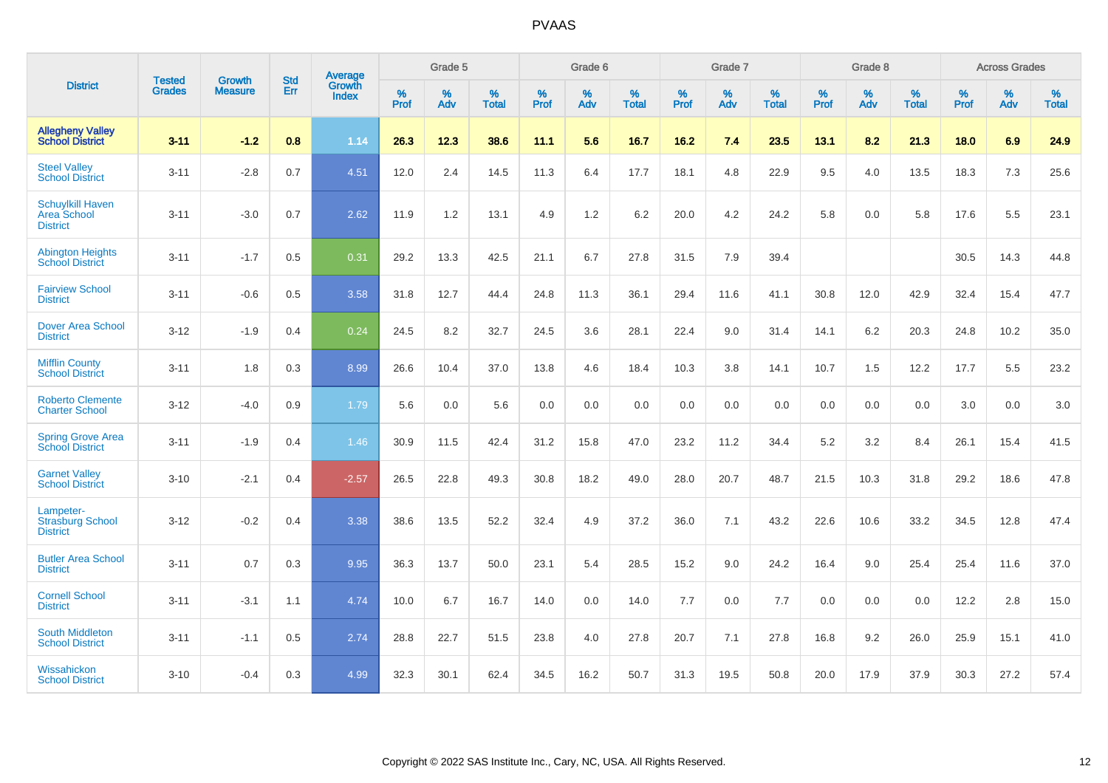|                                                                  | <b>Tested</b> | <b>Growth</b>  | <b>Std</b> | Average                |           | Grade 5  |                   |                  | Grade 6  |                   |           | Grade 7  |                   |           | Grade 8  |                   |           | <b>Across Grades</b> |                   |
|------------------------------------------------------------------|---------------|----------------|------------|------------------------|-----------|----------|-------------------|------------------|----------|-------------------|-----------|----------|-------------------|-----------|----------|-------------------|-----------|----------------------|-------------------|
| <b>District</b>                                                  | <b>Grades</b> | <b>Measure</b> | Err        | Growth<br><b>Index</b> | %<br>Prof | %<br>Adv | %<br><b>Total</b> | %<br><b>Prof</b> | %<br>Adv | %<br><b>Total</b> | %<br>Prof | %<br>Adv | %<br><b>Total</b> | %<br>Prof | %<br>Adv | %<br><b>Total</b> | %<br>Prof | %<br>Adv             | %<br><b>Total</b> |
| <b>Allegheny Valley</b><br><b>School District</b>                | $3 - 11$      | $-1.2$         | 0.8        | 1.14                   | 26.3      | 12.3     | 38.6              | 11.1             | 5.6      | 16.7              | 16.2      | 7.4      | 23.5              | 13.1      | 8.2      | 21.3              | 18.0      | 6.9                  | 24.9              |
| <b>Steel Valley</b><br><b>School District</b>                    | $3 - 11$      | $-2.8$         | 0.7        | 4.51                   | 12.0      | 2.4      | 14.5              | 11.3             | 6.4      | 17.7              | 18.1      | 4.8      | 22.9              | 9.5       | 4.0      | 13.5              | 18.3      | 7.3                  | 25.6              |
| <b>Schuylkill Haven</b><br><b>Area School</b><br><b>District</b> | $3 - 11$      | $-3.0$         | 0.7        | 2.62                   | 11.9      | 1.2      | 13.1              | 4.9              | 1.2      | 6.2               | 20.0      | 4.2      | 24.2              | 5.8       | 0.0      | 5.8               | 17.6      | 5.5                  | 23.1              |
| <b>Abington Heights</b><br><b>School District</b>                | $3 - 11$      | $-1.7$         | 0.5        | 0.31                   | 29.2      | 13.3     | 42.5              | 21.1             | 6.7      | 27.8              | 31.5      | 7.9      | 39.4              |           |          |                   | 30.5      | 14.3                 | 44.8              |
| <b>Fairview School</b><br><b>District</b>                        | $3 - 11$      | $-0.6$         | 0.5        | 3.58                   | 31.8      | 12.7     | 44.4              | 24.8             | 11.3     | 36.1              | 29.4      | 11.6     | 41.1              | 30.8      | 12.0     | 42.9              | 32.4      | 15.4                 | 47.7              |
| <b>Dover Area School</b><br><b>District</b>                      | $3 - 12$      | $-1.9$         | 0.4        | 0.24                   | 24.5      | 8.2      | 32.7              | 24.5             | 3.6      | 28.1              | 22.4      | 9.0      | 31.4              | 14.1      | $6.2\,$  | 20.3              | 24.8      | 10.2                 | 35.0              |
| <b>Mifflin County</b><br><b>School District</b>                  | $3 - 11$      | 1.8            | 0.3        | 8.99                   | 26.6      | 10.4     | 37.0              | 13.8             | 4.6      | 18.4              | 10.3      | 3.8      | 14.1              | 10.7      | 1.5      | 12.2              | 17.7      | 5.5                  | 23.2              |
| <b>Roberto Clemente</b><br><b>Charter School</b>                 | $3 - 12$      | $-4.0$         | 0.9        | 1.79                   | 5.6       | 0.0      | 5.6               | 0.0              | 0.0      | 0.0               | 0.0       | 0.0      | 0.0               | 0.0       | 0.0      | 0.0               | 3.0       | 0.0                  | 3.0               |
| <b>Spring Grove Area</b><br><b>School District</b>               | $3 - 11$      | $-1.9$         | 0.4        | 1.46                   | 30.9      | 11.5     | 42.4              | 31.2             | 15.8     | 47.0              | 23.2      | 11.2     | 34.4              | 5.2       | 3.2      | 8.4               | 26.1      | 15.4                 | 41.5              |
| <b>Garnet Valley</b><br><b>School District</b>                   | $3 - 10$      | $-2.1$         | 0.4        | $-2.57$                | 26.5      | 22.8     | 49.3              | 30.8             | 18.2     | 49.0              | 28.0      | 20.7     | 48.7              | 21.5      | 10.3     | 31.8              | 29.2      | 18.6                 | 47.8              |
| Lampeter-<br><b>Strasburg School</b><br><b>District</b>          | $3 - 12$      | $-0.2$         | 0.4        | 3.38                   | 38.6      | 13.5     | 52.2              | 32.4             | 4.9      | 37.2              | 36.0      | 7.1      | 43.2              | 22.6      | 10.6     | 33.2              | 34.5      | 12.8                 | 47.4              |
| <b>Butler Area School</b><br><b>District</b>                     | $3 - 11$      | 0.7            | 0.3        | 9.95                   | 36.3      | 13.7     | 50.0              | 23.1             | 5.4      | 28.5              | 15.2      | 9.0      | 24.2              | 16.4      | 9.0      | 25.4              | 25.4      | 11.6                 | 37.0              |
| <b>Cornell School</b><br><b>District</b>                         | $3 - 11$      | $-3.1$         | 1.1        | 4.74                   | 10.0      | 6.7      | 16.7              | 14.0             | 0.0      | 14.0              | $7.7$     | 0.0      | 7.7               | 0.0       | 0.0      | 0.0               | 12.2      | $2.8\,$              | 15.0              |
| <b>South Middleton</b><br><b>School District</b>                 | $3 - 11$      | $-1.1$         | 0.5        | 2.74                   | 28.8      | 22.7     | 51.5              | 23.8             | 4.0      | 27.8              | 20.7      | 7.1      | 27.8              | 16.8      | 9.2      | 26.0              | 25.9      | 15.1                 | 41.0              |
| Wissahickon<br><b>School District</b>                            | $3 - 10$      | $-0.4$         | 0.3        | 4.99                   | 32.3      | 30.1     | 62.4              | 34.5             | 16.2     | 50.7              | 31.3      | 19.5     | 50.8              | 20.0      | 17.9     | 37.9              | 30.3      | 27.2                 | 57.4              |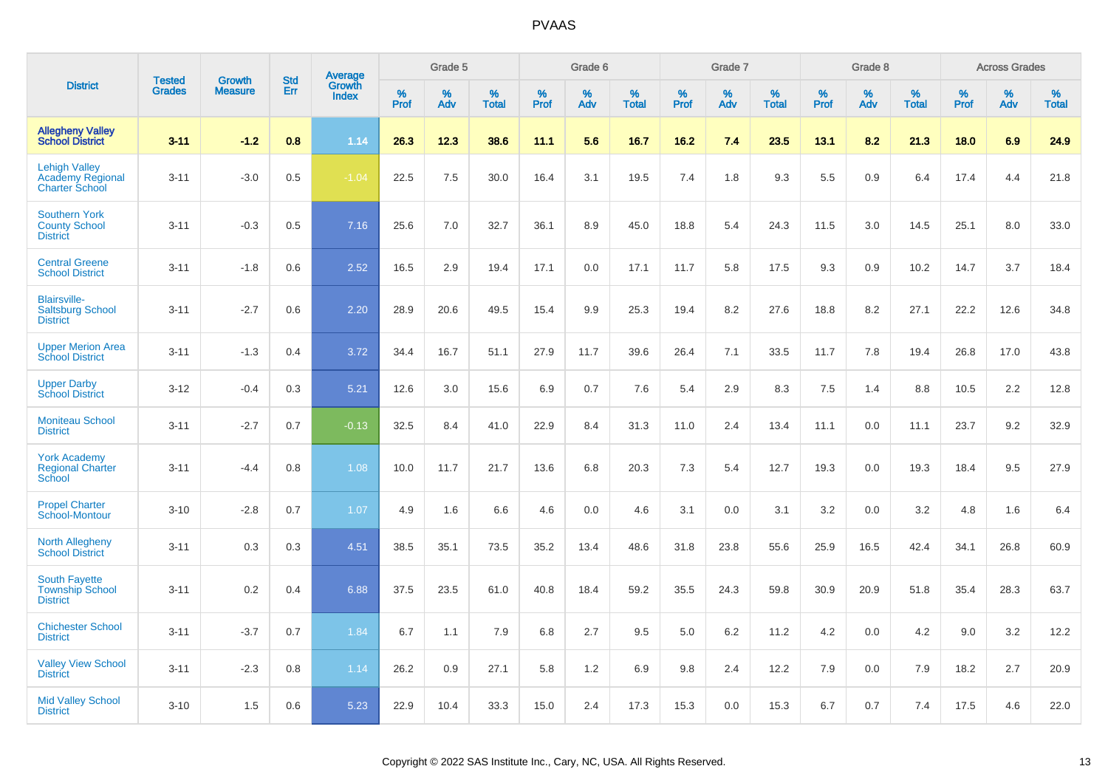|                                                                          |                                |                                 | <b>Std</b> |                                          |                     | Grade 5  |                   |              | Grade 6  |                   |           | Grade 7  |                   |           | Grade 8  |                   |              | <b>Across Grades</b> |                   |
|--------------------------------------------------------------------------|--------------------------------|---------------------------------|------------|------------------------------------------|---------------------|----------|-------------------|--------------|----------|-------------------|-----------|----------|-------------------|-----------|----------|-------------------|--------------|----------------------|-------------------|
| <b>District</b>                                                          | <b>Tested</b><br><b>Grades</b> | <b>Growth</b><br><b>Measure</b> | Err        | <b>Average</b><br>Growth<br><b>Index</b> | $\%$<br><b>Prof</b> | %<br>Adv | %<br><b>Total</b> | $\%$<br>Prof | %<br>Adv | %<br><b>Total</b> | %<br>Prof | %<br>Adv | %<br><b>Total</b> | %<br>Prof | %<br>Adv | %<br><b>Total</b> | $\%$<br>Prof | %<br>Adv             | %<br><b>Total</b> |
| <b>Allegheny Valley</b><br><b>School District</b>                        | $3 - 11$                       | $-1.2$                          | 0.8        | 1.14                                     | 26.3                | 12.3     | 38.6              | 11.1         | 5.6      | 16.7              | $16.2$    | 7.4      | 23.5              | 13.1      | 8.2      | 21.3              | 18.0         | 6.9                  | 24.9              |
| <b>Lehigh Valley</b><br><b>Academy Regional</b><br><b>Charter School</b> | $3 - 11$                       | $-3.0$                          | 0.5        | $-1.04$                                  | 22.5                | 7.5      | 30.0              | 16.4         | 3.1      | 19.5              | 7.4       | 1.8      | 9.3               | 5.5       | 0.9      | 6.4               | 17.4         | 4.4                  | 21.8              |
| <b>Southern York</b><br><b>County School</b><br><b>District</b>          | $3 - 11$                       | $-0.3$                          | 0.5        | 7.16                                     | 25.6                | 7.0      | 32.7              | 36.1         | 8.9      | 45.0              | 18.8      | 5.4      | 24.3              | 11.5      | 3.0      | 14.5              | 25.1         | 8.0                  | 33.0              |
| <b>Central Greene</b><br><b>School District</b>                          | $3 - 11$                       | $-1.8$                          | 0.6        | 2.52                                     | 16.5                | 2.9      | 19.4              | 17.1         | 0.0      | 17.1              | 11.7      | 5.8      | 17.5              | 9.3       | 0.9      | 10.2              | 14.7         | 3.7                  | 18.4              |
| <b>Blairsville-</b><br><b>Saltsburg School</b><br><b>District</b>        | $3 - 11$                       | $-2.7$                          | 0.6        | 2.20                                     | 28.9                | 20.6     | 49.5              | 15.4         | 9.9      | 25.3              | 19.4      | 8.2      | 27.6              | 18.8      | 8.2      | 27.1              | 22.2         | 12.6                 | 34.8              |
| <b>Upper Merion Area</b><br><b>School District</b>                       | $3 - 11$                       | $-1.3$                          | 0.4        | 3.72                                     | 34.4                | 16.7     | 51.1              | 27.9         | 11.7     | 39.6              | 26.4      | 7.1      | 33.5              | 11.7      | 7.8      | 19.4              | 26.8         | 17.0                 | 43.8              |
| <b>Upper Darby</b><br><b>School District</b>                             | $3 - 12$                       | $-0.4$                          | 0.3        | 5.21                                     | 12.6                | 3.0      | 15.6              | 6.9          | 0.7      | 7.6               | 5.4       | 2.9      | 8.3               | 7.5       | 1.4      | 8.8               | 10.5         | 2.2                  | 12.8              |
| <b>Moniteau School</b><br><b>District</b>                                | $3 - 11$                       | $-2.7$                          | 0.7        | $-0.13$                                  | 32.5                | 8.4      | 41.0              | 22.9         | 8.4      | 31.3              | 11.0      | 2.4      | 13.4              | 11.1      | 0.0      | 11.1              | 23.7         | 9.2                  | 32.9              |
| <b>York Academy</b><br><b>Regional Charter</b><br>School                 | $3 - 11$                       | $-4.4$                          | 0.8        | 1.08                                     | 10.0                | 11.7     | 21.7              | 13.6         | 6.8      | 20.3              | 7.3       | 5.4      | 12.7              | 19.3      | 0.0      | 19.3              | 18.4         | 9.5                  | 27.9              |
| <b>Propel Charter</b><br>School-Montour                                  | $3 - 10$                       | $-2.8$                          | 0.7        | 1.07                                     | 4.9                 | 1.6      | 6.6               | 4.6          | 0.0      | 4.6               | 3.1       | 0.0      | 3.1               | 3.2       | 0.0      | 3.2               | 4.8          | 1.6                  | 6.4               |
| <b>North Allegheny</b><br><b>School District</b>                         | $3 - 11$                       | 0.3                             | 0.3        | 4.51                                     | 38.5                | 35.1     | 73.5              | 35.2         | 13.4     | 48.6              | 31.8      | 23.8     | 55.6              | 25.9      | 16.5     | 42.4              | 34.1         | 26.8                 | 60.9              |
| <b>South Fayette</b><br><b>Township School</b><br><b>District</b>        | $3 - 11$                       | 0.2                             | 0.4        | 6.88                                     | 37.5                | 23.5     | 61.0              | 40.8         | 18.4     | 59.2              | 35.5      | 24.3     | 59.8              | 30.9      | 20.9     | 51.8              | 35.4         | 28.3                 | 63.7              |
| <b>Chichester School</b><br><b>District</b>                              | $3 - 11$                       | $-3.7$                          | 0.7        | 1.84                                     | 6.7                 | 1.1      | 7.9               | 6.8          | 2.7      | 9.5               | 5.0       | 6.2      | 11.2              | 4.2       | 0.0      | 4.2               | 9.0          | 3.2                  | 12.2              |
| <b>Valley View School</b><br><b>District</b>                             | $3 - 11$                       | $-2.3$                          | 0.8        | 1.14                                     | 26.2                | 0.9      | 27.1              | 5.8          | 1.2      | 6.9               | 9.8       | 2.4      | 12.2              | 7.9       | 0.0      | 7.9               | 18.2         | 2.7                  | 20.9              |
| <b>Mid Valley School</b><br><b>District</b>                              | $3 - 10$                       | 1.5                             | 0.6        | 5.23                                     | 22.9                | 10.4     | 33.3              | 15.0         | 2.4      | 17.3              | 15.3      | 0.0      | 15.3              | 6.7       | 0.7      | 7.4               | 17.5         | 4.6                  | 22.0              |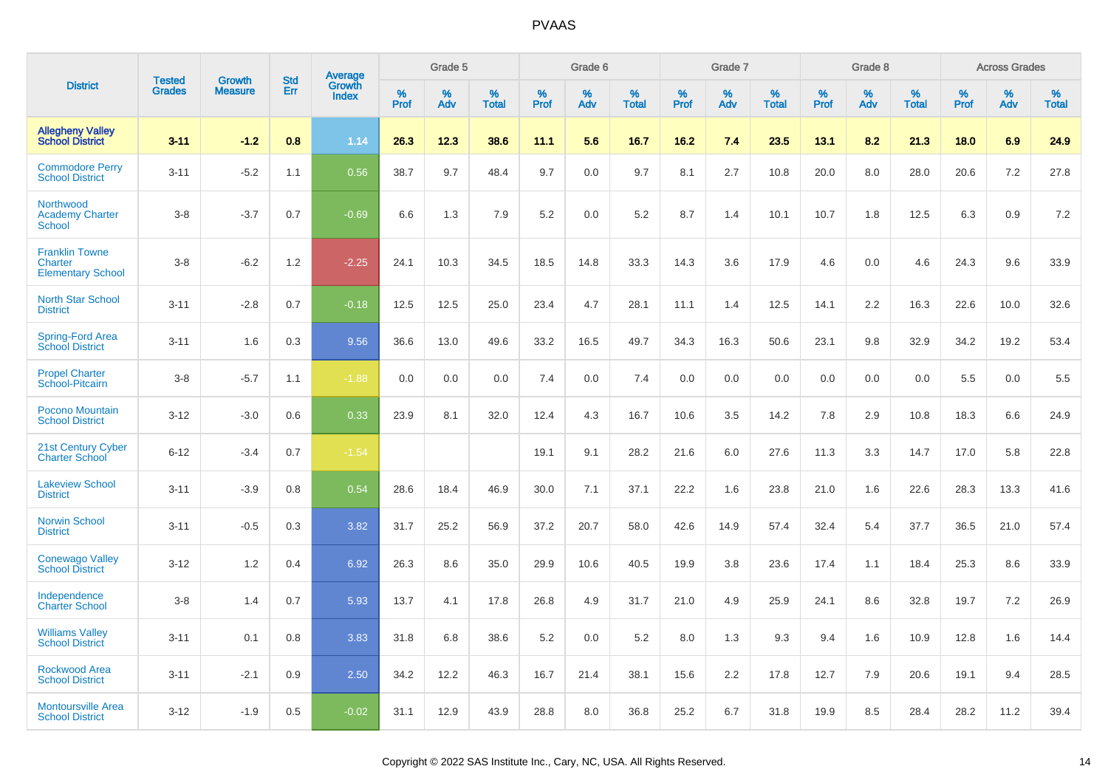|                                                              | <b>Tested</b> |                                 | <b>Std</b> |                                          |              | Grade 5  |                   |              | Grade 6  |                   |              | Grade 7  |                   |              | Grade 8  |                   |              | <b>Across Grades</b> |                   |
|--------------------------------------------------------------|---------------|---------------------------------|------------|------------------------------------------|--------------|----------|-------------------|--------------|----------|-------------------|--------------|----------|-------------------|--------------|----------|-------------------|--------------|----------------------|-------------------|
| <b>District</b>                                              | <b>Grades</b> | <b>Growth</b><br><b>Measure</b> | Err        | <b>Average</b><br>Growth<br><b>Index</b> | $\%$<br>Prof | %<br>Adv | %<br><b>Total</b> | $\%$<br>Prof | %<br>Adv | %<br><b>Total</b> | $\%$<br>Prof | %<br>Adv | %<br><b>Total</b> | $\%$<br>Prof | %<br>Adv | %<br><b>Total</b> | $\%$<br>Prof | %<br>Adv             | %<br><b>Total</b> |
| <b>Allegheny Valley</b><br><b>School District</b>            | $3 - 11$      | $-1.2$                          | 0.8        | 1.14                                     | 26.3         | 12.3     | 38.6              | 11.1         | 5.6      | 16.7              | 16.2         | 7.4      | 23.5              | 13.1         | 8.2      | 21.3              | 18.0         | 6.9                  | 24.9              |
| <b>Commodore Perry</b><br><b>School District</b>             | $3 - 11$      | $-5.2$                          | 1.1        | 0.56                                     | 38.7         | 9.7      | 48.4              | 9.7          | 0.0      | 9.7               | 8.1          | 2.7      | 10.8              | 20.0         | 8.0      | 28.0              | 20.6         | 7.2                  | 27.8              |
| Northwood<br><b>Academy Charter</b><br><b>School</b>         | $3 - 8$       | $-3.7$                          | 0.7        | $-0.69$                                  | 6.6          | 1.3      | 7.9               | 5.2          | 0.0      | 5.2               | 8.7          | 1.4      | 10.1              | 10.7         | 1.8      | 12.5              | 6.3          | 0.9                  | 7.2               |
| <b>Franklin Towne</b><br>Charter<br><b>Elementary School</b> | $3 - 8$       | $-6.2$                          | 1.2        | $-2.25$                                  | 24.1         | 10.3     | 34.5              | 18.5         | 14.8     | 33.3              | 14.3         | 3.6      | 17.9              | 4.6          | 0.0      | 4.6               | 24.3         | 9.6                  | 33.9              |
| <b>North Star School</b><br><b>District</b>                  | $3 - 11$      | $-2.8$                          | 0.7        | $-0.18$                                  | 12.5         | 12.5     | 25.0              | 23.4         | 4.7      | 28.1              | 11.1         | 1.4      | 12.5              | 14.1         | 2.2      | 16.3              | 22.6         | 10.0                 | 32.6              |
| Spring-Ford Area<br><b>School District</b>                   | $3 - 11$      | 1.6                             | 0.3        | 9.56                                     | 36.6         | 13.0     | 49.6              | 33.2         | 16.5     | 49.7              | 34.3         | 16.3     | 50.6              | 23.1         | 9.8      | 32.9              | 34.2         | 19.2                 | 53.4              |
| <b>Propel Charter</b><br>School-Pitcairn                     | $3 - 8$       | $-5.7$                          | 1.1        | $-1.88$                                  | 0.0          | 0.0      | 0.0               | 7.4          | 0.0      | 7.4               | 0.0          | 0.0      | 0.0               | 0.0          | 0.0      | 0.0               | 5.5          | 0.0                  | 5.5               |
| Pocono Mountain<br><b>School District</b>                    | $3 - 12$      | $-3.0$                          | 0.6        | 0.33                                     | 23.9         | 8.1      | 32.0              | 12.4         | 4.3      | 16.7              | 10.6         | 3.5      | 14.2              | 7.8          | 2.9      | 10.8              | 18.3         | 6.6                  | 24.9              |
| 21st Century Cyber<br><b>Charter School</b>                  | $6 - 12$      | $-3.4$                          | 0.7        | $-1.54$                                  |              |          |                   | 19.1         | 9.1      | 28.2              | 21.6         | 6.0      | 27.6              | 11.3         | 3.3      | 14.7              | 17.0         | 5.8                  | 22.8              |
| <b>Lakeview School</b><br><b>District</b>                    | $3 - 11$      | $-3.9$                          | 0.8        | 0.54                                     | 28.6         | 18.4     | 46.9              | 30.0         | 7.1      | 37.1              | 22.2         | 1.6      | 23.8              | 21.0         | 1.6      | 22.6              | 28.3         | 13.3                 | 41.6              |
| <b>Norwin School</b><br><b>District</b>                      | $3 - 11$      | $-0.5$                          | 0.3        | 3.82                                     | 31.7         | 25.2     | 56.9              | 37.2         | 20.7     | 58.0              | 42.6         | 14.9     | 57.4              | 32.4         | 5.4      | 37.7              | 36.5         | 21.0                 | 57.4              |
| <b>Conewago Valley</b><br><b>School District</b>             | $3 - 12$      | 1.2                             | 0.4        | 6.92                                     | 26.3         | 8.6      | 35.0              | 29.9         | 10.6     | 40.5              | 19.9         | 3.8      | 23.6              | 17.4         | 1.1      | 18.4              | 25.3         | 8.6                  | 33.9              |
| Independence<br><b>Charter School</b>                        | $3 - 8$       | 1.4                             | 0.7        | 5.93                                     | 13.7         | 4.1      | 17.8              | 26.8         | 4.9      | 31.7              | 21.0         | 4.9      | 25.9              | 24.1         | 8.6      | 32.8              | 19.7         | 7.2                  | 26.9              |
| <b>Williams Valley</b><br><b>School District</b>             | $3 - 11$      | 0.1                             | 0.8        | 3.83                                     | 31.8         | 6.8      | 38.6              | 5.2          | 0.0      | 5.2               | 8.0          | 1.3      | 9.3               | 9.4          | 1.6      | 10.9              | 12.8         | 1.6                  | 14.4              |
| <b>Rockwood Area</b><br><b>School District</b>               | $3 - 11$      | $-2.1$                          | 0.9        | 2.50                                     | 34.2         | 12.2     | 46.3              | 16.7         | 21.4     | 38.1              | 15.6         | 2.2      | 17.8              | 12.7         | 7.9      | 20.6              | 19.1         | 9.4                  | 28.5              |
| <b>Montoursville Area</b><br><b>School District</b>          | $3 - 12$      | $-1.9$                          | 0.5        | $-0.02$                                  | 31.1         | 12.9     | 43.9              | 28.8         | 8.0      | 36.8              | 25.2         | 6.7      | 31.8              | 19.9         | 8.5      | 28.4              | 28.2         | 11.2                 | 39.4              |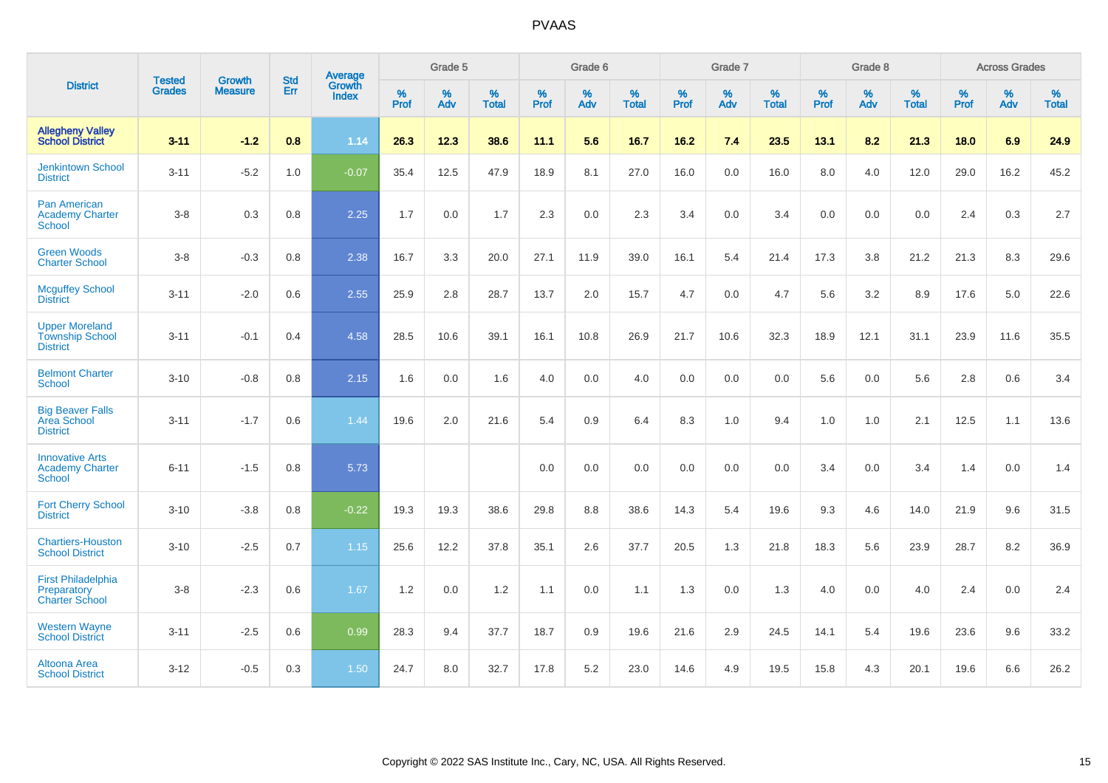|                                                                    | <b>Tested</b> | <b>Growth</b>  | <b>Std</b> | Average                |                     | Grade 5  |                   |                     | Grade 6  |                   |              | Grade 7  |                   |                     | Grade 8  |                   |                     | <b>Across Grades</b> |                   |
|--------------------------------------------------------------------|---------------|----------------|------------|------------------------|---------------------|----------|-------------------|---------------------|----------|-------------------|--------------|----------|-------------------|---------------------|----------|-------------------|---------------------|----------------------|-------------------|
| <b>District</b>                                                    | <b>Grades</b> | <b>Measure</b> | Err        | Growth<br><b>Index</b> | $\%$<br><b>Prof</b> | %<br>Adv | %<br><b>Total</b> | $\%$<br><b>Prof</b> | %<br>Adv | %<br><b>Total</b> | $\%$<br>Prof | %<br>Adv | %<br><b>Total</b> | $\%$<br><b>Prof</b> | %<br>Adv | %<br><b>Total</b> | $\%$<br><b>Prof</b> | %<br>Adv             | %<br><b>Total</b> |
| <b>Allegheny Valley</b><br><b>School District</b>                  | $3 - 11$      | $-1.2$         | 0.8        | 1.14                   | 26.3                | 12.3     | 38.6              | 11.1                | 5.6      | 16.7              | 16.2         | 7.4      | 23.5              | 13.1                | 8.2      | 21.3              | 18.0                | 6.9                  | 24.9              |
| <b>Jenkintown School</b><br><b>District</b>                        | $3 - 11$      | $-5.2$         | 1.0        | $-0.07$                | 35.4                | 12.5     | 47.9              | 18.9                | 8.1      | 27.0              | 16.0         | 0.0      | 16.0              | 8.0                 | 4.0      | 12.0              | 29.0                | 16.2                 | 45.2              |
| <b>Pan American</b><br><b>Academy Charter</b><br>School            | $3 - 8$       | 0.3            | 0.8        | 2.25                   | 1.7                 | 0.0      | 1.7               | 2.3                 | 0.0      | 2.3               | 3.4          | 0.0      | 3.4               | 0.0                 | 0.0      | 0.0               | 2.4                 | 0.3                  | 2.7               |
| <b>Green Woods</b><br><b>Charter School</b>                        | $3 - 8$       | $-0.3$         | 0.8        | 2.38                   | 16.7                | 3.3      | 20.0              | 27.1                | 11.9     | 39.0              | 16.1         | 5.4      | 21.4              | 17.3                | 3.8      | 21.2              | 21.3                | 8.3                  | 29.6              |
| <b>Mcguffey School</b><br><b>District</b>                          | $3 - 11$      | $-2.0$         | 0.6        | 2.55                   | 25.9                | 2.8      | 28.7              | 13.7                | 2.0      | 15.7              | 4.7          | 0.0      | 4.7               | 5.6                 | 3.2      | 8.9               | 17.6                | 5.0                  | 22.6              |
| <b>Upper Moreland</b><br><b>Township School</b><br><b>District</b> | $3 - 11$      | $-0.1$         | 0.4        | 4.58                   | 28.5                | 10.6     | 39.1              | 16.1                | 10.8     | 26.9              | 21.7         | 10.6     | 32.3              | 18.9                | 12.1     | 31.1              | 23.9                | 11.6                 | 35.5              |
| <b>Belmont Charter</b><br><b>School</b>                            | $3 - 10$      | $-0.8$         | 0.8        | 2.15                   | 1.6                 | 0.0      | 1.6               | 4.0                 | 0.0      | 4.0               | 0.0          | 0.0      | 0.0               | 5.6                 | 0.0      | 5.6               | 2.8                 | 0.6                  | 3.4               |
| <b>Big Beaver Falls</b><br>Area School<br><b>District</b>          | $3 - 11$      | $-1.7$         | 0.6        | 1.44                   | 19.6                | 2.0      | 21.6              | 5.4                 | 0.9      | 6.4               | 8.3          | 1.0      | 9.4               | 1.0                 | 1.0      | 2.1               | 12.5                | 1.1                  | 13.6              |
| <b>Innovative Arts</b><br><b>Academy Charter</b><br>School         | $6 - 11$      | $-1.5$         | 0.8        | 5.73                   |                     |          |                   | 0.0                 | 0.0      | 0.0               | 0.0          | 0.0      | 0.0               | 3.4                 | 0.0      | 3.4               | 1.4                 | 0.0                  | 1.4               |
| <b>Fort Cherry School</b><br><b>District</b>                       | $3 - 10$      | $-3.8$         | 0.8        | $-0.22$                | 19.3                | 19.3     | 38.6              | 29.8                | 8.8      | 38.6              | 14.3         | 5.4      | 19.6              | 9.3                 | 4.6      | 14.0              | 21.9                | 9.6                  | 31.5              |
| <b>Chartiers-Houston</b><br><b>School District</b>                 | $3 - 10$      | $-2.5$         | 0.7        | 1.15                   | 25.6                | 12.2     | 37.8              | 35.1                | 2.6      | 37.7              | 20.5         | 1.3      | 21.8              | 18.3                | 5.6      | 23.9              | 28.7                | 8.2                  | 36.9              |
| <b>First Philadelphia</b><br>Preparatory<br><b>Charter School</b>  | $3 - 8$       | $-2.3$         | 0.6        | 1.67                   | 1.2                 | 0.0      | 1.2               | 1.1                 | 0.0      | 1.1               | 1.3          | 0.0      | 1.3               | 4.0                 | 0.0      | 4.0               | 2.4                 | 0.0                  | 2.4               |
| <b>Western Wayne</b><br><b>School District</b>                     | $3 - 11$      | $-2.5$         | 0.6        | 0.99                   | 28.3                | 9.4      | 37.7              | 18.7                | 0.9      | 19.6              | 21.6         | 2.9      | 24.5              | 14.1                | 5.4      | 19.6              | 23.6                | 9.6                  | 33.2              |
| Altoona Area<br><b>School District</b>                             | $3 - 12$      | $-0.5$         | 0.3        | 1.50                   | 24.7                | 8.0      | 32.7              | 17.8                | 5.2      | 23.0              | 14.6         | 4.9      | 19.5              | 15.8                | 4.3      | 20.1              | 19.6                | 6.6                  | 26.2              |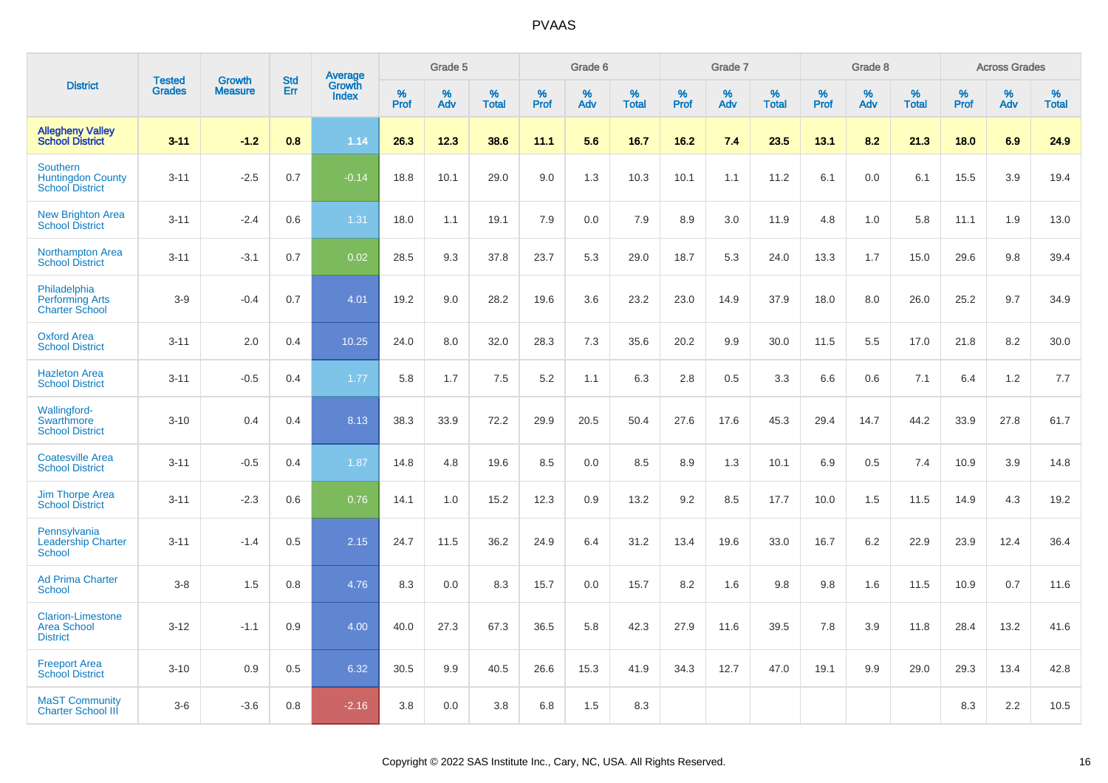|                                                                   | <b>Tested</b> | <b>Growth</b>  | <b>Std</b> | Average                |              | Grade 5  |                   |              | Grade 6  |                   |           | Grade 7  |                   |           | Grade 8  |                   |              | <b>Across Grades</b> |                   |
|-------------------------------------------------------------------|---------------|----------------|------------|------------------------|--------------|----------|-------------------|--------------|----------|-------------------|-----------|----------|-------------------|-----------|----------|-------------------|--------------|----------------------|-------------------|
| <b>District</b>                                                   | <b>Grades</b> | <b>Measure</b> | Err        | Growth<br><b>Index</b> | $\%$<br>Prof | %<br>Adv | %<br><b>Total</b> | $\%$<br>Prof | %<br>Adv | %<br><b>Total</b> | %<br>Prof | %<br>Adv | %<br><b>Total</b> | %<br>Prof | %<br>Adv | %<br><b>Total</b> | $\%$<br>Prof | %<br>Adv             | %<br><b>Total</b> |
| <b>Allegheny Valley</b><br><b>School District</b>                 | $3 - 11$      | $-1.2$         | 0.8        | 1.14                   | 26.3         | 12.3     | 38.6              | 11.1         | 5.6      | 16.7              | $16.2$    | 7.4      | 23.5              | 13.1      | 8.2      | 21.3              | 18.0         | 6.9                  | 24.9              |
| Southern<br><b>Huntingdon County</b><br><b>School District</b>    | $3 - 11$      | $-2.5$         | 0.7        | $-0.14$                | 18.8         | 10.1     | 29.0              | 9.0          | 1.3      | 10.3              | 10.1      | 1.1      | 11.2              | 6.1       | 0.0      | 6.1               | 15.5         | 3.9                  | 19.4              |
| <b>New Brighton Area</b><br><b>School District</b>                | $3 - 11$      | $-2.4$         | 0.6        | 1.31                   | 18.0         | 1.1      | 19.1              | 7.9          | 0.0      | 7.9               | 8.9       | 3.0      | 11.9              | 4.8       | 1.0      | 5.8               | 11.1         | 1.9                  | 13.0              |
| <b>Northampton Area</b><br><b>School District</b>                 | $3 - 11$      | $-3.1$         | 0.7        | 0.02                   | 28.5         | 9.3      | 37.8              | 23.7         | 5.3      | 29.0              | 18.7      | 5.3      | 24.0              | 13.3      | 1.7      | 15.0              | 29.6         | 9.8                  | 39.4              |
| Philadelphia<br><b>Performing Arts</b><br><b>Charter School</b>   | $3-9$         | $-0.4$         | 0.7        | 4.01                   | 19.2         | 9.0      | 28.2              | 19.6         | 3.6      | 23.2              | 23.0      | 14.9     | 37.9              | 18.0      | 8.0      | 26.0              | 25.2         | 9.7                  | 34.9              |
| <b>Oxford Area</b><br><b>School District</b>                      | $3 - 11$      | 2.0            | 0.4        | 10.25                  | 24.0         | 8.0      | 32.0              | 28.3         | 7.3      | 35.6              | 20.2      | 9.9      | 30.0              | 11.5      | 5.5      | 17.0              | 21.8         | 8.2                  | 30.0              |
| <b>Hazleton Area</b><br><b>School District</b>                    | $3 - 11$      | $-0.5$         | 0.4        | 1.77                   | 5.8          | 1.7      | 7.5               | 5.2          | 1.1      | 6.3               | 2.8       | 0.5      | 3.3               | 6.6       | 0.6      | 7.1               | 6.4          | 1.2                  | 7.7               |
| Wallingford-<br>Swarthmore<br><b>School District</b>              | $3 - 10$      | 0.4            | 0.4        | 8.13                   | 38.3         | 33.9     | 72.2              | 29.9         | 20.5     | 50.4              | 27.6      | 17.6     | 45.3              | 29.4      | 14.7     | 44.2              | 33.9         | 27.8                 | 61.7              |
| <b>Coatesville Area</b><br><b>School District</b>                 | $3 - 11$      | $-0.5$         | 0.4        | 1.87                   | 14.8         | 4.8      | 19.6              | 8.5          | 0.0      | 8.5               | 8.9       | 1.3      | 10.1              | 6.9       | 0.5      | 7.4               | 10.9         | 3.9                  | 14.8              |
| Jim Thorpe Area<br><b>School District</b>                         | $3 - 11$      | $-2.3$         | 0.6        | 0.76                   | 14.1         | 1.0      | 15.2              | 12.3         | 0.9      | 13.2              | 9.2       | 8.5      | 17.7              | 10.0      | 1.5      | 11.5              | 14.9         | 4.3                  | 19.2              |
| Pennsylvania<br><b>Leadership Charter</b><br><b>School</b>        | $3 - 11$      | $-1.4$         | 0.5        | 2.15                   | 24.7         | 11.5     | 36.2              | 24.9         | 6.4      | 31.2              | 13.4      | 19.6     | 33.0              | 16.7      | 6.2      | 22.9              | 23.9         | 12.4                 | 36.4              |
| <b>Ad Prima Charter</b><br>School                                 | $3 - 8$       | 1.5            | 0.8        | 4.76                   | 8.3          | 0.0      | 8.3               | 15.7         | 0.0      | 15.7              | 8.2       | 1.6      | 9.8               | 9.8       | 1.6      | 11.5              | 10.9         | 0.7                  | 11.6              |
| <b>Clarion-Limestone</b><br><b>Area School</b><br><b>District</b> | $3 - 12$      | $-1.1$         | 0.9        | 4.00                   | 40.0         | 27.3     | 67.3              | 36.5         | 5.8      | 42.3              | 27.9      | 11.6     | 39.5              | 7.8       | 3.9      | 11.8              | 28.4         | 13.2                 | 41.6              |
| <b>Freeport Area</b><br><b>School District</b>                    | $3 - 10$      | 0.9            | 0.5        | 6.32                   | 30.5         | 9.9      | 40.5              | 26.6         | 15.3     | 41.9              | 34.3      | 12.7     | 47.0              | 19.1      | 9.9      | 29.0              | 29.3         | 13.4                 | 42.8              |
| <b>MaST Community</b><br><b>Charter School III</b>                | $3-6$         | $-3.6$         | 0.8        | $-2.16$                | 3.8          | 0.0      | 3.8               | 6.8          | 1.5      | 8.3               |           |          |                   |           |          |                   | 8.3          | 2.2                  | 10.5              |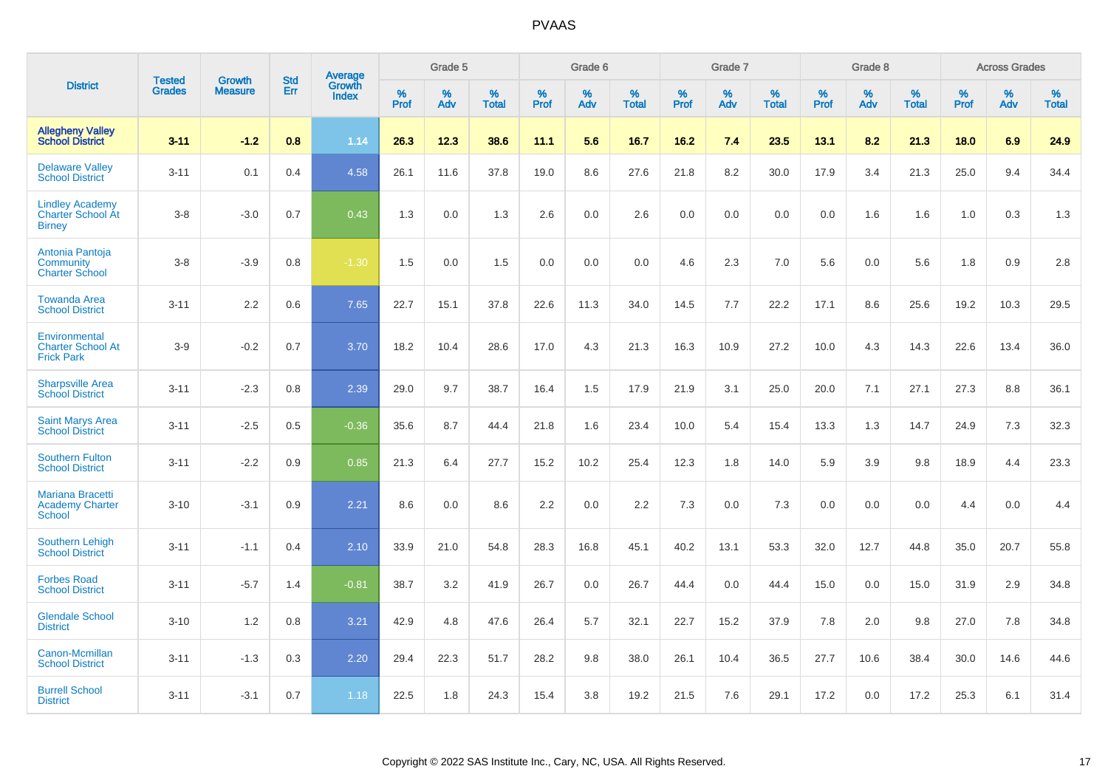|                                                                     |                                | <b>Growth</b>  | <b>Std</b> |                                          |              | Grade 5  |                   |           | Grade 6  |                   |              | Grade 7  |                   |              | Grade 8  |                   |              | <b>Across Grades</b> |                   |
|---------------------------------------------------------------------|--------------------------------|----------------|------------|------------------------------------------|--------------|----------|-------------------|-----------|----------|-------------------|--------------|----------|-------------------|--------------|----------|-------------------|--------------|----------------------|-------------------|
| <b>District</b>                                                     | <b>Tested</b><br><b>Grades</b> | <b>Measure</b> | <b>Err</b> | <b>Average</b><br>Growth<br><b>Index</b> | $\%$<br>Prof | %<br>Adv | %<br><b>Total</b> | %<br>Prof | %<br>Adv | %<br><b>Total</b> | $\%$<br>Prof | %<br>Adv | %<br><b>Total</b> | $\%$<br>Prof | %<br>Adv | %<br><b>Total</b> | $\%$<br>Prof | %<br>Adv             | %<br><b>Total</b> |
| <b>Allegheny Valley</b><br><b>School District</b>                   | $3 - 11$                       | $-1.2$         | 0.8        | 1.14                                     | 26.3         | 12.3     | 38.6              | 11.1      | 5.6      | 16.7              | 16.2         | 7.4      | 23.5              | 13.1         | 8.2      | 21.3              | 18.0         | 6.9                  | 24.9              |
| <b>Delaware Valley</b><br><b>School District</b>                    | $3 - 11$                       | 0.1            | 0.4        | 4.58                                     | 26.1         | 11.6     | 37.8              | 19.0      | 8.6      | 27.6              | 21.8         | 8.2      | 30.0              | 17.9         | 3.4      | 21.3              | 25.0         | 9.4                  | 34.4              |
| <b>Lindley Academy</b><br><b>Charter School At</b><br><b>Birney</b> | $3 - 8$                        | $-3.0$         | 0.7        | 0.43                                     | 1.3          | 0.0      | 1.3               | 2.6       | 0.0      | 2.6               | 0.0          | 0.0      | 0.0               | 0.0          | 1.6      | 1.6               | 1.0          | 0.3                  | 1.3               |
| Antonia Pantoja<br>Community<br><b>Charter School</b>               | $3 - 8$                        | $-3.9$         | 0.8        | $-1.30$                                  | 1.5          | 0.0      | 1.5               | 0.0       | 0.0      | 0.0               | 4.6          | 2.3      | 7.0               | 5.6          | 0.0      | 5.6               | 1.8          | 0.9                  | 2.8               |
| <b>Towanda Area</b><br><b>School District</b>                       | $3 - 11$                       | 2.2            | 0.6        | 7.65                                     | 22.7         | 15.1     | 37.8              | 22.6      | 11.3     | 34.0              | 14.5         | 7.7      | 22.2              | 17.1         | 8.6      | 25.6              | 19.2         | 10.3                 | 29.5              |
| Environmental<br><b>Charter School At</b><br><b>Frick Park</b>      | $3-9$                          | $-0.2$         | 0.7        | 3.70                                     | 18.2         | 10.4     | 28.6              | 17.0      | 4.3      | 21.3              | 16.3         | 10.9     | 27.2              | 10.0         | 4.3      | 14.3              | 22.6         | 13.4                 | 36.0              |
| <b>Sharpsville Area</b><br><b>School District</b>                   | $3 - 11$                       | $-2.3$         | 0.8        | 2.39                                     | 29.0         | 9.7      | 38.7              | 16.4      | 1.5      | 17.9              | 21.9         | 3.1      | 25.0              | 20.0         | 7.1      | 27.1              | 27.3         | 8.8                  | 36.1              |
| <b>Saint Marys Area</b><br><b>School District</b>                   | $3 - 11$                       | $-2.5$         | 0.5        | $-0.36$                                  | 35.6         | 8.7      | 44.4              | 21.8      | 1.6      | 23.4              | 10.0         | 5.4      | 15.4              | 13.3         | 1.3      | 14.7              | 24.9         | 7.3                  | 32.3              |
| <b>Southern Fulton</b><br><b>School District</b>                    | $3 - 11$                       | $-2.2$         | 0.9        | 0.85                                     | 21.3         | 6.4      | 27.7              | 15.2      | 10.2     | 25.4              | 12.3         | 1.8      | 14.0              | 5.9          | 3.9      | 9.8               | 18.9         | 4.4                  | 23.3              |
| <b>Mariana Bracetti</b><br><b>Academy Charter</b><br><b>School</b>  | $3 - 10$                       | $-3.1$         | 0.9        | 2.21                                     | 8.6          | 0.0      | 8.6               | 2.2       | 0.0      | 2.2               | 7.3          | 0.0      | 7.3               | 0.0          | 0.0      | 0.0               | 4.4          | 0.0                  | 4.4               |
| <b>Southern Lehigh</b><br><b>School District</b>                    | $3 - 11$                       | $-1.1$         | 0.4        | 2.10                                     | 33.9         | 21.0     | 54.8              | 28.3      | 16.8     | 45.1              | 40.2         | 13.1     | 53.3              | 32.0         | 12.7     | 44.8              | 35.0         | 20.7                 | 55.8              |
| <b>Forbes Road</b><br><b>School District</b>                        | $3 - 11$                       | $-5.7$         | 1.4        | $-0.81$                                  | 38.7         | 3.2      | 41.9              | 26.7      | 0.0      | 26.7              | 44.4         | 0.0      | 44.4              | 15.0         | 0.0      | 15.0              | 31.9         | 2.9                  | 34.8              |
| <b>Glendale School</b><br><b>District</b>                           | $3 - 10$                       | 1.2            | 0.8        | 3.21                                     | 42.9         | 4.8      | 47.6              | 26.4      | 5.7      | 32.1              | 22.7         | 15.2     | 37.9              | 7.8          | 2.0      | 9.8               | 27.0         | 7.8                  | 34.8              |
| Canon-Mcmillan<br><b>School District</b>                            | $3 - 11$                       | $-1.3$         | 0.3        | 2.20                                     | 29.4         | 22.3     | 51.7              | 28.2      | 9.8      | 38.0              | 26.1         | 10.4     | 36.5              | 27.7         | 10.6     | 38.4              | 30.0         | 14.6                 | 44.6              |
| <b>Burrell School</b><br><b>District</b>                            | $3 - 11$                       | $-3.1$         | 0.7        | 1.18                                     | 22.5         | 1.8      | 24.3              | 15.4      | 3.8      | 19.2              | 21.5         | 7.6      | 29.1              | 17.2         | 0.0      | 17.2              | 25.3         | 6.1                  | 31.4              |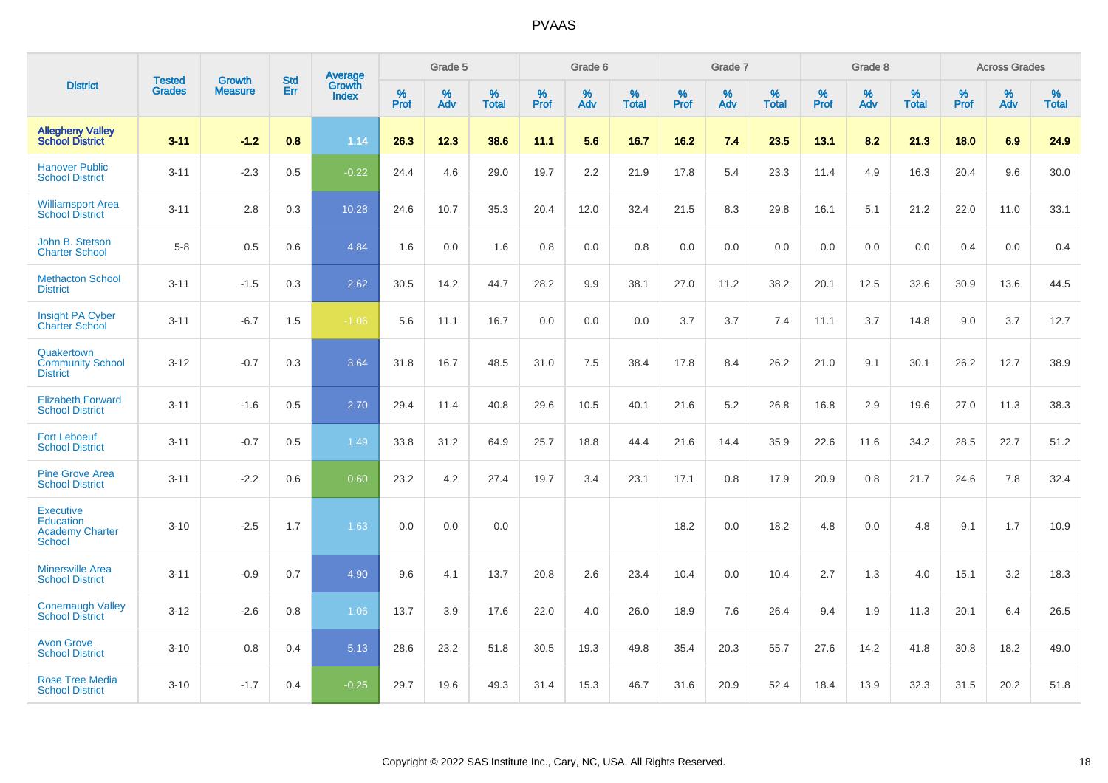|                                                                                 | <b>Tested</b> | <b>Growth</b>  | <b>Std</b> | Average                |              | Grade 5  |                   |           | Grade 6  |                   |              | Grade 7  |                   |              | Grade 8  |                   |              | <b>Across Grades</b> |                   |
|---------------------------------------------------------------------------------|---------------|----------------|------------|------------------------|--------------|----------|-------------------|-----------|----------|-------------------|--------------|----------|-------------------|--------------|----------|-------------------|--------------|----------------------|-------------------|
| <b>District</b>                                                                 | <b>Grades</b> | <b>Measure</b> | Err        | Growth<br><b>Index</b> | $\%$<br>Prof | %<br>Adv | %<br><b>Total</b> | %<br>Prof | %<br>Adv | %<br><b>Total</b> | $\%$<br>Prof | %<br>Adv | %<br><b>Total</b> | $\%$<br>Prof | %<br>Adv | %<br><b>Total</b> | $\%$<br>Prof | %<br>Adv             | %<br><b>Total</b> |
| <b>Allegheny Valley</b><br><b>School District</b>                               | $3 - 11$      | $-1.2$         | 0.8        | 1.14                   | 26.3         | 12.3     | 38.6              | 11.1      | 5.6      | 16.7              | 16.2         | 7.4      | 23.5              | 13.1         | 8.2      | 21.3              | 18.0         | 6.9                  | 24.9              |
| <b>Hanover Public</b><br><b>School District</b>                                 | $3 - 11$      | $-2.3$         | 0.5        | $-0.22$                | 24.4         | 4.6      | 29.0              | 19.7      | 2.2      | 21.9              | 17.8         | 5.4      | 23.3              | 11.4         | 4.9      | 16.3              | 20.4         | 9.6                  | 30.0              |
| <b>Williamsport Area</b><br><b>School District</b>                              | $3 - 11$      | 2.8            | 0.3        | 10.28                  | 24.6         | 10.7     | 35.3              | 20.4      | 12.0     | 32.4              | 21.5         | 8.3      | 29.8              | 16.1         | 5.1      | 21.2              | 22.0         | 11.0                 | 33.1              |
| John B. Stetson<br><b>Charter School</b>                                        | $5-8$         | 0.5            | 0.6        | 4.84                   | 1.6          | 0.0      | 1.6               | 0.8       | 0.0      | 0.8               | 0.0          | 0.0      | 0.0               | 0.0          | 0.0      | 0.0               | 0.4          | 0.0                  | 0.4               |
| <b>Methacton School</b><br><b>District</b>                                      | $3 - 11$      | $-1.5$         | 0.3        | 2.62                   | 30.5         | 14.2     | 44.7              | 28.2      | 9.9      | 38.1              | 27.0         | 11.2     | 38.2              | 20.1         | 12.5     | 32.6              | 30.9         | 13.6                 | 44.5              |
| <b>Insight PA Cyber</b><br><b>Charter School</b>                                | $3 - 11$      | $-6.7$         | 1.5        | $-1.06$                | 5.6          | 11.1     | 16.7              | 0.0       | 0.0      | 0.0               | 3.7          | 3.7      | 7.4               | 11.1         | 3.7      | 14.8              | 9.0          | 3.7                  | 12.7              |
| Quakertown<br><b>Community School</b><br><b>District</b>                        | $3 - 12$      | $-0.7$         | 0.3        | 3.64                   | 31.8         | 16.7     | 48.5              | 31.0      | 7.5      | 38.4              | 17.8         | 8.4      | 26.2              | 21.0         | 9.1      | 30.1              | 26.2         | 12.7                 | 38.9              |
| <b>Elizabeth Forward</b><br><b>School District</b>                              | $3 - 11$      | $-1.6$         | 0.5        | 2.70                   | 29.4         | 11.4     | 40.8              | 29.6      | 10.5     | 40.1              | 21.6         | 5.2      | 26.8              | 16.8         | 2.9      | 19.6              | 27.0         | 11.3                 | 38.3              |
| <b>Fort Leboeuf</b><br><b>School District</b>                                   | $3 - 11$      | $-0.7$         | 0.5        | 1.49                   | 33.8         | 31.2     | 64.9              | 25.7      | 18.8     | 44.4              | 21.6         | 14.4     | 35.9              | 22.6         | 11.6     | 34.2              | 28.5         | 22.7                 | 51.2              |
| <b>Pine Grove Area</b><br><b>School District</b>                                | $3 - 11$      | $-2.2$         | 0.6        | 0.60                   | 23.2         | 4.2      | 27.4              | 19.7      | 3.4      | 23.1              | 17.1         | 0.8      | 17.9              | 20.9         | 0.8      | 21.7              | 24.6         | 7.8                  | 32.4              |
| <b>Executive</b><br><b>Education</b><br><b>Academy Charter</b><br><b>School</b> | $3 - 10$      | $-2.5$         | 1.7        | 1.63                   | 0.0          | 0.0      | 0.0               |           |          |                   | 18.2         | 0.0      | 18.2              | 4.8          | 0.0      | 4.8               | 9.1          | 1.7                  | 10.9              |
| <b>Minersville Area</b><br><b>School District</b>                               | $3 - 11$      | $-0.9$         | 0.7        | 4.90                   | 9.6          | 4.1      | 13.7              | 20.8      | 2.6      | 23.4              | 10.4         | 0.0      | 10.4              | 2.7          | 1.3      | 4.0               | 15.1         | 3.2                  | 18.3              |
| <b>Conemaugh Valley</b><br><b>School District</b>                               | $3 - 12$      | $-2.6$         | 0.8        | 1.06                   | 13.7         | 3.9      | 17.6              | 22.0      | 4.0      | 26.0              | 18.9         | 7.6      | 26.4              | 9.4          | 1.9      | 11.3              | 20.1         | 6.4                  | 26.5              |
| <b>Avon Grove</b><br><b>School District</b>                                     | $3 - 10$      | 0.8            | 0.4        | 5.13                   | 28.6         | 23.2     | 51.8              | 30.5      | 19.3     | 49.8              | 35.4         | 20.3     | 55.7              | 27.6         | 14.2     | 41.8              | 30.8         | 18.2                 | 49.0              |
| <b>Rose Tree Media</b><br><b>School District</b>                                | $3 - 10$      | $-1.7$         | 0.4        | $-0.25$                | 29.7         | 19.6     | 49.3              | 31.4      | 15.3     | 46.7              | 31.6         | 20.9     | 52.4              | 18.4         | 13.9     | 32.3              | 31.5         | 20.2                 | 51.8              |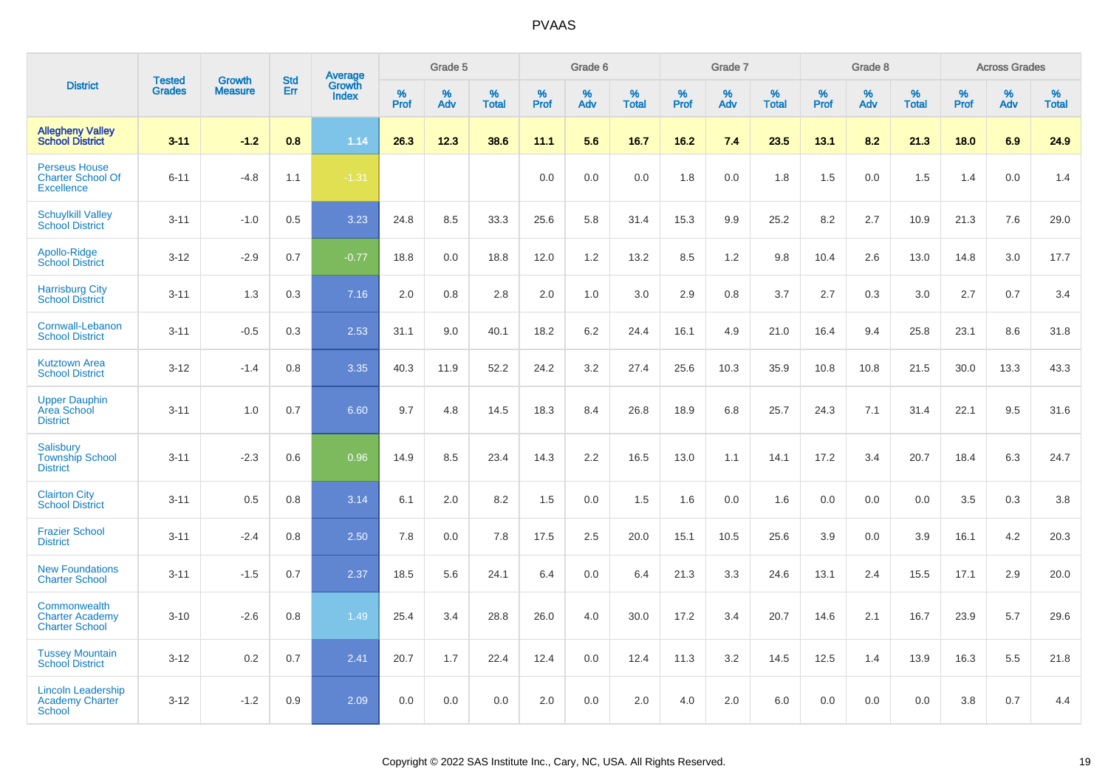|                                                                       |                                |                                 |                   | Average                |                     | Grade 5  |                   |           | Grade 6  |                   |           | Grade 7  |                   |           | Grade 8  |                   |           | <b>Across Grades</b> |                   |
|-----------------------------------------------------------------------|--------------------------------|---------------------------------|-------------------|------------------------|---------------------|----------|-------------------|-----------|----------|-------------------|-----------|----------|-------------------|-----------|----------|-------------------|-----------|----------------------|-------------------|
| <b>District</b>                                                       | <b>Tested</b><br><b>Grades</b> | <b>Growth</b><br><b>Measure</b> | <b>Std</b><br>Err | Growth<br><b>Index</b> | $\%$<br><b>Prof</b> | %<br>Adv | %<br><b>Total</b> | %<br>Prof | %<br>Adv | %<br><b>Total</b> | %<br>Prof | %<br>Adv | %<br><b>Total</b> | %<br>Prof | %<br>Adv | %<br><b>Total</b> | %<br>Prof | %<br>Adv             | %<br><b>Total</b> |
| <b>Allegheny Valley</b><br><b>School District</b>                     | $3 - 11$                       | $-1.2$                          | 0.8               | 1.14                   | 26.3                | 12.3     | 38.6              | 11.1      | 5.6      | 16.7              | 16.2      | 7.4      | 23.5              | 13.1      | 8.2      | 21.3              | 18.0      | 6.9                  | 24.9              |
| <b>Perseus House</b><br><b>Charter School Of</b><br><b>Excellence</b> | $6 - 11$                       | $-4.8$                          | 1.1               | $-1.31$                |                     |          |                   | 0.0       | 0.0      | 0.0               | 1.8       | 0.0      | 1.8               | 1.5       | 0.0      | 1.5               | 1.4       | 0.0                  | 1.4               |
| <b>Schuylkill Valley</b><br><b>School District</b>                    | $3 - 11$                       | $-1.0$                          | 0.5               | 3.23                   | 24.8                | 8.5      | 33.3              | 25.6      | 5.8      | 31.4              | 15.3      | 9.9      | 25.2              | 8.2       | 2.7      | 10.9              | 21.3      | 7.6                  | 29.0              |
| Apollo-Ridge<br><b>School District</b>                                | $3 - 12$                       | $-2.9$                          | 0.7               | $-0.77$                | 18.8                | 0.0      | 18.8              | 12.0      | 1.2      | 13.2              | 8.5       | 1.2      | 9.8               | 10.4      | 2.6      | 13.0              | 14.8      | 3.0                  | 17.7              |
| <b>Harrisburg City</b><br><b>School District</b>                      | $3 - 11$                       | 1.3                             | 0.3               | 7.16                   | 2.0                 | 0.8      | 2.8               | 2.0       | 1.0      | 3.0               | 2.9       | 0.8      | 3.7               | 2.7       | 0.3      | 3.0               | 2.7       | 0.7                  | 3.4               |
| Cornwall-Lebanon<br><b>School District</b>                            | $3 - 11$                       | $-0.5$                          | 0.3               | 2.53                   | 31.1                | 9.0      | 40.1              | 18.2      | 6.2      | 24.4              | 16.1      | 4.9      | 21.0              | 16.4      | 9.4      | 25.8              | 23.1      | 8.6                  | 31.8              |
| <b>Kutztown Area</b><br><b>School District</b>                        | $3 - 12$                       | $-1.4$                          | 0.8               | 3.35                   | 40.3                | 11.9     | 52.2              | 24.2      | 3.2      | 27.4              | 25.6      | 10.3     | 35.9              | 10.8      | 10.8     | 21.5              | 30.0      | 13.3                 | 43.3              |
| <b>Upper Dauphin</b><br>Area School<br><b>District</b>                | $3 - 11$                       | 1.0                             | 0.7               | 6.60                   | 9.7                 | 4.8      | 14.5              | 18.3      | 8.4      | 26.8              | 18.9      | 6.8      | 25.7              | 24.3      | 7.1      | 31.4              | 22.1      | 9.5                  | 31.6              |
| Salisbury<br><b>Township School</b><br><b>District</b>                | $3 - 11$                       | $-2.3$                          | 0.6               | 0.96                   | 14.9                | 8.5      | 23.4              | 14.3      | 2.2      | 16.5              | 13.0      | 1.1      | 14.1              | 17.2      | 3.4      | 20.7              | 18.4      | 6.3                  | 24.7              |
| <b>Clairton City</b><br><b>School District</b>                        | $3 - 11$                       | 0.5                             | 0.8               | 3.14                   | 6.1                 | 2.0      | 8.2               | 1.5       | 0.0      | 1.5               | 1.6       | 0.0      | 1.6               | 0.0       | 0.0      | 0.0               | 3.5       | 0.3                  | 3.8               |
| <b>Frazier School</b><br><b>District</b>                              | $3 - 11$                       | $-2.4$                          | 0.8               | 2.50                   | 7.8                 | 0.0      | 7.8               | 17.5      | 2.5      | 20.0              | 15.1      | 10.5     | 25.6              | 3.9       | 0.0      | 3.9               | 16.1      | 4.2                  | 20.3              |
| <b>New Foundations</b><br><b>Charter School</b>                       | $3 - 11$                       | $-1.5$                          | 0.7               | 2.37                   | 18.5                | 5.6      | 24.1              | 6.4       | 0.0      | 6.4               | 21.3      | 3.3      | 24.6              | 13.1      | 2.4      | 15.5              | 17.1      | 2.9                  | 20.0              |
| Commonwealth<br><b>Charter Academy</b><br><b>Charter School</b>       | $3 - 10$                       | $-2.6$                          | 0.8               | 1.49                   | 25.4                | 3.4      | 28.8              | 26.0      | 4.0      | 30.0              | 17.2      | 3.4      | 20.7              | 14.6      | 2.1      | 16.7              | 23.9      | 5.7                  | 29.6              |
| <b>Tussey Mountain</b><br><b>School District</b>                      | $3 - 12$                       | 0.2                             | 0.7               | 2.41                   | 20.7                | 1.7      | 22.4              | 12.4      | 0.0      | 12.4              | 11.3      | 3.2      | 14.5              | 12.5      | 1.4      | 13.9              | 16.3      | 5.5                  | 21.8              |
| <b>Lincoln Leadership</b><br><b>Academy Charter</b><br><b>School</b>  | $3 - 12$                       | $-1.2$                          | 0.9               | 2.09                   | 0.0                 | 0.0      | 0.0               | 2.0       | 0.0      | 2.0               | 4.0       | 2.0      | 6.0               | 0.0       | 0.0      | 0.0               | 3.8       | 0.7                  | 4.4               |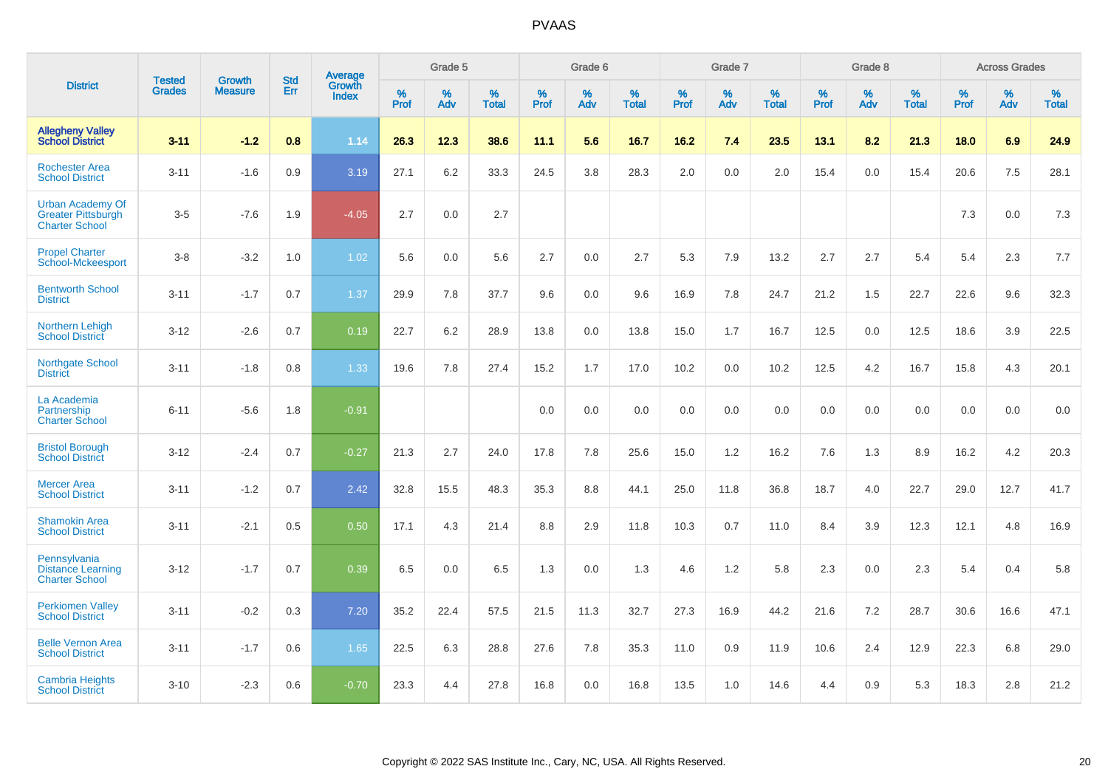|                                                                               | <b>Tested</b> | <b>Growth</b>  | <b>Std</b> | Average                       |              | Grade 5  |                   |           | Grade 6  |                   |           | Grade 7  |                   |           | Grade 8  |                   |           | <b>Across Grades</b> |                   |
|-------------------------------------------------------------------------------|---------------|----------------|------------|-------------------------------|--------------|----------|-------------------|-----------|----------|-------------------|-----------|----------|-------------------|-----------|----------|-------------------|-----------|----------------------|-------------------|
| <b>District</b>                                                               | <b>Grades</b> | <b>Measure</b> | <b>Err</b> | <b>Growth</b><br><b>Index</b> | $\%$<br>Prof | %<br>Adv | %<br><b>Total</b> | %<br>Prof | %<br>Adv | %<br><b>Total</b> | %<br>Prof | %<br>Adv | %<br><b>Total</b> | %<br>Prof | %<br>Adv | %<br><b>Total</b> | %<br>Prof | %<br>Adv             | %<br><b>Total</b> |
| <b>Allegheny Valley</b><br><b>School District</b>                             | $3 - 11$      | $-1.2$         | 0.8        | 1.14                          | 26.3         | 12.3     | 38.6              | 11.1      | 5.6      | 16.7              | 16.2      | 7.4      | 23.5              | 13.1      | 8.2      | 21.3              | 18.0      | 6.9                  | 24.9              |
| <b>Rochester Area</b><br><b>School District</b>                               | $3 - 11$      | $-1.6$         | 0.9        | 3.19                          | 27.1         | 6.2      | 33.3              | 24.5      | 3.8      | 28.3              | 2.0       | 0.0      | 2.0               | 15.4      | 0.0      | 15.4              | 20.6      | 7.5                  | 28.1              |
| <b>Urban Academy Of</b><br><b>Greater Pittsburgh</b><br><b>Charter School</b> | $3-5$         | $-7.6$         | 1.9        | $-4.05$                       | 2.7          | 0.0      | 2.7               |           |          |                   |           |          |                   |           |          |                   | 7.3       | 0.0                  | 7.3               |
| <b>Propel Charter</b><br>School-Mckeesport                                    | $3 - 8$       | $-3.2$         | 1.0        | 1.02                          | 5.6          | 0.0      | 5.6               | 2.7       | 0.0      | 2.7               | 5.3       | 7.9      | 13.2              | 2.7       | 2.7      | 5.4               | 5.4       | 2.3                  | 7.7               |
| <b>Bentworth School</b><br><b>District</b>                                    | $3 - 11$      | $-1.7$         | 0.7        | 1.37                          | 29.9         | 7.8      | 37.7              | 9.6       | 0.0      | 9.6               | 16.9      | 7.8      | 24.7              | 21.2      | 1.5      | 22.7              | 22.6      | 9.6                  | 32.3              |
| <b>Northern Lehigh</b><br><b>School District</b>                              | $3 - 12$      | $-2.6$         | 0.7        | 0.19                          | 22.7         | 6.2      | 28.9              | 13.8      | 0.0      | 13.8              | 15.0      | 1.7      | 16.7              | 12.5      | 0.0      | 12.5              | 18.6      | 3.9                  | 22.5              |
| <b>Northgate School</b><br><b>District</b>                                    | $3 - 11$      | $-1.8$         | 0.8        | 1.33                          | 19.6         | 7.8      | 27.4              | 15.2      | 1.7      | 17.0              | 10.2      | 0.0      | 10.2              | 12.5      | 4.2      | 16.7              | 15.8      | 4.3                  | 20.1              |
| La Academia<br>Partnership<br><b>Charter School</b>                           | $6 - 11$      | $-5.6$         | 1.8        | $-0.91$                       |              |          |                   | 0.0       | 0.0      | 0.0               | 0.0       | 0.0      | 0.0               | 0.0       | 0.0      | 0.0               | 0.0       | 0.0                  | 0.0               |
| <b>Bristol Borough</b><br><b>School District</b>                              | $3 - 12$      | $-2.4$         | 0.7        | $-0.27$                       | 21.3         | 2.7      | 24.0              | 17.8      | 7.8      | 25.6              | 15.0      | 1.2      | 16.2              | 7.6       | 1.3      | 8.9               | 16.2      | 4.2                  | 20.3              |
| <b>Mercer Area</b><br><b>School District</b>                                  | $3 - 11$      | $-1.2$         | 0.7        | 2.42                          | 32.8         | 15.5     | 48.3              | 35.3      | 8.8      | 44.1              | 25.0      | 11.8     | 36.8              | 18.7      | 4.0      | 22.7              | 29.0      | 12.7                 | 41.7              |
| <b>Shamokin Area</b><br><b>School District</b>                                | $3 - 11$      | $-2.1$         | 0.5        | 0.50                          | 17.1         | 4.3      | 21.4              | 8.8       | 2.9      | 11.8              | 10.3      | 0.7      | 11.0              | 8.4       | 3.9      | 12.3              | 12.1      | 4.8                  | 16.9              |
| Pennsylvania<br><b>Distance Learning</b><br><b>Charter School</b>             | $3 - 12$      | $-1.7$         | 0.7        | 0.39                          | 6.5          | 0.0      | 6.5               | 1.3       | 0.0      | 1.3               | 4.6       | 1.2      | 5.8               | 2.3       | 0.0      | 2.3               | 5.4       | 0.4                  | 5.8               |
| <b>Perkiomen Valley</b><br><b>School District</b>                             | $3 - 11$      | $-0.2$         | 0.3        | 7.20                          | 35.2         | 22.4     | 57.5              | 21.5      | 11.3     | 32.7              | 27.3      | 16.9     | 44.2              | 21.6      | 7.2      | 28.7              | 30.6      | 16.6                 | 47.1              |
| <b>Belle Vernon Area</b><br><b>School District</b>                            | $3 - 11$      | $-1.7$         | 0.6        | 1.65                          | 22.5         | 6.3      | 28.8              | 27.6      | 7.8      | 35.3              | 11.0      | 0.9      | 11.9              | 10.6      | 2.4      | 12.9              | 22.3      | 6.8                  | 29.0              |
| <b>Cambria Heights</b><br><b>School District</b>                              | $3 - 10$      | $-2.3$         | 0.6        | $-0.70$                       | 23.3         | 4.4      | 27.8              | 16.8      | 0.0      | 16.8              | 13.5      | 1.0      | 14.6              | 4.4       | 0.9      | 5.3               | 18.3      | 2.8                  | 21.2              |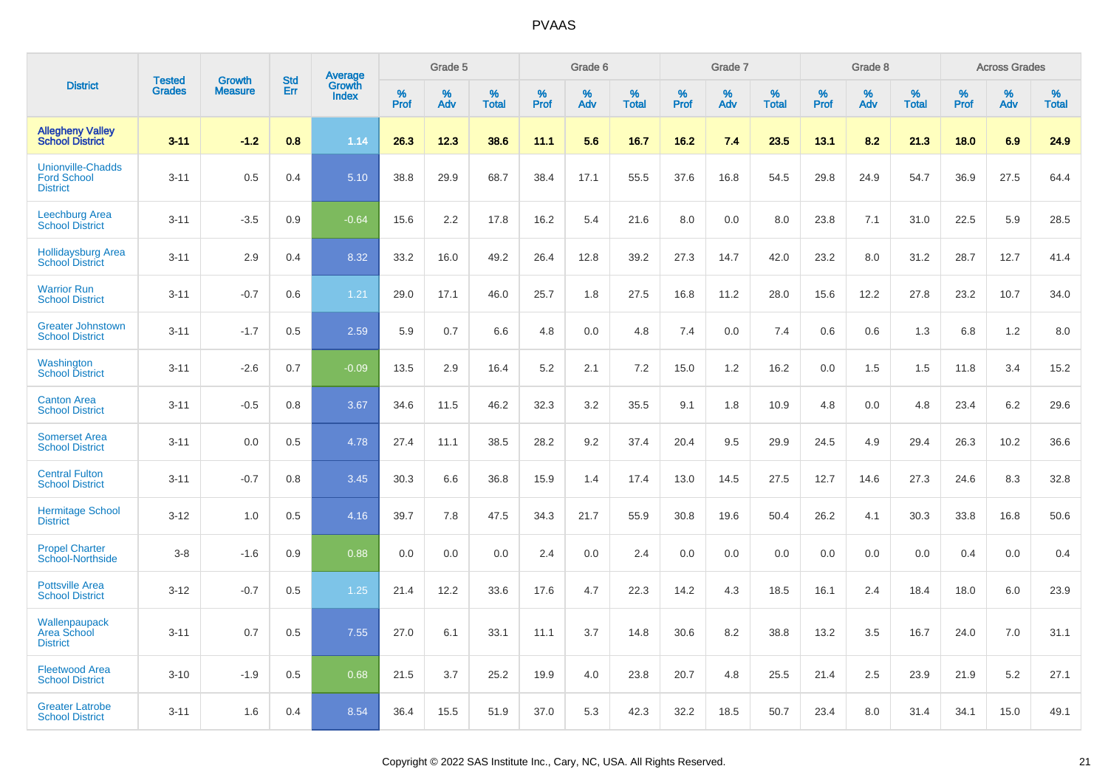|                                                                   |                                |                                 | <b>Std</b> | <b>Average</b>         |                     | Grade 5  |                   |                     | Grade 6  |                   |              | Grade 7  |                   |                     | Grade 8  |                   |              | <b>Across Grades</b> |                   |
|-------------------------------------------------------------------|--------------------------------|---------------------------------|------------|------------------------|---------------------|----------|-------------------|---------------------|----------|-------------------|--------------|----------|-------------------|---------------------|----------|-------------------|--------------|----------------------|-------------------|
| <b>District</b>                                                   | <b>Tested</b><br><b>Grades</b> | <b>Growth</b><br><b>Measure</b> | Err        | Growth<br><b>Index</b> | $\%$<br><b>Prof</b> | %<br>Adv | %<br><b>Total</b> | $\%$<br><b>Prof</b> | %<br>Adv | %<br><b>Total</b> | $\%$<br>Prof | %<br>Adv | %<br><b>Total</b> | $\%$<br><b>Prof</b> | %<br>Adv | %<br><b>Total</b> | $\%$<br>Prof | %<br>Adv             | %<br><b>Total</b> |
| <b>Allegheny Valley</b><br><b>School District</b>                 | $3 - 11$                       | $-1.2$                          | 0.8        | 1.14                   | 26.3                | 12.3     | 38.6              | 11.1                | 5.6      | 16.7              | 16.2         | 7.4      | 23.5              | 13.1                | 8.2      | 21.3              | 18.0         | 6.9                  | 24.9              |
| <b>Unionville-Chadds</b><br><b>Ford School</b><br><b>District</b> | $3 - 11$                       | 0.5                             | 0.4        | 5.10                   | 38.8                | 29.9     | 68.7              | 38.4                | 17.1     | 55.5              | 37.6         | 16.8     | 54.5              | 29.8                | 24.9     | 54.7              | 36.9         | 27.5                 | 64.4              |
| <b>Leechburg Area</b><br><b>School District</b>                   | $3 - 11$                       | $-3.5$                          | 0.9        | $-0.64$                | 15.6                | 2.2      | 17.8              | 16.2                | 5.4      | 21.6              | 8.0          | 0.0      | 8.0               | 23.8                | 7.1      | 31.0              | 22.5         | 5.9                  | 28.5              |
| <b>Hollidaysburg Area</b><br>School District                      | $3 - 11$                       | 2.9                             | 0.4        | 8.32                   | 33.2                | 16.0     | 49.2              | 26.4                | 12.8     | 39.2              | 27.3         | 14.7     | 42.0              | 23.2                | 8.0      | 31.2              | 28.7         | 12.7                 | 41.4              |
| <b>Warrior Run</b><br><b>School District</b>                      | $3 - 11$                       | $-0.7$                          | 0.6        | 1.21                   | 29.0                | 17.1     | 46.0              | 25.7                | 1.8      | 27.5              | 16.8         | 11.2     | 28.0              | 15.6                | 12.2     | 27.8              | 23.2         | 10.7                 | 34.0              |
| <b>Greater Johnstown</b><br><b>School District</b>                | $3 - 11$                       | $-1.7$                          | 0.5        | 2.59                   | 5.9                 | 0.7      | 6.6               | 4.8                 | 0.0      | 4.8               | 7.4          | 0.0      | 7.4               | 0.6                 | 0.6      | 1.3               | 6.8          | 1.2                  | 8.0               |
| Washington<br><b>School District</b>                              | $3 - 11$                       | $-2.6$                          | 0.7        | $-0.09$                | 13.5                | 2.9      | 16.4              | 5.2                 | 2.1      | 7.2               | 15.0         | 1.2      | 16.2              | 0.0                 | 1.5      | 1.5               | 11.8         | 3.4                  | 15.2              |
| <b>Canton Area</b><br><b>School District</b>                      | $3 - 11$                       | $-0.5$                          | 0.8        | 3.67                   | 34.6                | 11.5     | 46.2              | 32.3                | 3.2      | 35.5              | 9.1          | 1.8      | 10.9              | 4.8                 | 0.0      | 4.8               | 23.4         | 6.2                  | 29.6              |
| <b>Somerset Area</b><br><b>School District</b>                    | $3 - 11$                       | 0.0                             | 0.5        | 4.78                   | 27.4                | 11.1     | 38.5              | 28.2                | 9.2      | 37.4              | 20.4         | 9.5      | 29.9              | 24.5                | 4.9      | 29.4              | 26.3         | 10.2                 | 36.6              |
| <b>Central Fulton</b><br><b>School District</b>                   | $3 - 11$                       | $-0.7$                          | 0.8        | 3.45                   | 30.3                | 6.6      | 36.8              | 15.9                | 1.4      | 17.4              | 13.0         | 14.5     | 27.5              | 12.7                | 14.6     | 27.3              | 24.6         | 8.3                  | 32.8              |
| <b>Hermitage School</b><br><b>District</b>                        | $3 - 12$                       | 1.0                             | 0.5        | 4.16                   | 39.7                | 7.8      | 47.5              | 34.3                | 21.7     | 55.9              | 30.8         | 19.6     | 50.4              | 26.2                | 4.1      | 30.3              | 33.8         | 16.8                 | 50.6              |
| <b>Propel Charter</b><br><b>School-Northside</b>                  | $3-8$                          | $-1.6$                          | 0.9        | 0.88                   | 0.0                 | 0.0      | 0.0               | 2.4                 | 0.0      | 2.4               | 0.0          | 0.0      | 0.0               | 0.0                 | 0.0      | 0.0               | 0.4          | 0.0                  | 0.4               |
| <b>Pottsville Area</b><br><b>School District</b>                  | $3 - 12$                       | $-0.7$                          | 0.5        | 1.25                   | 21.4                | 12.2     | 33.6              | 17.6                | 4.7      | 22.3              | 14.2         | 4.3      | 18.5              | 16.1                | 2.4      | 18.4              | 18.0         | 6.0                  | 23.9              |
| Wallenpaupack<br>Area School<br><b>District</b>                   | $3 - 11$                       | 0.7                             | 0.5        | 7.55                   | 27.0                | 6.1      | 33.1              | 11.1                | 3.7      | 14.8              | 30.6         | 8.2      | 38.8              | 13.2                | 3.5      | 16.7              | 24.0         | 7.0                  | 31.1              |
| <b>Fleetwood Area</b><br><b>School District</b>                   | $3 - 10$                       | $-1.9$                          | 0.5        | 0.68                   | 21.5                | 3.7      | 25.2              | 19.9                | 4.0      | 23.8              | 20.7         | 4.8      | 25.5              | 21.4                | 2.5      | 23.9              | 21.9         | 5.2                  | 27.1              |
| <b>Greater Latrobe</b><br><b>School District</b>                  | $3 - 11$                       | 1.6                             | 0.4        | 8.54                   | 36.4                | 15.5     | 51.9              | 37.0                | 5.3      | 42.3              | 32.2         | 18.5     | 50.7              | 23.4                | 8.0      | 31.4              | 34.1         | 15.0                 | 49.1              |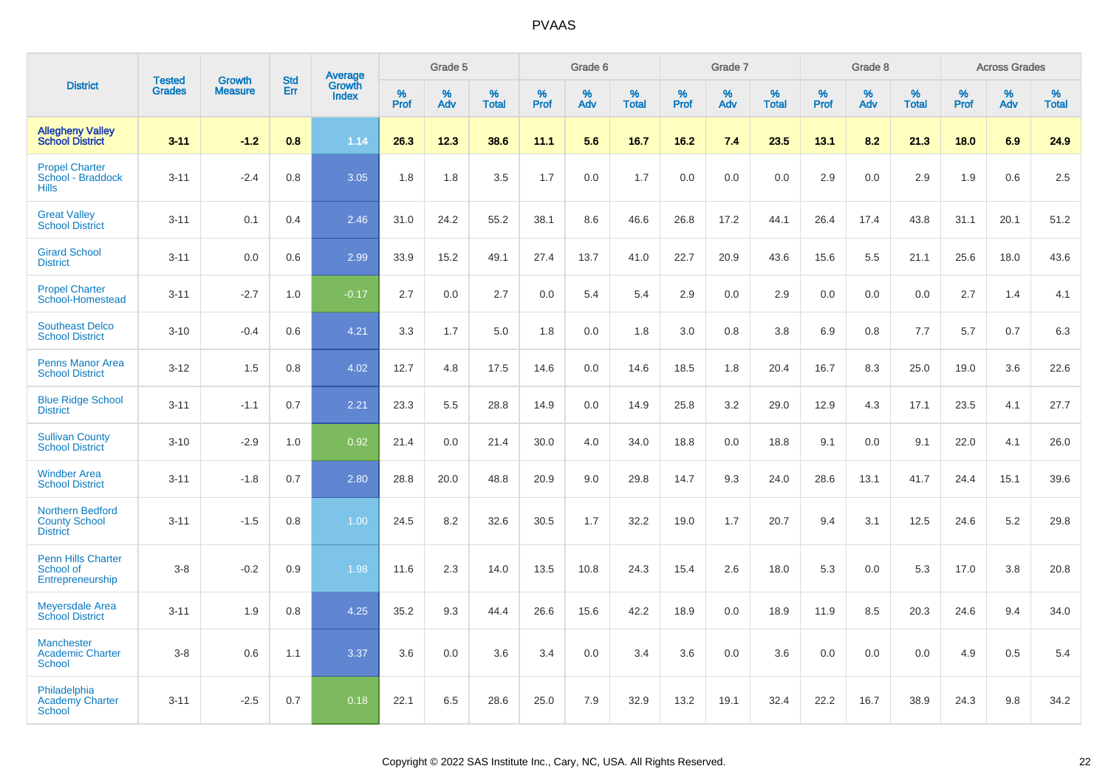|                                                                    |                                |                                 | <b>Std</b> | Average                |                  | Grade 5  |                   |           | Grade 6  |                   |           | Grade 7  |                   |                  | Grade 8  |                   |           | <b>Across Grades</b> |                   |
|--------------------------------------------------------------------|--------------------------------|---------------------------------|------------|------------------------|------------------|----------|-------------------|-----------|----------|-------------------|-----------|----------|-------------------|------------------|----------|-------------------|-----------|----------------------|-------------------|
| <b>District</b>                                                    | <b>Tested</b><br><b>Grades</b> | <b>Growth</b><br><b>Measure</b> | Err        | Growth<br><b>Index</b> | %<br><b>Prof</b> | %<br>Adv | %<br><b>Total</b> | %<br>Prof | %<br>Adv | %<br><b>Total</b> | %<br>Prof | %<br>Adv | %<br><b>Total</b> | %<br><b>Prof</b> | %<br>Adv | %<br><b>Total</b> | %<br>Prof | %<br>Adv             | %<br><b>Total</b> |
| <b>Allegheny Valley</b><br><b>School District</b>                  | $3 - 11$                       | $-1.2$                          | 0.8        | 1.14                   | 26.3             | 12.3     | 38.6              | 11.1      | 5.6      | 16.7              | 16.2      | 7.4      | 23.5              | 13.1             | 8.2      | 21.3              | 18.0      | 6.9                  | 24.9              |
| <b>Propel Charter</b><br>School - Braddock<br><b>Hills</b>         | $3 - 11$                       | $-2.4$                          | 0.8        | 3.05                   | 1.8              | 1.8      | 3.5               | 1.7       | 0.0      | 1.7               | 0.0       | 0.0      | 0.0               | 2.9              | 0.0      | 2.9               | 1.9       | 0.6                  | 2.5               |
| <b>Great Valley</b><br><b>School District</b>                      | $3 - 11$                       | 0.1                             | 0.4        | 2.46                   | 31.0             | 24.2     | 55.2              | 38.1      | 8.6      | 46.6              | 26.8      | 17.2     | 44.1              | 26.4             | 17.4     | 43.8              | 31.1      | 20.1                 | 51.2              |
| <b>Girard School</b><br><b>District</b>                            | $3 - 11$                       | 0.0                             | 0.6        | 2.99                   | 33.9             | 15.2     | 49.1              | 27.4      | 13.7     | 41.0              | 22.7      | 20.9     | 43.6              | 15.6             | $5.5\,$  | 21.1              | 25.6      | 18.0                 | 43.6              |
| <b>Propel Charter</b><br>School-Homestead                          | $3 - 11$                       | $-2.7$                          | 1.0        | $-0.17$                | 2.7              | 0.0      | 2.7               | 0.0       | 5.4      | 5.4               | 2.9       | 0.0      | 2.9               | 0.0              | 0.0      | 0.0               | 2.7       | 1.4                  | 4.1               |
| <b>Southeast Delco</b><br><b>School District</b>                   | $3 - 10$                       | $-0.4$                          | 0.6        | 4.21                   | 3.3              | 1.7      | 5.0               | 1.8       | 0.0      | 1.8               | 3.0       | 0.8      | 3.8               | 6.9              | 0.8      | 7.7               | 5.7       | 0.7                  | 6.3               |
| <b>Penns Manor Area</b><br><b>School District</b>                  | $3 - 12$                       | 1.5                             | 0.8        | 4.02                   | 12.7             | 4.8      | 17.5              | 14.6      | 0.0      | 14.6              | 18.5      | 1.8      | 20.4              | 16.7             | 8.3      | 25.0              | 19.0      | 3.6                  | 22.6              |
| <b>Blue Ridge School</b><br><b>District</b>                        | $3 - 11$                       | $-1.1$                          | 0.7        | 2.21                   | 23.3             | 5.5      | 28.8              | 14.9      | 0.0      | 14.9              | 25.8      | 3.2      | 29.0              | 12.9             | 4.3      | 17.1              | 23.5      | 4.1                  | 27.7              |
| <b>Sullivan County</b><br><b>School District</b>                   | $3 - 10$                       | $-2.9$                          | 1.0        | 0.92                   | 21.4             | 0.0      | 21.4              | 30.0      | 4.0      | 34.0              | 18.8      | 0.0      | 18.8              | 9.1              | 0.0      | 9.1               | 22.0      | 4.1                  | 26.0              |
| <b>Windber Area</b><br><b>School District</b>                      | $3 - 11$                       | $-1.8$                          | 0.7        | 2.80                   | 28.8             | 20.0     | 48.8              | 20.9      | 9.0      | 29.8              | 14.7      | 9.3      | 24.0              | 28.6             | 13.1     | 41.7              | 24.4      | 15.1                 | 39.6              |
| <b>Northern Bedford</b><br><b>County School</b><br><b>District</b> | $3 - 11$                       | $-1.5$                          | 0.8        | 1.00                   | 24.5             | 8.2      | 32.6              | 30.5      | 1.7      | 32.2              | 19.0      | 1.7      | 20.7              | 9.4              | 3.1      | 12.5              | 24.6      | 5.2                  | 29.8              |
| <b>Penn Hills Charter</b><br>School of<br>Entrepreneurship         | $3 - 8$                        | $-0.2$                          | 0.9        | 1.98                   | 11.6             | 2.3      | 14.0              | 13.5      | 10.8     | 24.3              | 15.4      | 2.6      | 18.0              | 5.3              | 0.0      | 5.3               | 17.0      | 3.8                  | 20.8              |
| <b>Meyersdale Area</b><br><b>School District</b>                   | $3 - 11$                       | 1.9                             | 0.8        | 4.25                   | 35.2             | 9.3      | 44.4              | 26.6      | 15.6     | 42.2              | 18.9      | 0.0      | 18.9              | 11.9             | 8.5      | 20.3              | 24.6      | 9.4                  | 34.0              |
| <b>Manchester</b><br><b>Academic Charter</b><br><b>School</b>      | $3-8$                          | 0.6                             | 1.1        | 3.37                   | 3.6              | 0.0      | 3.6               | 3.4       | 0.0      | 3.4               | 3.6       | 0.0      | 3.6               | 0.0              | 0.0      | 0.0               | 4.9       | 0.5                  | 5.4               |
| Philadelphia<br><b>Academy Charter</b><br><b>School</b>            | $3 - 11$                       | $-2.5$                          | 0.7        | 0.18                   | 22.1             | 6.5      | 28.6              | 25.0      | 7.9      | 32.9              | 13.2      | 19.1     | 32.4              | 22.2             | 16.7     | 38.9              | 24.3      | 9.8                  | 34.2              |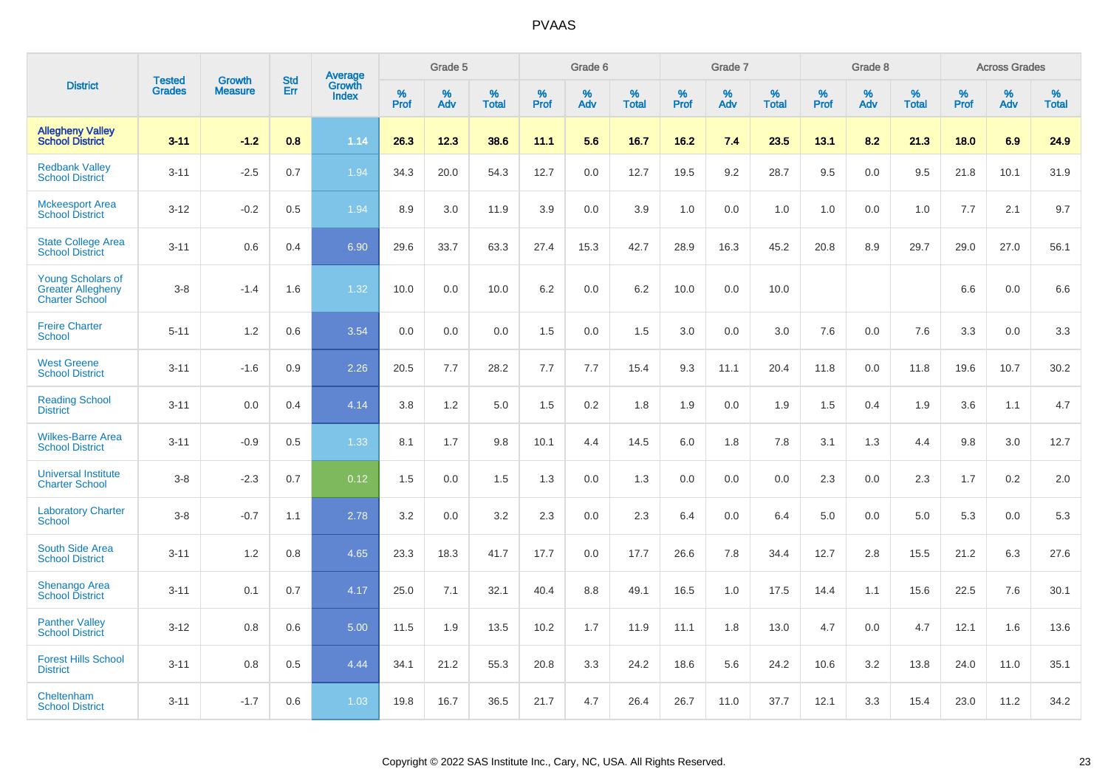|                                                                               |                                | <b>Growth</b>  | <b>Std</b> | Average                |                     | Grade 5  |                      |                     | Grade 6  |                      |                     | Grade 7  |                      |              | Grade 8  |                      |                  | <b>Across Grades</b> |                      |
|-------------------------------------------------------------------------------|--------------------------------|----------------|------------|------------------------|---------------------|----------|----------------------|---------------------|----------|----------------------|---------------------|----------|----------------------|--------------|----------|----------------------|------------------|----------------------|----------------------|
| <b>District</b>                                                               | <b>Tested</b><br><b>Grades</b> | <b>Measure</b> | Err        | Growth<br><b>Index</b> | $\%$<br><b>Prof</b> | %<br>Adv | $\%$<br><b>Total</b> | $\%$<br><b>Prof</b> | %<br>Adv | $\%$<br><b>Total</b> | $\%$<br><b>Prof</b> | %<br>Adv | $\%$<br><b>Total</b> | $\%$<br>Prof | %<br>Adv | $\%$<br><b>Total</b> | %<br><b>Prof</b> | %<br>Adv             | $\%$<br><b>Total</b> |
| <b>Allegheny Valley</b><br><b>School District</b>                             | $3 - 11$                       | $-1.2$         | 0.8        | 1.14                   | 26.3                | 12.3     | 38.6                 | 11.1                | 5.6      | 16.7                 | 16.2                | 7.4      | 23.5                 | 13.1         | 8.2      | 21.3                 | 18.0             | 6.9                  | 24.9                 |
| <b>Redbank Valley</b><br><b>School District</b>                               | $3 - 11$                       | $-2.5$         | 0.7        | 1.94                   | 34.3                | 20.0     | 54.3                 | 12.7                | 0.0      | 12.7                 | 19.5                | 9.2      | 28.7                 | 9.5          | 0.0      | 9.5                  | 21.8             | 10.1                 | 31.9                 |
| <b>Mckeesport Area</b><br><b>School District</b>                              | $3 - 12$                       | $-0.2$         | 0.5        | 1.94                   | 8.9                 | 3.0      | 11.9                 | 3.9                 | 0.0      | 3.9                  | 1.0                 | 0.0      | 1.0                  | 1.0          | 0.0      | 1.0                  | 7.7              | 2.1                  | 9.7                  |
| <b>State College Area</b><br><b>School District</b>                           | $3 - 11$                       | 0.6            | 0.4        | 6.90                   | 29.6                | 33.7     | 63.3                 | 27.4                | 15.3     | 42.7                 | 28.9                | 16.3     | 45.2                 | 20.8         | 8.9      | 29.7                 | 29.0             | 27.0                 | 56.1                 |
| <b>Young Scholars of</b><br><b>Greater Allegheny</b><br><b>Charter School</b> | $3-8$                          | $-1.4$         | 1.6        | 1.32                   | 10.0                | 0.0      | 10.0                 | $6.2\,$             | 0.0      | 6.2                  | 10.0                | 0.0      | 10.0                 |              |          |                      | 6.6              | 0.0                  | 6.6                  |
| <b>Freire Charter</b><br><b>School</b>                                        | $5 - 11$                       | 1.2            | 0.6        | 3.54                   | 0.0                 | 0.0      | 0.0                  | 1.5                 | 0.0      | 1.5                  | 3.0                 | 0.0      | 3.0                  | 7.6          | 0.0      | 7.6                  | 3.3              | 0.0                  | 3.3                  |
| <b>West Greene</b><br><b>School District</b>                                  | $3 - 11$                       | $-1.6$         | 0.9        | 2.26                   | 20.5                | 7.7      | 28.2                 | 7.7                 | 7.7      | 15.4                 | 9.3                 | 11.1     | 20.4                 | 11.8         | 0.0      | 11.8                 | 19.6             | 10.7                 | 30.2                 |
| <b>Reading School</b><br><b>District</b>                                      | $3 - 11$                       | 0.0            | 0.4        | 4.14                   | 3.8                 | 1.2      | 5.0                  | 1.5                 | 0.2      | 1.8                  | 1.9                 | 0.0      | 1.9                  | 1.5          | 0.4      | 1.9                  | 3.6              | 1.1                  | 4.7                  |
| <b>Wilkes-Barre Area</b><br><b>School District</b>                            | $3 - 11$                       | $-0.9$         | 0.5        | 1.33                   | 8.1                 | 1.7      | 9.8                  | 10.1                | 4.4      | 14.5                 | $6.0\,$             | 1.8      | 7.8                  | 3.1          | 1.3      | 4.4                  | 9.8              | 3.0                  | 12.7                 |
| <b>Universal Institute</b><br><b>Charter School</b>                           | $3-8$                          | $-2.3$         | 0.7        | 0.12                   | 1.5                 | 0.0      | 1.5                  | 1.3                 | 0.0      | 1.3                  | 0.0                 | 0.0      | 0.0                  | 2.3          | 0.0      | 2.3                  | 1.7              | $0.2\,$              | 2.0                  |
| <b>Laboratory Charter</b><br><b>School</b>                                    | $3-8$                          | $-0.7$         | 1.1        | 2.78                   | 3.2                 | 0.0      | 3.2                  | 2.3                 | 0.0      | 2.3                  | 6.4                 | 0.0      | 6.4                  | 5.0          | 0.0      | 5.0                  | 5.3              | 0.0                  | 5.3                  |
| South Side Area<br><b>School District</b>                                     | $3 - 11$                       | 1.2            | 0.8        | 4.65                   | 23.3                | 18.3     | 41.7                 | 17.7                | 0.0      | 17.7                 | 26.6                | 7.8      | 34.4                 | 12.7         | 2.8      | 15.5                 | 21.2             | 6.3                  | 27.6                 |
| <b>Shenango Area</b><br><b>School District</b>                                | $3 - 11$                       | 0.1            | 0.7        | 4.17                   | 25.0                | 7.1      | 32.1                 | 40.4                | 8.8      | 49.1                 | 16.5                | 1.0      | 17.5                 | 14.4         | 1.1      | 15.6                 | 22.5             | 7.6                  | 30.1                 |
| <b>Panther Valley</b><br><b>School District</b>                               | $3 - 12$                       | 0.8            | 0.6        | 5.00                   | 11.5                | 1.9      | 13.5                 | 10.2                | 1.7      | 11.9                 | 11.1                | 1.8      | 13.0                 | 4.7          | 0.0      | 4.7                  | 12.1             | 1.6                  | 13.6                 |
| <b>Forest Hills School</b><br><b>District</b>                                 | $3 - 11$                       | 0.8            | 0.5        | 4.44                   | 34.1                | 21.2     | 55.3                 | 20.8                | 3.3      | 24.2                 | 18.6                | 5.6      | 24.2                 | 10.6         | 3.2      | 13.8                 | 24.0             | 11.0                 | 35.1                 |
| Cheltenham<br><b>School District</b>                                          | $3 - 11$                       | $-1.7$         | 0.6        | 1.03                   | 19.8                | 16.7     | 36.5                 | 21.7                | 4.7      | 26.4                 | 26.7                | 11.0     | 37.7                 | 12.1         | 3.3      | 15.4                 | 23.0             | 11.2                 | 34.2                 |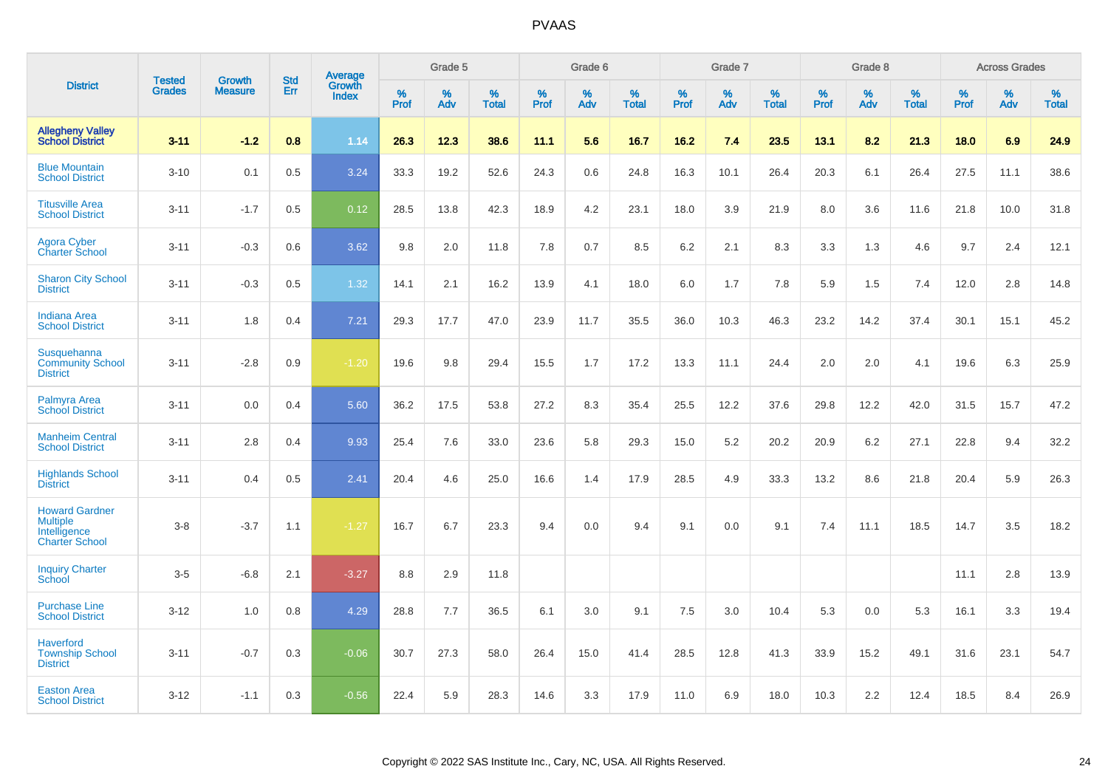|                                                                                   | <b>Tested</b> | <b>Growth</b>  | <b>Std</b> | <b>Average</b><br>Growth |                     | Grade 5  |                   |           | Grade 6  |                   |                  | Grade 7  |                   |           | Grade 8  |                   |           | <b>Across Grades</b> |                   |
|-----------------------------------------------------------------------------------|---------------|----------------|------------|--------------------------|---------------------|----------|-------------------|-----------|----------|-------------------|------------------|----------|-------------------|-----------|----------|-------------------|-----------|----------------------|-------------------|
| <b>District</b>                                                                   | <b>Grades</b> | <b>Measure</b> | Err        | <b>Index</b>             | $\%$<br><b>Prof</b> | %<br>Adv | %<br><b>Total</b> | %<br>Prof | %<br>Adv | %<br><b>Total</b> | %<br><b>Prof</b> | %<br>Adv | %<br><b>Total</b> | %<br>Prof | %<br>Adv | %<br><b>Total</b> | %<br>Prof | %<br>Adv             | %<br><b>Total</b> |
| <b>Allegheny Valley</b><br><b>School District</b>                                 | $3 - 11$      | $-1.2$         | 0.8        | 1.14                     | 26.3                | 12.3     | 38.6              | 11.1      | 5.6      | 16.7              | 16.2             | 7.4      | 23.5              | 13.1      | 8.2      | 21.3              | 18.0      | 6.9                  | 24.9              |
| <b>Blue Mountain</b><br><b>School District</b>                                    | $3 - 10$      | 0.1            | 0.5        | 3.24                     | 33.3                | 19.2     | 52.6              | 24.3      | 0.6      | 24.8              | 16.3             | 10.1     | 26.4              | 20.3      | 6.1      | 26.4              | 27.5      | 11.1                 | 38.6              |
| <b>Titusville Area</b><br><b>School District</b>                                  | $3 - 11$      | $-1.7$         | 0.5        | 0.12                     | 28.5                | 13.8     | 42.3              | 18.9      | 4.2      | 23.1              | 18.0             | 3.9      | 21.9              | 8.0       | 3.6      | 11.6              | 21.8      | 10.0                 | 31.8              |
| <b>Agora Cyber</b><br><b>Charter School</b>                                       | $3 - 11$      | $-0.3$         | 0.6        | 3.62                     | 9.8                 | 2.0      | 11.8              | 7.8       | 0.7      | 8.5               | 6.2              | 2.1      | 8.3               | 3.3       | 1.3      | 4.6               | 9.7       | 2.4                  | 12.1              |
| <b>Sharon City School</b><br><b>District</b>                                      | $3 - 11$      | $-0.3$         | 0.5        | 1.32                     | 14.1                | 2.1      | 16.2              | 13.9      | 4.1      | 18.0              | 6.0              | 1.7      | 7.8               | 5.9       | 1.5      | 7.4               | 12.0      | 2.8                  | 14.8              |
| <b>Indiana Area</b><br><b>School District</b>                                     | $3 - 11$      | 1.8            | 0.4        | 7.21                     | 29.3                | 17.7     | 47.0              | 23.9      | 11.7     | 35.5              | 36.0             | 10.3     | 46.3              | 23.2      | 14.2     | 37.4              | 30.1      | 15.1                 | 45.2              |
| Susquehanna<br><b>Community School</b><br><b>District</b>                         | $3 - 11$      | $-2.8$         | 0.9        | $-1.20$                  | 19.6                | 9.8      | 29.4              | 15.5      | 1.7      | 17.2              | 13.3             | 11.1     | 24.4              | 2.0       | 2.0      | 4.1               | 19.6      | 6.3                  | 25.9              |
| Palmyra Area<br><b>School District</b>                                            | $3 - 11$      | 0.0            | 0.4        | 5.60                     | 36.2                | 17.5     | 53.8              | 27.2      | 8.3      | 35.4              | 25.5             | 12.2     | 37.6              | 29.8      | 12.2     | 42.0              | 31.5      | 15.7                 | 47.2              |
| <b>Manheim Central</b><br><b>School District</b>                                  | $3 - 11$      | 2.8            | 0.4        | 9.93                     | 25.4                | 7.6      | 33.0              | 23.6      | 5.8      | 29.3              | 15.0             | 5.2      | 20.2              | 20.9      | 6.2      | 27.1              | 22.8      | 9.4                  | 32.2              |
| <b>Highlands School</b><br><b>District</b>                                        | $3 - 11$      | 0.4            | 0.5        | $\overline{2.41}$        | 20.4                | 4.6      | 25.0              | 16.6      | 1.4      | 17.9              | 28.5             | 4.9      | 33.3              | 13.2      | 8.6      | 21.8              | 20.4      | 5.9                  | 26.3              |
| <b>Howard Gardner</b><br><b>Multiple</b><br>Intelligence<br><b>Charter School</b> | $3-8$         | $-3.7$         | 1.1        | $-1.27$                  | 16.7                | 6.7      | 23.3              | 9.4       | 0.0      | 9.4               | 9.1              | 0.0      | 9.1               | 7.4       | 11.1     | 18.5              | 14.7      | 3.5                  | 18.2              |
| <b>Inquiry Charter</b><br>School                                                  | $3-5$         | $-6.8$         | 2.1        | $-3.27$                  | 8.8                 | 2.9      | 11.8              |           |          |                   |                  |          |                   |           |          |                   | 11.1      | 2.8                  | 13.9              |
| <b>Purchase Line</b><br><b>School District</b>                                    | $3 - 12$      | 1.0            | 0.8        | 4.29                     | 28.8                | 7.7      | 36.5              | 6.1       | 3.0      | 9.1               | 7.5              | 3.0      | 10.4              | 5.3       | 0.0      | 5.3               | 16.1      | 3.3                  | 19.4              |
| <b>Haverford</b><br><b>Township School</b><br><b>District</b>                     | $3 - 11$      | $-0.7$         | 0.3        | $-0.06$                  | 30.7                | 27.3     | 58.0              | 26.4      | 15.0     | 41.4              | 28.5             | 12.8     | 41.3              | 33.9      | 15.2     | 49.1              | 31.6      | 23.1                 | 54.7              |
| <b>Easton Area</b><br><b>School District</b>                                      | $3 - 12$      | $-1.1$         | 0.3        | $-0.56$                  | 22.4                | 5.9      | 28.3              | 14.6      | 3.3      | 17.9              | 11.0             | 6.9      | 18.0              | 10.3      | 2.2      | 12.4              | 18.5      | 8.4                  | 26.9              |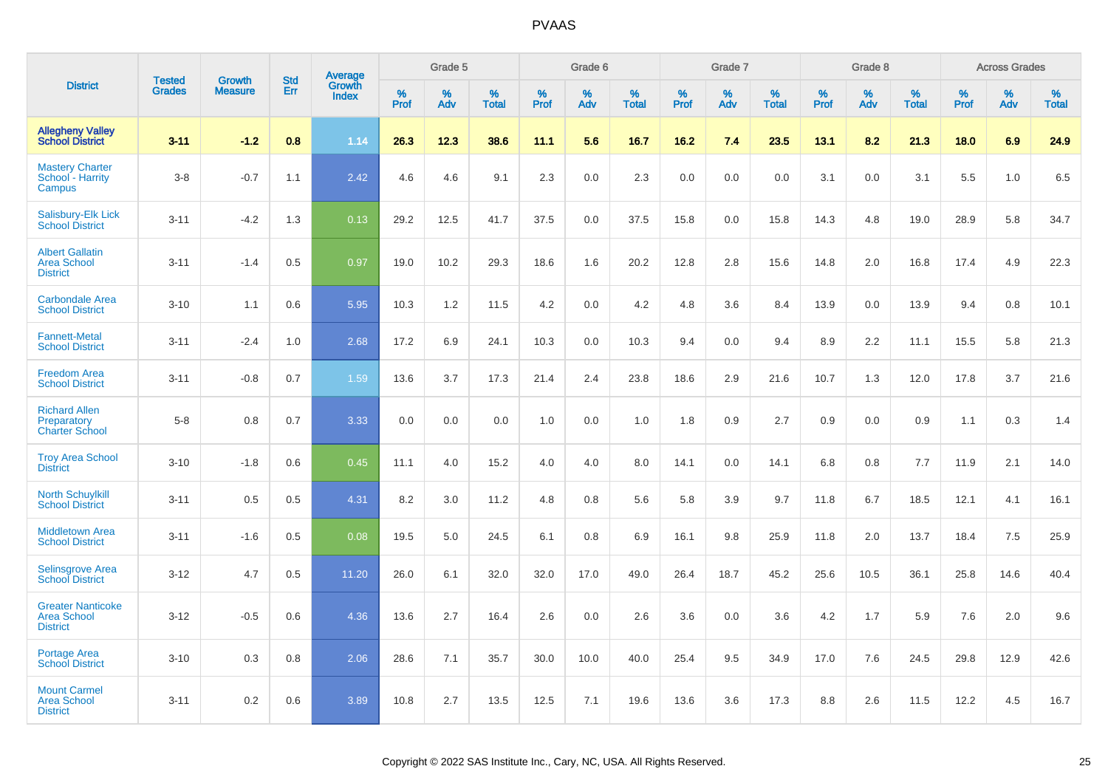|                                                                   |                                |                          |                   |                                          |                     | Grade 5  |                   |           | Grade 6  |                   |           | Grade 7  |                   |                  | Grade 8  |                   |           | <b>Across Grades</b> |                   |
|-------------------------------------------------------------------|--------------------------------|--------------------------|-------------------|------------------------------------------|---------------------|----------|-------------------|-----------|----------|-------------------|-----------|----------|-------------------|------------------|----------|-------------------|-----------|----------------------|-------------------|
| <b>District</b>                                                   | <b>Tested</b><br><b>Grades</b> | Growth<br><b>Measure</b> | <b>Std</b><br>Err | <b>Average</b><br>Growth<br><b>Index</b> | $\%$<br><b>Prof</b> | %<br>Adv | %<br><b>Total</b> | %<br>Prof | %<br>Adv | %<br><b>Total</b> | %<br>Prof | %<br>Adv | %<br><b>Total</b> | %<br><b>Prof</b> | %<br>Adv | %<br><b>Total</b> | %<br>Prof | %<br>Adv             | %<br><b>Total</b> |
| <b>Allegheny Valley</b><br><b>School District</b>                 | $3 - 11$                       | $-1.2$                   | 0.8               | 1.14                                     | 26.3                | 12.3     | 38.6              | 11.1      | 5.6      | 16.7              | 16.2      | 7.4      | 23.5              | 13.1             | 8.2      | 21.3              | 18.0      | 6.9                  | 24.9              |
| <b>Mastery Charter</b><br>School - Harrity<br>Campus              | $3-8$                          | $-0.7$                   | 1.1               | 2.42                                     | 4.6                 | 4.6      | 9.1               | 2.3       | 0.0      | 2.3               | 0.0       | 0.0      | 0.0               | 3.1              | 0.0      | 3.1               | 5.5       | 1.0                  | 6.5               |
| Salisbury-Elk Lick<br><b>School District</b>                      | $3 - 11$                       | $-4.2$                   | 1.3               | 0.13                                     | 29.2                | 12.5     | 41.7              | 37.5      | 0.0      | 37.5              | 15.8      | 0.0      | 15.8              | 14.3             | 4.8      | 19.0              | 28.9      | 5.8                  | 34.7              |
| <b>Albert Gallatin</b><br><b>Area School</b><br><b>District</b>   | $3 - 11$                       | $-1.4$                   | 0.5               | 0.97                                     | 19.0                | 10.2     | 29.3              | 18.6      | 1.6      | 20.2              | 12.8      | 2.8      | 15.6              | 14.8             | 2.0      | 16.8              | 17.4      | 4.9                  | 22.3              |
| <b>Carbondale Area</b><br><b>School District</b>                  | $3 - 10$                       | 1.1                      | 0.6               | 5.95                                     | 10.3                | 1.2      | 11.5              | 4.2       | 0.0      | 4.2               | 4.8       | 3.6      | 8.4               | 13.9             | 0.0      | 13.9              | 9.4       | 0.8                  | 10.1              |
| <b>Fannett-Metal</b><br><b>School District</b>                    | $3 - 11$                       | $-2.4$                   | 1.0               | 2.68                                     | 17.2                | 6.9      | 24.1              | 10.3      | 0.0      | 10.3              | 9.4       | 0.0      | 9.4               | 8.9              | 2.2      | 11.1              | 15.5      | 5.8                  | 21.3              |
| <b>Freedom Area</b><br><b>School District</b>                     | $3 - 11$                       | $-0.8$                   | 0.7               | 1.59                                     | 13.6                | 3.7      | 17.3              | 21.4      | 2.4      | 23.8              | 18.6      | 2.9      | 21.6              | 10.7             | 1.3      | 12.0              | 17.8      | 3.7                  | 21.6              |
| <b>Richard Allen</b><br>Preparatory<br><b>Charter School</b>      | $5 - 8$                        | 0.8                      | 0.7               | 3.33                                     | 0.0                 | 0.0      | 0.0               | 1.0       | 0.0      | 1.0               | 1.8       | 0.9      | 2.7               | 0.9              | 0.0      | 0.9               | 1.1       | 0.3                  | 1.4               |
| <b>Troy Area School</b><br><b>District</b>                        | $3 - 10$                       | $-1.8$                   | 0.6               | 0.45                                     | 11.1                | 4.0      | 15.2              | 4.0       | 4.0      | 8.0               | 14.1      | 0.0      | 14.1              | 6.8              | 0.8      | 7.7               | 11.9      | 2.1                  | 14.0              |
| <b>North Schuylkill</b><br><b>School District</b>                 | $3 - 11$                       | 0.5                      | 0.5               | 4.31                                     | 8.2                 | 3.0      | 11.2              | 4.8       | 0.8      | 5.6               | 5.8       | 3.9      | 9.7               | 11.8             | 6.7      | 18.5              | 12.1      | 4.1                  | 16.1              |
| <b>Middletown Area</b><br><b>School District</b>                  | $3 - 11$                       | $-1.6$                   | 0.5               | 0.08                                     | 19.5                | 5.0      | 24.5              | 6.1       | 0.8      | 6.9               | 16.1      | 9.8      | 25.9              | 11.8             | 2.0      | 13.7              | 18.4      | 7.5                  | 25.9              |
| <b>Selinsgrove Area</b><br><b>School District</b>                 | $3 - 12$                       | 4.7                      | 0.5               | 11.20                                    | 26.0                | 6.1      | 32.0              | 32.0      | 17.0     | 49.0              | 26.4      | 18.7     | 45.2              | 25.6             | 10.5     | 36.1              | 25.8      | 14.6                 | 40.4              |
| <b>Greater Nanticoke</b><br><b>Area School</b><br><b>District</b> | $3 - 12$                       | $-0.5$                   | 0.6               | 4.36                                     | 13.6                | 2.7      | 16.4              | 2.6       | 0.0      | 2.6               | 3.6       | 0.0      | 3.6               | 4.2              | 1.7      | 5.9               | 7.6       | 2.0                  | 9.6               |
| Portage Area<br><b>School District</b>                            | $3 - 10$                       | 0.3                      | 0.8               | 2.06                                     | 28.6                | 7.1      | 35.7              | 30.0      | 10.0     | 40.0              | 25.4      | 9.5      | 34.9              | 17.0             | 7.6      | 24.5              | 29.8      | 12.9                 | 42.6              |
| <b>Mount Carmel</b><br><b>Area School</b><br><b>District</b>      | $3 - 11$                       | 0.2                      | 0.6               | 3.89                                     | 10.8                | 2.7      | 13.5              | 12.5      | 7.1      | 19.6              | 13.6      | 3.6      | 17.3              | 8.8              | 2.6      | 11.5              | 12.2      | 4.5                  | 16.7              |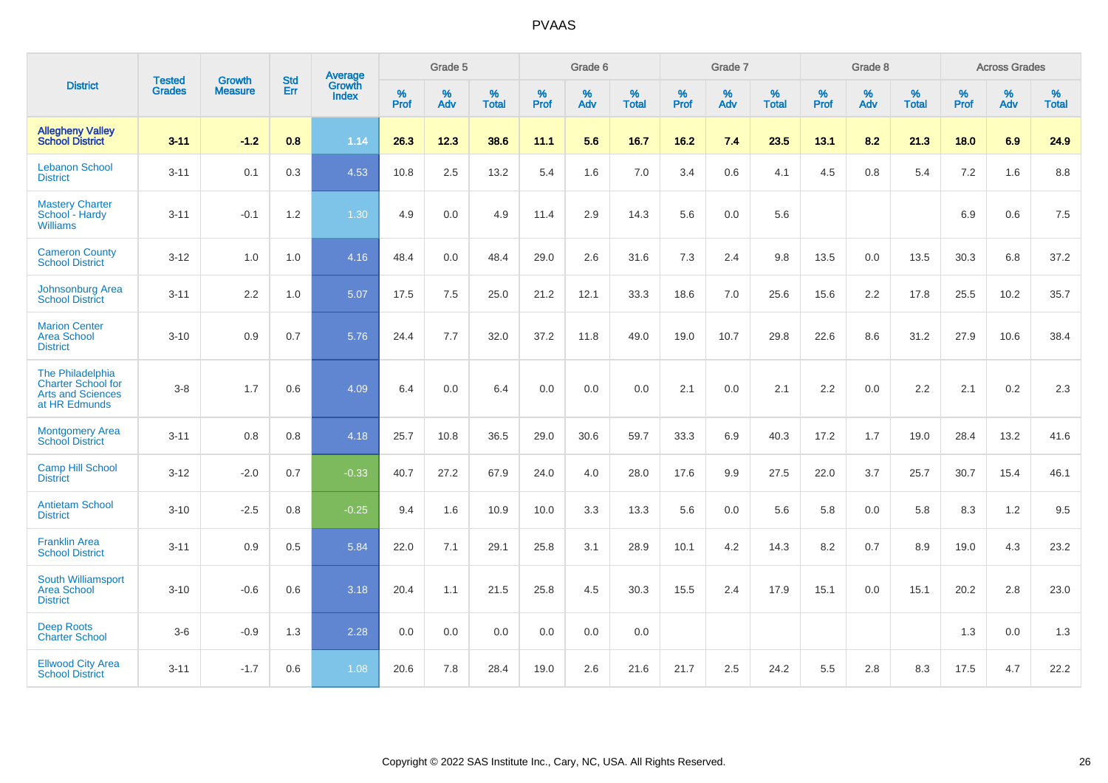|                                                                                            | <b>Tested</b> | <b>Growth</b>    | <b>Std</b> | Average                |                     | Grade 5  |                   |                     | Grade 6  |                   |              | Grade 7  |                   |                     | Grade 8  |                   |                     | <b>Across Grades</b> |                   |
|--------------------------------------------------------------------------------------------|---------------|------------------|------------|------------------------|---------------------|----------|-------------------|---------------------|----------|-------------------|--------------|----------|-------------------|---------------------|----------|-------------------|---------------------|----------------------|-------------------|
| <b>District</b>                                                                            | <b>Grades</b> | <b>Measure</b>   | <b>Err</b> | Growth<br><b>Index</b> | $\%$<br><b>Prof</b> | %<br>Adv | %<br><b>Total</b> | $\%$<br><b>Prof</b> | %<br>Adv | %<br><b>Total</b> | $\%$<br>Prof | %<br>Adv | %<br><b>Total</b> | $\%$<br><b>Prof</b> | %<br>Adv | %<br><b>Total</b> | $\%$<br><b>Prof</b> | %<br>Adv             | %<br><b>Total</b> |
| <b>Allegheny Valley</b><br><b>School District</b>                                          | $3 - 11$      | $-1.2$           | 0.8        | 1.14                   | 26.3                | 12.3     | 38.6              | 11.1                | 5.6      | 16.7              | 16.2         | 7.4      | 23.5              | 13.1                | 8.2      | 21.3              | 18.0                | 6.9                  | 24.9              |
| <b>Lebanon School</b><br><b>District</b>                                                   | $3 - 11$      | 0.1              | 0.3        | 4.53                   | 10.8                | 2.5      | 13.2              | 5.4                 | 1.6      | 7.0               | 3.4          | 0.6      | 4.1               | 4.5                 | 0.8      | 5.4               | 7.2                 | 1.6                  | 8.8               |
| <b>Mastery Charter</b><br>School - Hardy<br><b>Williams</b>                                | $3 - 11$      | $-0.1$           | 1.2        | 1.30                   | 4.9                 | 0.0      | 4.9               | 11.4                | 2.9      | 14.3              | 5.6          | 0.0      | 5.6               |                     |          |                   | 6.9                 | 0.6                  | 7.5               |
| <b>Cameron County</b><br><b>School District</b>                                            | $3 - 12$      | 1.0              | 1.0        | 4.16                   | 48.4                | 0.0      | 48.4              | 29.0                | 2.6      | 31.6              | 7.3          | 2.4      | 9.8               | 13.5                | $0.0\,$  | 13.5              | 30.3                | 6.8                  | 37.2              |
| Johnsonburg Area<br><b>School District</b>                                                 | $3 - 11$      | $2.2\phantom{0}$ | 1.0        | 5.07                   | 17.5                | 7.5      | 25.0              | 21.2                | 12.1     | 33.3              | 18.6         | 7.0      | 25.6              | 15.6                | 2.2      | 17.8              | 25.5                | 10.2                 | 35.7              |
| <b>Marion Center</b><br><b>Area School</b><br><b>District</b>                              | $3 - 10$      | 0.9              | 0.7        | 5.76                   | 24.4                | 7.7      | 32.0              | 37.2                | 11.8     | 49.0              | 19.0         | 10.7     | 29.8              | 22.6                | 8.6      | 31.2              | 27.9                | 10.6                 | 38.4              |
| The Philadelphia<br><b>Charter School for</b><br><b>Arts and Sciences</b><br>at HR Edmunds | $3 - 8$       | 1.7              | 0.6        | 4.09                   | 6.4                 | 0.0      | 6.4               | 0.0                 | 0.0      | 0.0               | 2.1          | 0.0      | 2.1               | 2.2                 | 0.0      | 2.2               | 2.1                 | 0.2                  | 2.3               |
| Montgomery Area<br><b>School District</b>                                                  | $3 - 11$      | 0.8              | 0.8        | 4.18                   | 25.7                | 10.8     | 36.5              | 29.0                | 30.6     | 59.7              | 33.3         | 6.9      | 40.3              | 17.2                | 1.7      | 19.0              | 28.4                | 13.2                 | 41.6              |
| <b>Camp Hill School</b><br><b>District</b>                                                 | $3 - 12$      | $-2.0$           | 0.7        | $-0.33$                | 40.7                | 27.2     | 67.9              | 24.0                | 4.0      | 28.0              | 17.6         | 9.9      | 27.5              | 22.0                | 3.7      | 25.7              | 30.7                | 15.4                 | 46.1              |
| <b>Antietam School</b><br><b>District</b>                                                  | $3 - 10$      | $-2.5$           | 0.8        | $-0.25$                | 9.4                 | 1.6      | 10.9              | 10.0                | 3.3      | 13.3              | 5.6          | 0.0      | 5.6               | 5.8                 | 0.0      | 5.8               | 8.3                 | 1.2                  | 9.5               |
| <b>Franklin Area</b><br><b>School District</b>                                             | $3 - 11$      | 0.9              | 0.5        | 5.84                   | 22.0                | 7.1      | 29.1              | 25.8                | 3.1      | 28.9              | 10.1         | 4.2      | 14.3              | 8.2                 | 0.7      | 8.9               | 19.0                | 4.3                  | 23.2              |
| South Williamsport<br><b>Area School</b><br><b>District</b>                                | $3 - 10$      | $-0.6$           | 0.6        | 3.18                   | 20.4                | 1.1      | 21.5              | 25.8                | 4.5      | 30.3              | 15.5         | 2.4      | 17.9              | 15.1                | 0.0      | 15.1              | 20.2                | 2.8                  | 23.0              |
| <b>Deep Roots</b><br><b>Charter School</b>                                                 | $3-6$         | $-0.9$           | 1.3        | 2.28                   | 0.0                 | 0.0      | 0.0               | 0.0                 | 0.0      | 0.0               |              |          |                   |                     |          |                   | 1.3                 | 0.0                  | 1.3               |
| <b>Ellwood City Area</b><br><b>School District</b>                                         | $3 - 11$      | $-1.7$           | 0.6        | 1.08                   | 20.6                | 7.8      | 28.4              | 19.0                | 2.6      | 21.6              | 21.7         | 2.5      | 24.2              | 5.5                 | 2.8      | 8.3               | 17.5                | 4.7                  | 22.2              |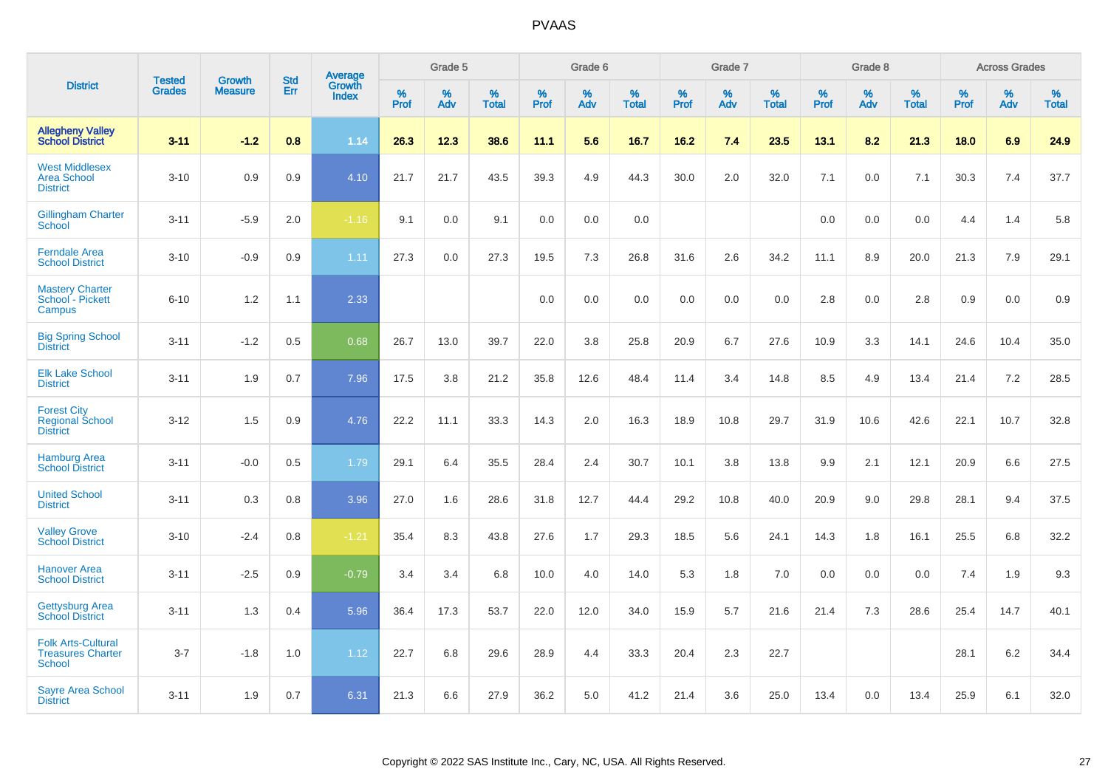|                                                                 |                                | <b>Growth</b>  | <b>Std</b> | Average                |                     | Grade 5  |                   |           | Grade 6  |                   |                  | Grade 7  |                   |           | Grade 8  |                   |              | <b>Across Grades</b> |                   |
|-----------------------------------------------------------------|--------------------------------|----------------|------------|------------------------|---------------------|----------|-------------------|-----------|----------|-------------------|------------------|----------|-------------------|-----------|----------|-------------------|--------------|----------------------|-------------------|
| <b>District</b>                                                 | <b>Tested</b><br><b>Grades</b> | <b>Measure</b> | Err        | Growth<br><b>Index</b> | $\%$<br><b>Prof</b> | %<br>Adv | %<br><b>Total</b> | %<br>Prof | %<br>Adv | %<br><b>Total</b> | %<br><b>Prof</b> | %<br>Adv | %<br><b>Total</b> | %<br>Prof | %<br>Adv | %<br><b>Total</b> | $\%$<br>Prof | %<br>Adv             | %<br><b>Total</b> |
| <b>Allegheny Valley</b><br><b>School District</b>               | $3 - 11$                       | $-1.2$         | 0.8        | 1.14                   | 26.3                | 12.3     | 38.6              | 11.1      | 5.6      | 16.7              | 16.2             | 7.4      | 23.5              | 13.1      | 8.2      | 21.3              | 18.0         | 6.9                  | 24.9              |
| <b>West Middlesex</b><br><b>Area School</b><br><b>District</b>  | $3 - 10$                       | 0.9            | 0.9        | 4.10                   | 21.7                | 21.7     | 43.5              | 39.3      | 4.9      | 44.3              | 30.0             | 2.0      | 32.0              | 7.1       | 0.0      | 7.1               | 30.3         | 7.4                  | 37.7              |
| <b>Gillingham Charter</b><br>School                             | $3 - 11$                       | $-5.9$         | 2.0        | $-1.16$                | 9.1                 | 0.0      | 9.1               | 0.0       | 0.0      | 0.0               |                  |          |                   | 0.0       | 0.0      | 0.0               | 4.4          | 1.4                  | 5.8               |
| <b>Ferndale Area</b><br><b>School District</b>                  | $3 - 10$                       | $-0.9$         | 0.9        | 1.11                   | 27.3                | 0.0      | 27.3              | 19.5      | 7.3      | 26.8              | 31.6             | 2.6      | 34.2              | 11.1      | 8.9      | 20.0              | 21.3         | 7.9                  | 29.1              |
| <b>Mastery Charter</b><br>School - Pickett<br>Campus            | $6 - 10$                       | 1.2            | 1.1        | 2.33                   |                     |          |                   | 0.0       | 0.0      | 0.0               | 0.0              | 0.0      | 0.0               | 2.8       | 0.0      | 2.8               | 0.9          | 0.0                  | 0.9               |
| <b>Big Spring School</b><br><b>District</b>                     | $3 - 11$                       | $-1.2$         | 0.5        | 0.68                   | 26.7                | 13.0     | 39.7              | 22.0      | 3.8      | 25.8              | 20.9             | 6.7      | 27.6              | 10.9      | 3.3      | 14.1              | 24.6         | 10.4                 | 35.0              |
| <b>Elk Lake School</b><br><b>District</b>                       | $3 - 11$                       | 1.9            | 0.7        | 7.96                   | 17.5                | 3.8      | 21.2              | 35.8      | 12.6     | 48.4              | 11.4             | 3.4      | 14.8              | 8.5       | 4.9      | 13.4              | 21.4         | 7.2                  | 28.5              |
| <b>Forest City</b><br><b>Regional School</b><br><b>District</b> | $3 - 12$                       | 1.5            | 0.9        | 4.76                   | 22.2                | 11.1     | 33.3              | 14.3      | 2.0      | 16.3              | 18.9             | 10.8     | 29.7              | 31.9      | 10.6     | 42.6              | 22.1         | 10.7                 | 32.8              |
| <b>Hamburg Area</b><br><b>School District</b>                   | $3 - 11$                       | $-0.0$         | 0.5        | 1.79                   | 29.1                | 6.4      | 35.5              | 28.4      | 2.4      | 30.7              | 10.1             | 3.8      | 13.8              | 9.9       | 2.1      | 12.1              | 20.9         | 6.6                  | 27.5              |
| <b>United School</b><br><b>District</b>                         | $3 - 11$                       | 0.3            | 0.8        | 3.96                   | 27.0                | 1.6      | 28.6              | 31.8      | 12.7     | 44.4              | 29.2             | 10.8     | 40.0              | 20.9      | 9.0      | 29.8              | 28.1         | 9.4                  | 37.5              |
| <b>Valley Grove</b><br><b>School District</b>                   | $3 - 10$                       | $-2.4$         | 0.8        | $-1.21$                | 35.4                | 8.3      | 43.8              | 27.6      | 1.7      | 29.3              | 18.5             | 5.6      | 24.1              | 14.3      | 1.8      | 16.1              | 25.5         | 6.8                  | 32.2              |
| <b>Hanover Area</b><br><b>School District</b>                   | $3 - 11$                       | $-2.5$         | 0.9        | $-0.79$                | 3.4                 | 3.4      | 6.8               | 10.0      | 4.0      | 14.0              | 5.3              | 1.8      | 7.0               | 0.0       | 0.0      | 0.0               | 7.4          | 1.9                  | 9.3               |
| <b>Gettysburg Area</b><br><b>School District</b>                | $3 - 11$                       | 1.3            | 0.4        | 5.96                   | 36.4                | 17.3     | 53.7              | 22.0      | 12.0     | 34.0              | 15.9             | 5.7      | 21.6              | 21.4      | 7.3      | 28.6              | 25.4         | 14.7                 | 40.1              |
| <b>Folk Arts-Cultural</b><br><b>Treasures Charter</b><br>School | $3 - 7$                        | $-1.8$         | 1.0        | 1.12                   | 22.7                | 6.8      | 29.6              | 28.9      | 4.4      | 33.3              | 20.4             | 2.3      | 22.7              |           |          |                   | 28.1         | 6.2                  | 34.4              |
| <b>Sayre Area School</b><br><b>District</b>                     | $3 - 11$                       | 1.9            | 0.7        | 6.31                   | 21.3                | 6.6      | 27.9              | 36.2      | 5.0      | 41.2              | 21.4             | 3.6      | 25.0              | 13.4      | 0.0      | 13.4              | 25.9         | 6.1                  | 32.0              |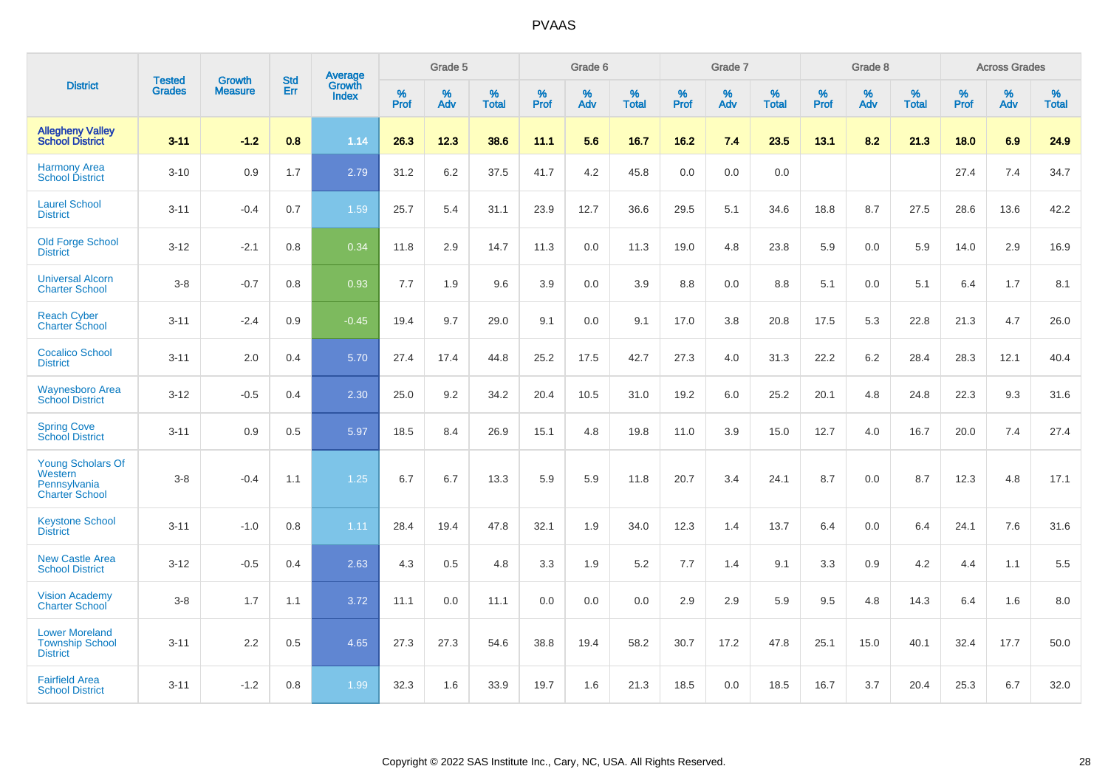|                                                                       | <b>Tested</b> | <b>Growth</b>  | <b>Std</b> | Average                |              | Grade 5  |                   |           | Grade 6  |                   |           | Grade 7  |                   |           | Grade 8  |                   |              | <b>Across Grades</b> |                   |
|-----------------------------------------------------------------------|---------------|----------------|------------|------------------------|--------------|----------|-------------------|-----------|----------|-------------------|-----------|----------|-------------------|-----------|----------|-------------------|--------------|----------------------|-------------------|
| <b>District</b>                                                       | <b>Grades</b> | <b>Measure</b> | Err        | Growth<br><b>Index</b> | $\%$<br>Prof | %<br>Adv | %<br><b>Total</b> | %<br>Prof | %<br>Adv | %<br><b>Total</b> | %<br>Prof | %<br>Adv | %<br><b>Total</b> | %<br>Prof | %<br>Adv | %<br><b>Total</b> | $\%$<br>Prof | $\%$<br>Adv          | %<br><b>Total</b> |
| <b>Allegheny Valley</b><br><b>School District</b>                     | $3 - 11$      | $-1.2$         | 0.8        | 1.14                   | 26.3         | 12.3     | 38.6              | 11.1      | 5.6      | 16.7              | 16.2      | 7.4      | 23.5              | 13.1      | 8.2      | 21.3              | 18.0         | 6.9                  | 24.9              |
| <b>Harmony Area</b><br><b>School District</b>                         | $3 - 10$      | 0.9            | 1.7        | 2.79                   | 31.2         | 6.2      | 37.5              | 41.7      | 4.2      | 45.8              | 0.0       | 0.0      | 0.0               |           |          |                   | 27.4         | 7.4                  | 34.7              |
| <b>Laurel School</b><br><b>District</b>                               | $3 - 11$      | $-0.4$         | 0.7        | 1.59                   | 25.7         | 5.4      | 31.1              | 23.9      | 12.7     | 36.6              | 29.5      | 5.1      | 34.6              | 18.8      | 8.7      | 27.5              | 28.6         | 13.6                 | 42.2              |
| <b>Old Forge School</b><br><b>District</b>                            | $3 - 12$      | $-2.1$         | 0.8        | 0.34                   | 11.8         | 2.9      | 14.7              | 11.3      | 0.0      | 11.3              | 19.0      | 4.8      | 23.8              | 5.9       | 0.0      | 5.9               | 14.0         | 2.9                  | 16.9              |
| <b>Universal Alcorn</b><br><b>Charter School</b>                      | $3-8$         | $-0.7$         | 0.8        | 0.93                   | 7.7          | 1.9      | 9.6               | 3.9       | 0.0      | 3.9               | 8.8       | 0.0      | 8.8               | 5.1       | 0.0      | 5.1               | 6.4          | 1.7                  | 8.1               |
| <b>Reach Cyber</b><br><b>Charter School</b>                           | $3 - 11$      | $-2.4$         | 0.9        | $-0.45$                | 19.4         | 9.7      | 29.0              | 9.1       | 0.0      | 9.1               | 17.0      | 3.8      | 20.8              | 17.5      | 5.3      | 22.8              | 21.3         | 4.7                  | 26.0              |
| <b>Cocalico School</b><br><b>District</b>                             | $3 - 11$      | 2.0            | 0.4        | 5.70                   | 27.4         | 17.4     | 44.8              | 25.2      | 17.5     | 42.7              | 27.3      | 4.0      | 31.3              | 22.2      | 6.2      | 28.4              | 28.3         | 12.1                 | 40.4              |
| <b>Waynesboro Area</b><br><b>School District</b>                      | $3 - 12$      | $-0.5$         | 0.4        | 2.30                   | 25.0         | 9.2      | 34.2              | 20.4      | 10.5     | 31.0              | 19.2      | 6.0      | 25.2              | 20.1      | 4.8      | 24.8              | 22.3         | 9.3                  | 31.6              |
| <b>Spring Cove</b><br><b>School District</b>                          | $3 - 11$      | 0.9            | 0.5        | 5.97                   | 18.5         | 8.4      | 26.9              | 15.1      | 4.8      | 19.8              | 11.0      | 3.9      | 15.0              | 12.7      | 4.0      | 16.7              | 20.0         | 7.4                  | 27.4              |
| Young Scholars Of<br>Western<br>Pennsylvania<br><b>Charter School</b> | $3 - 8$       | $-0.4$         | 1.1        | 1.25                   | 6.7          | 6.7      | 13.3              | 5.9       | 5.9      | 11.8              | 20.7      | 3.4      | 24.1              | 8.7       | 0.0      | 8.7               | 12.3         | 4.8                  | 17.1              |
| <b>Keystone School</b><br><b>District</b>                             | $3 - 11$      | $-1.0$         | 0.8        | 1.11                   | 28.4         | 19.4     | 47.8              | 32.1      | 1.9      | 34.0              | 12.3      | 1.4      | 13.7              | 6.4       | 0.0      | 6.4               | 24.1         | 7.6                  | 31.6              |
| <b>New Castle Area</b><br><b>School District</b>                      | $3 - 12$      | $-0.5$         | 0.4        | 2.63                   | 4.3          | 0.5      | 4.8               | 3.3       | 1.9      | 5.2               | 7.7       | 1.4      | 9.1               | 3.3       | 0.9      | 4.2               | 4.4          | 1.1                  | 5.5               |
| <b>Vision Academy</b><br>Charter School                               | $3-8$         | 1.7            | 1.1        | 3.72                   | 11.1         | 0.0      | 11.1              | 0.0       | 0.0      | 0.0               | 2.9       | 2.9      | 5.9               | 9.5       | 4.8      | 14.3              | 6.4          | 1.6                  | 8.0               |
| <b>Lower Moreland</b><br><b>Township School</b><br><b>District</b>    | $3 - 11$      | 2.2            | 0.5        | 4.65                   | 27.3         | 27.3     | 54.6              | 38.8      | 19.4     | 58.2              | 30.7      | 17.2     | 47.8              | 25.1      | 15.0     | 40.1              | 32.4         | 17.7                 | 50.0              |
| <b>Fairfield Area</b><br><b>School District</b>                       | $3 - 11$      | $-1.2$         | 0.8        | 1.99                   | 32.3         | 1.6      | 33.9              | 19.7      | 1.6      | 21.3              | 18.5      | 0.0      | 18.5              | 16.7      | 3.7      | 20.4              | 25.3         | 6.7                  | 32.0              |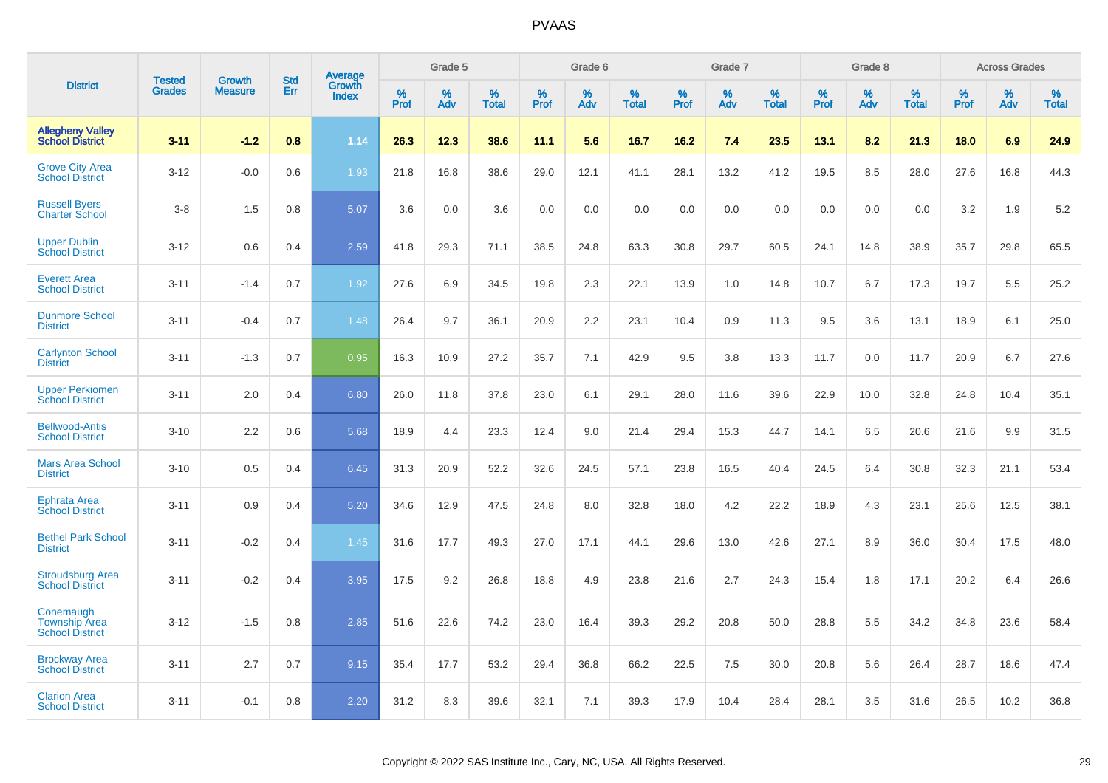|                                                             | <b>Tested</b> | <b>Growth</b>  | <b>Std</b> | Average                |              | Grade 5  |                   |              | Grade 6  |                   |              | Grade 7     |                   |              | Grade 8     |                   |              | <b>Across Grades</b> |                   |
|-------------------------------------------------------------|---------------|----------------|------------|------------------------|--------------|----------|-------------------|--------------|----------|-------------------|--------------|-------------|-------------------|--------------|-------------|-------------------|--------------|----------------------|-------------------|
| <b>District</b>                                             | <b>Grades</b> | <b>Measure</b> | Err        | Growth<br><b>Index</b> | $\%$<br>Prof | %<br>Adv | %<br><b>Total</b> | $\%$<br>Prof | %<br>Adv | %<br><b>Total</b> | $\%$<br>Prof | $\%$<br>Adv | %<br><b>Total</b> | $\%$<br>Prof | $\%$<br>Adv | %<br><b>Total</b> | $\%$<br>Prof | $\%$<br>Adv          | %<br><b>Total</b> |
| <b>Allegheny Valley</b><br><b>School District</b>           | $3 - 11$      | $-1.2$         | 0.8        | 1.14                   | 26.3         | 12.3     | 38.6              | 11.1         | 5.6      | 16.7              | 16.2         | 7.4         | 23.5              | 13.1         | 8.2         | 21.3              | 18.0         | 6.9                  | 24.9              |
| <b>Grove City Area</b><br><b>School District</b>            | $3 - 12$      | $-0.0$         | 0.6        | 1.93                   | 21.8         | 16.8     | 38.6              | 29.0         | 12.1     | 41.1              | 28.1         | 13.2        | 41.2              | 19.5         | 8.5         | 28.0              | 27.6         | 16.8                 | 44.3              |
| <b>Russell Bvers</b><br><b>Charter School</b>               | $3 - 8$       | 1.5            | 0.8        | 5.07                   | 3.6          | 0.0      | 3.6               | 0.0          | 0.0      | 0.0               | 0.0          | 0.0         | 0.0               | 0.0          | 0.0         | 0.0               | 3.2          | 1.9                  | 5.2               |
| <b>Upper Dublin</b><br><b>School District</b>               | $3 - 12$      | 0.6            | 0.4        | 2.59                   | 41.8         | 29.3     | 71.1              | 38.5         | 24.8     | 63.3              | 30.8         | 29.7        | 60.5              | 24.1         | 14.8        | 38.9              | 35.7         | 29.8                 | 65.5              |
| <b>Everett Area</b><br><b>School District</b>               | $3 - 11$      | $-1.4$         | 0.7        | 1.92                   | 27.6         | 6.9      | 34.5              | 19.8         | 2.3      | 22.1              | 13.9         | 1.0         | 14.8              | 10.7         | 6.7         | 17.3              | 19.7         | 5.5                  | 25.2              |
| <b>Dunmore School</b><br><b>District</b>                    | $3 - 11$      | $-0.4$         | 0.7        | 1.48                   | 26.4         | 9.7      | 36.1              | 20.9         | 2.2      | 23.1              | 10.4         | 0.9         | 11.3              | 9.5          | 3.6         | 13.1              | 18.9         | 6.1                  | 25.0              |
| <b>Carlynton School</b><br><b>District</b>                  | $3 - 11$      | $-1.3$         | 0.7        | 0.95                   | 16.3         | 10.9     | 27.2              | 35.7         | 7.1      | 42.9              | 9.5          | 3.8         | 13.3              | 11.7         | 0.0         | 11.7              | 20.9         | 6.7                  | 27.6              |
| <b>Upper Perkiomen</b><br><b>School District</b>            | $3 - 11$      | 2.0            | 0.4        | 6.80                   | 26.0         | 11.8     | 37.8              | 23.0         | 6.1      | 29.1              | 28.0         | 11.6        | 39.6              | 22.9         | 10.0        | 32.8              | 24.8         | 10.4                 | 35.1              |
| <b>Bellwood-Antis</b><br><b>School District</b>             | $3 - 10$      | 2.2            | 0.6        | 5.68                   | 18.9         | 4.4      | 23.3              | 12.4         | 9.0      | 21.4              | 29.4         | 15.3        | 44.7              | 14.1         | 6.5         | 20.6              | 21.6         | 9.9                  | 31.5              |
| <b>Mars Area School</b><br><b>District</b>                  | $3 - 10$      | 0.5            | 0.4        | 6.45                   | 31.3         | 20.9     | 52.2              | 32.6         | 24.5     | 57.1              | 23.8         | 16.5        | 40.4              | 24.5         | 6.4         | 30.8              | 32.3         | 21.1                 | 53.4              |
| <b>Ephrata Area</b><br><b>School District</b>               | $3 - 11$      | 0.9            | 0.4        | 5.20                   | 34.6         | 12.9     | 47.5              | 24.8         | 8.0      | 32.8              | 18.0         | 4.2         | 22.2              | 18.9         | 4.3         | 23.1              | 25.6         | 12.5                 | 38.1              |
| <b>Bethel Park School</b><br><b>District</b>                | $3 - 11$      | $-0.2$         | 0.4        | 1.45                   | 31.6         | 17.7     | 49.3              | 27.0         | 17.1     | 44.1              | 29.6         | 13.0        | 42.6              | 27.1         | 8.9         | 36.0              | 30.4         | 17.5                 | 48.0              |
| <b>Stroudsburg Area</b><br><b>School District</b>           | $3 - 11$      | $-0.2$         | 0.4        | 3.95                   | 17.5         | 9.2      | 26.8              | 18.8         | 4.9      | 23.8              | 21.6         | 2.7         | 24.3              | 15.4         | 1.8         | 17.1              | 20.2         | 6.4                  | 26.6              |
| Conemaugh<br><b>Township Area</b><br><b>School District</b> | $3 - 12$      | $-1.5$         | 0.8        | 2.85                   | 51.6         | 22.6     | 74.2              | 23.0         | 16.4     | 39.3              | 29.2         | 20.8        | 50.0              | 28.8         | 5.5         | 34.2              | 34.8         | 23.6                 | 58.4              |
| <b>Brockway Area</b><br><b>School District</b>              | $3 - 11$      | 2.7            | 0.7        | 9.15                   | 35.4         | 17.7     | 53.2              | 29.4         | 36.8     | 66.2              | 22.5         | 7.5         | 30.0              | 20.8         | 5.6         | 26.4              | 28.7         | 18.6                 | 47.4              |
| <b>Clarion Area</b><br><b>School District</b>               | $3 - 11$      | $-0.1$         | 0.8        | 2.20                   | 31.2         | 8.3      | 39.6              | 32.1         | 7.1      | 39.3              | 17.9         | 10.4        | 28.4              | 28.1         | 3.5         | 31.6              | 26.5         | 10.2                 | 36.8              |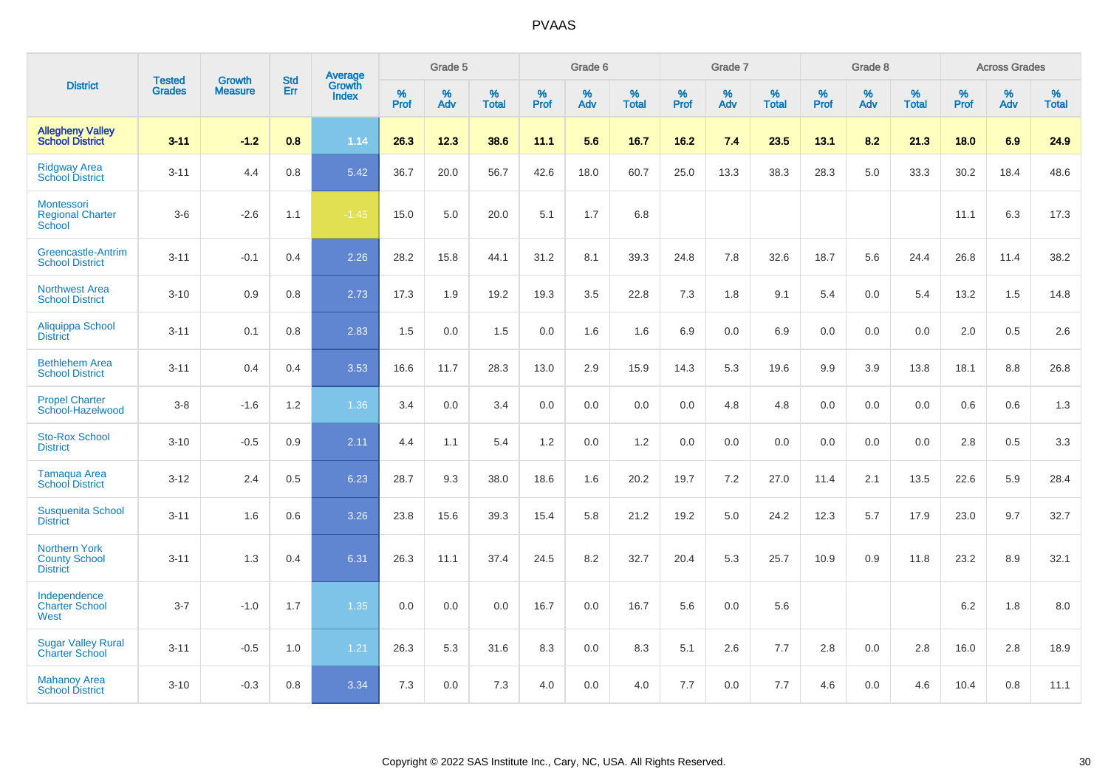|                                                                 | <b>Tested</b> | <b>Growth</b>  | <b>Std</b> | Average                |              | Grade 5  |                   |           | Grade 6  |                   |           | Grade 7  |                   |           | Grade 8  |                   |           | <b>Across Grades</b> |                   |
|-----------------------------------------------------------------|---------------|----------------|------------|------------------------|--------------|----------|-------------------|-----------|----------|-------------------|-----------|----------|-------------------|-----------|----------|-------------------|-----------|----------------------|-------------------|
| <b>District</b>                                                 | <b>Grades</b> | <b>Measure</b> | Err        | Growth<br><b>Index</b> | $\%$<br>Prof | %<br>Adv | %<br><b>Total</b> | %<br>Prof | %<br>Adv | %<br><b>Total</b> | %<br>Prof | %<br>Adv | %<br><b>Total</b> | %<br>Prof | %<br>Adv | %<br><b>Total</b> | %<br>Prof | %<br>Adv             | %<br><b>Total</b> |
| <b>Allegheny Valley</b><br><b>School District</b>               | $3 - 11$      | $-1.2$         | 0.8        | 1.14                   | 26.3         | 12.3     | 38.6              | 11.1      | 5.6      | 16.7              | 16.2      | 7.4      | 23.5              | 13.1      | 8.2      | 21.3              | 18.0      | 6.9                  | 24.9              |
| <b>Ridgway Area</b><br><b>School District</b>                   | $3 - 11$      | 4.4            | 0.8        | 5.42                   | 36.7         | 20.0     | 56.7              | 42.6      | 18.0     | 60.7              | 25.0      | 13.3     | 38.3              | 28.3      | 5.0      | 33.3              | 30.2      | 18.4                 | 48.6              |
| Montessori<br><b>Regional Charter</b><br>School                 | $3-6$         | $-2.6$         | 1.1        | $-1.45$                | 15.0         | 5.0      | 20.0              | 5.1       | 1.7      | 6.8               |           |          |                   |           |          |                   | 11.1      | 6.3                  | 17.3              |
| <b>Greencastle-Antrim</b><br><b>School District</b>             | $3 - 11$      | $-0.1$         | 0.4        | 2.26                   | 28.2         | 15.8     | 44.1              | 31.2      | 8.1      | 39.3              | 24.8      | 7.8      | 32.6              | 18.7      | 5.6      | 24.4              | 26.8      | 11.4                 | 38.2              |
| <b>Northwest Area</b><br><b>School District</b>                 | $3 - 10$      | 0.9            | 0.8        | 2.73                   | 17.3         | 1.9      | 19.2              | 19.3      | 3.5      | 22.8              | 7.3       | 1.8      | 9.1               | 5.4       | 0.0      | 5.4               | 13.2      | 1.5                  | 14.8              |
| <b>Aliquippa School</b><br><b>District</b>                      | $3 - 11$      | 0.1            | 0.8        | 2.83                   | 1.5          | 0.0      | 1.5               | 0.0       | 1.6      | 1.6               | 6.9       | 0.0      | 6.9               | 0.0       | 0.0      | 0.0               | 2.0       | 0.5                  | 2.6               |
| <b>Bethlehem Area</b><br><b>School District</b>                 | $3 - 11$      | 0.4            | 0.4        | 3.53                   | 16.6         | 11.7     | 28.3              | 13.0      | 2.9      | 15.9              | 14.3      | 5.3      | 19.6              | 9.9       | 3.9      | 13.8              | 18.1      | 8.8                  | 26.8              |
| <b>Propel Charter</b><br>School-Hazelwood                       | $3 - 8$       | $-1.6$         | 1.2        | 1.36                   | 3.4          | 0.0      | 3.4               | 0.0       | 0.0      | 0.0               | 0.0       | 4.8      | 4.8               | 0.0       | 0.0      | 0.0               | 0.6       | 0.6                  | 1.3               |
| <b>Sto-Rox School</b><br><b>District</b>                        | $3 - 10$      | $-0.5$         | 0.9        | 2.11                   | 4.4          | 1.1      | 5.4               | 1.2       | 0.0      | 1.2               | 0.0       | 0.0      | 0.0               | 0.0       | 0.0      | 0.0               | 2.8       | 0.5                  | 3.3               |
| <b>Tamaqua Area</b><br><b>School District</b>                   | $3 - 12$      | 2.4            | 0.5        | 6.23                   | 28.7         | 9.3      | 38.0              | 18.6      | 1.6      | 20.2              | 19.7      | 7.2      | 27.0              | 11.4      | 2.1      | 13.5              | 22.6      | 5.9                  | 28.4              |
| <b>Susquenita School</b><br><b>District</b>                     | $3 - 11$      | 1.6            | 0.6        | 3.26                   | 23.8         | 15.6     | 39.3              | 15.4      | 5.8      | 21.2              | 19.2      | 5.0      | 24.2              | 12.3      | 5.7      | 17.9              | 23.0      | 9.7                  | 32.7              |
| <b>Northern York</b><br><b>County School</b><br><b>District</b> | $3 - 11$      | 1.3            | 0.4        | 6.31                   | 26.3         | 11.1     | 37.4              | 24.5      | 8.2      | 32.7              | 20.4      | 5.3      | 25.7              | 10.9      | 0.9      | 11.8              | 23.2      | 8.9                  | 32.1              |
| Independence<br><b>Charter School</b><br>West                   | $3 - 7$       | $-1.0$         | 1.7        | 1.35                   | 0.0          | 0.0      | 0.0               | 16.7      | 0.0      | 16.7              | 5.6       | 0.0      | 5.6               |           |          |                   | 6.2       | 1.8                  | 8.0               |
| <b>Sugar Valley Rural</b><br><b>Charter School</b>              | $3 - 11$      | $-0.5$         | 1.0        | 1.21                   | 26.3         | 5.3      | 31.6              | 8.3       | 0.0      | 8.3               | 5.1       | 2.6      | 7.7               | 2.8       | 0.0      | 2.8               | 16.0      | 2.8                  | 18.9              |
| <b>Mahanoy Area</b><br><b>School District</b>                   | $3 - 10$      | $-0.3$         | 0.8        | 3.34                   | 7.3          | 0.0      | 7.3               | 4.0       | 0.0      | 4.0               | 7.7       | 0.0      | 7.7               | 4.6       | 0.0      | 4.6               | 10.4      | 0.8                  | 11.1              |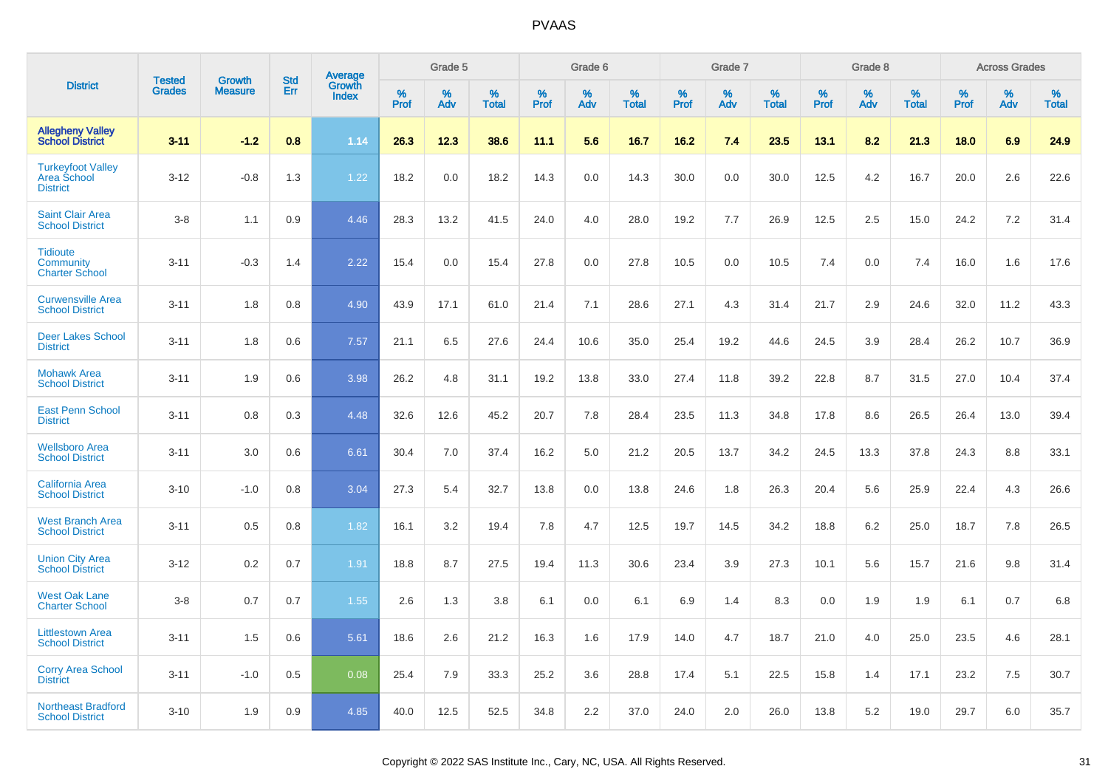|                                                                   |                                |                                 | <b>Std</b> |                                          |                     | Grade 5  |                   |              | Grade 6  |                   |              | Grade 7  |                   |              | Grade 8  |                   |              | <b>Across Grades</b> |                   |
|-------------------------------------------------------------------|--------------------------------|---------------------------------|------------|------------------------------------------|---------------------|----------|-------------------|--------------|----------|-------------------|--------------|----------|-------------------|--------------|----------|-------------------|--------------|----------------------|-------------------|
| <b>District</b>                                                   | <b>Tested</b><br><b>Grades</b> | <b>Growth</b><br><b>Measure</b> | Err        | <b>Average</b><br>Growth<br><b>Index</b> | $\%$<br><b>Prof</b> | %<br>Adv | %<br><b>Total</b> | $\%$<br>Prof | %<br>Adv | %<br><b>Total</b> | $\%$<br>Prof | %<br>Adv | %<br><b>Total</b> | $\%$<br>Prof | %<br>Adv | %<br><b>Total</b> | $\%$<br>Prof | %<br>Adv             | %<br><b>Total</b> |
| <b>Allegheny Valley</b><br><b>School District</b>                 | $3 - 11$                       | $-1.2$                          | 0.8        | 1.14                                     | 26.3                | 12.3     | 38.6              | 11.1         | 5.6      | 16.7              | 16.2         | 7.4      | 23.5              | 13.1         | 8.2      | 21.3              | 18.0         | 6.9                  | 24.9              |
| <b>Turkeyfoot Valley</b><br><b>Area School</b><br><b>District</b> | $3 - 12$                       | $-0.8$                          | 1.3        | 1.22                                     | 18.2                | 0.0      | 18.2              | 14.3         | 0.0      | 14.3              | 30.0         | 0.0      | 30.0              | 12.5         | 4.2      | 16.7              | 20.0         | 2.6                  | 22.6              |
| <b>Saint Clair Area</b><br><b>School District</b>                 | $3-8$                          | 1.1                             | 0.9        | 4.46                                     | 28.3                | 13.2     | 41.5              | 24.0         | 4.0      | 28.0              | 19.2         | 7.7      | 26.9              | 12.5         | 2.5      | 15.0              | 24.2         | 7.2                  | 31.4              |
| <b>Tidioute</b><br><b>Community</b><br><b>Charter School</b>      | $3 - 11$                       | $-0.3$                          | 1.4        | 2.22                                     | 15.4                | 0.0      | 15.4              | 27.8         | 0.0      | 27.8              | 10.5         | 0.0      | 10.5              | 7.4          | 0.0      | 7.4               | 16.0         | 1.6                  | 17.6              |
| <b>Curwensville Area</b><br><b>School District</b>                | $3 - 11$                       | 1.8                             | 0.8        | 4.90                                     | 43.9                | 17.1     | 61.0              | 21.4         | 7.1      | 28.6              | 27.1         | 4.3      | 31.4              | 21.7         | 2.9      | 24.6              | 32.0         | 11.2                 | 43.3              |
| <b>Deer Lakes School</b><br><b>District</b>                       | $3 - 11$                       | 1.8                             | 0.6        | 7.57                                     | 21.1                | 6.5      | 27.6              | 24.4         | 10.6     | 35.0              | 25.4         | 19.2     | 44.6              | 24.5         | 3.9      | 28.4              | 26.2         | 10.7                 | 36.9              |
| <b>Mohawk Area</b><br><b>School District</b>                      | $3 - 11$                       | 1.9                             | 0.6        | 3.98                                     | 26.2                | 4.8      | 31.1              | 19.2         | 13.8     | 33.0              | 27.4         | 11.8     | 39.2              | 22.8         | 8.7      | 31.5              | 27.0         | 10.4                 | 37.4              |
| <b>East Penn School</b><br><b>District</b>                        | $3 - 11$                       | 0.8                             | 0.3        | 4.48                                     | 32.6                | 12.6     | 45.2              | 20.7         | 7.8      | 28.4              | 23.5         | 11.3     | 34.8              | 17.8         | 8.6      | 26.5              | 26.4         | 13.0                 | 39.4              |
| <b>Wellsboro Area</b><br><b>School District</b>                   | $3 - 11$                       | 3.0                             | 0.6        | 6.61                                     | 30.4                | 7.0      | 37.4              | 16.2         | 5.0      | 21.2              | 20.5         | 13.7     | 34.2              | 24.5         | 13.3     | 37.8              | 24.3         | 8.8                  | 33.1              |
| <b>California Area</b><br><b>School District</b>                  | $3 - 10$                       | $-1.0$                          | 0.8        | 3.04                                     | 27.3                | 5.4      | 32.7              | 13.8         | 0.0      | 13.8              | 24.6         | 1.8      | 26.3              | 20.4         | 5.6      | 25.9              | 22.4         | 4.3                  | 26.6              |
| <b>West Branch Area</b><br><b>School District</b>                 | $3 - 11$                       | 0.5                             | 0.8        | 1.82                                     | 16.1                | 3.2      | 19.4              | 7.8          | 4.7      | 12.5              | 19.7         | 14.5     | 34.2              | 18.8         | 6.2      | 25.0              | 18.7         | 7.8                  | 26.5              |
| <b>Union City Area</b><br><b>School District</b>                  | $3 - 12$                       | 0.2                             | 0.7        | 1.91                                     | 18.8                | 8.7      | 27.5              | 19.4         | 11.3     | 30.6              | 23.4         | 3.9      | 27.3              | 10.1         | 5.6      | 15.7              | 21.6         | 9.8                  | 31.4              |
| <b>West Oak Lane</b><br><b>Charter School</b>                     | $3-8$                          | 0.7                             | 0.7        | 1.55                                     | 2.6                 | 1.3      | 3.8               | 6.1          | 0.0      | 6.1               | 6.9          | 1.4      | 8.3               | 0.0          | 1.9      | 1.9               | 6.1          | 0.7                  | 6.8               |
| <b>Littlestown Area</b><br><b>School District</b>                 | $3 - 11$                       | 1.5                             | 0.6        | 5.61                                     | 18.6                | 2.6      | 21.2              | 16.3         | 1.6      | 17.9              | 14.0         | 4.7      | 18.7              | 21.0         | 4.0      | 25.0              | 23.5         | 4.6                  | 28.1              |
| <b>Corry Area School</b><br><b>District</b>                       | $3 - 11$                       | $-1.0$                          | 0.5        | 0.08                                     | 25.4                | 7.9      | 33.3              | 25.2         | 3.6      | 28.8              | 17.4         | 5.1      | 22.5              | 15.8         | 1.4      | 17.1              | 23.2         | 7.5                  | 30.7              |
| <b>Northeast Bradford</b><br><b>School District</b>               | $3 - 10$                       | 1.9                             | 0.9        | 4.85                                     | 40.0                | 12.5     | 52.5              | 34.8         | 2.2      | 37.0              | 24.0         | 2.0      | 26.0              | 13.8         | 5.2      | 19.0              | 29.7         | 6.0                  | 35.7              |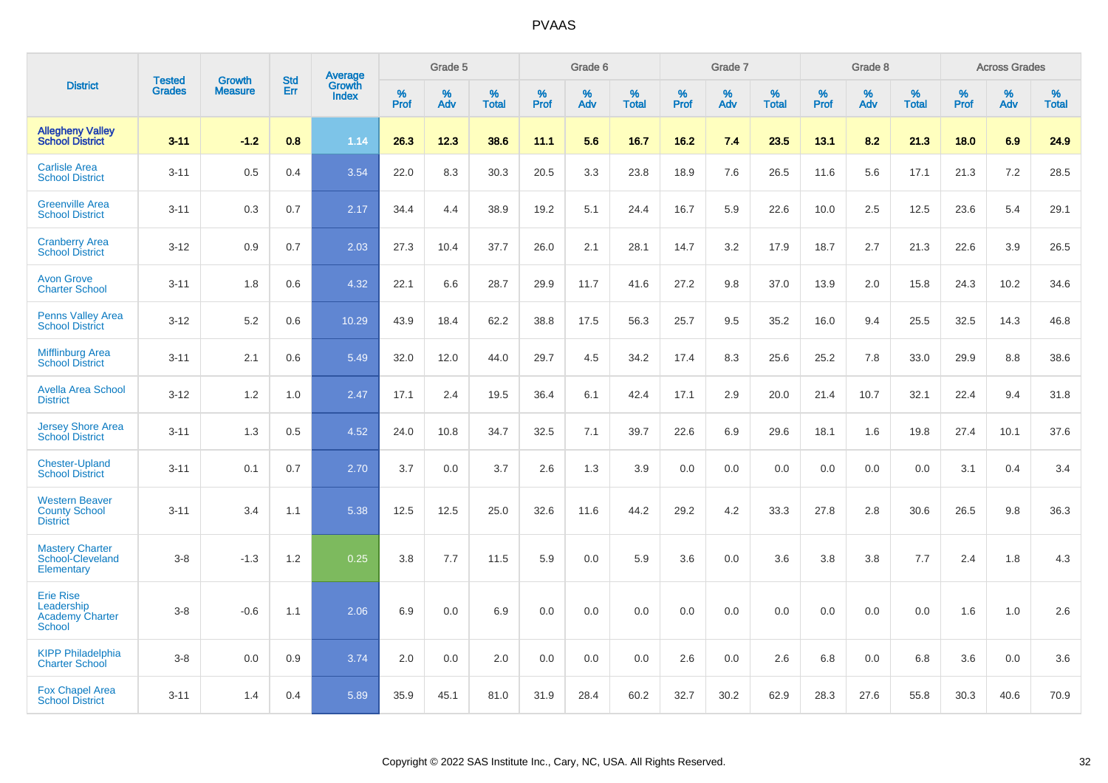|                                                                    |                                | <b>Growth</b>  | <b>Std</b> | Average                |              | Grade 5  |                   |           | Grade 6  |                   |              | Grade 7  |                   |              | Grade 8  |                   |              | <b>Across Grades</b> |                   |
|--------------------------------------------------------------------|--------------------------------|----------------|------------|------------------------|--------------|----------|-------------------|-----------|----------|-------------------|--------------|----------|-------------------|--------------|----------|-------------------|--------------|----------------------|-------------------|
| <b>District</b>                                                    | <b>Tested</b><br><b>Grades</b> | <b>Measure</b> | Err        | Growth<br><b>Index</b> | $\%$<br>Prof | %<br>Adv | %<br><b>Total</b> | %<br>Prof | %<br>Adv | %<br><b>Total</b> | $\%$<br>Prof | %<br>Adv | %<br><b>Total</b> | $\%$<br>Prof | %<br>Adv | %<br><b>Total</b> | $\%$<br>Prof | %<br>Adv             | %<br><b>Total</b> |
| <b>Allegheny Valley</b><br><b>School District</b>                  | $3 - 11$                       | $-1.2$         | 0.8        | 1.14                   | 26.3         | 12.3     | 38.6              | 11.1      | 5.6      | 16.7              | 16.2         | 7.4      | 23.5              | 13.1         | 8.2      | 21.3              | 18.0         | 6.9                  | 24.9              |
| <b>Carlisle Area</b><br><b>School District</b>                     | $3 - 11$                       | 0.5            | 0.4        | 3.54                   | 22.0         | 8.3      | 30.3              | 20.5      | 3.3      | 23.8              | 18.9         | 7.6      | 26.5              | 11.6         | 5.6      | 17.1              | 21.3         | 7.2                  | 28.5              |
| <b>Greenville Area</b><br><b>School District</b>                   | $3 - 11$                       | 0.3            | 0.7        | 2.17                   | 34.4         | 4.4      | 38.9              | 19.2      | 5.1      | 24.4              | 16.7         | 5.9      | 22.6              | 10.0         | 2.5      | 12.5              | 23.6         | 5.4                  | 29.1              |
| <b>Cranberry Area</b><br><b>School District</b>                    | $3 - 12$                       | 0.9            | 0.7        | 2.03                   | 27.3         | 10.4     | 37.7              | 26.0      | 2.1      | 28.1              | 14.7         | 3.2      | 17.9              | 18.7         | 2.7      | 21.3              | 22.6         | 3.9                  | 26.5              |
| <b>Avon Grove</b><br><b>Charter School</b>                         | $3 - 11$                       | 1.8            | 0.6        | 4.32                   | 22.1         | 6.6      | 28.7              | 29.9      | 11.7     | 41.6              | 27.2         | 9.8      | 37.0              | 13.9         | 2.0      | 15.8              | 24.3         | 10.2                 | 34.6              |
| <b>Penns Valley Area</b><br><b>School District</b>                 | $3 - 12$                       | 5.2            | 0.6        | 10.29                  | 43.9         | 18.4     | 62.2              | 38.8      | 17.5     | 56.3              | 25.7         | 9.5      | 35.2              | 16.0         | 9.4      | 25.5              | 32.5         | 14.3                 | 46.8              |
| <b>Mifflinburg Area</b><br><b>School District</b>                  | $3 - 11$                       | 2.1            | 0.6        | 5.49                   | 32.0         | 12.0     | 44.0              | 29.7      | 4.5      | 34.2              | 17.4         | 8.3      | 25.6              | 25.2         | 7.8      | 33.0              | 29.9         | 8.8                  | 38.6              |
| <b>Avella Area School</b><br><b>District</b>                       | $3 - 12$                       | 1.2            | 1.0        | 2.47                   | 17.1         | 2.4      | 19.5              | 36.4      | 6.1      | 42.4              | 17.1         | 2.9      | 20.0              | 21.4         | 10.7     | 32.1              | 22.4         | 9.4                  | 31.8              |
| <b>Jersey Shore Area</b><br><b>School District</b>                 | $3 - 11$                       | 1.3            | 0.5        | 4.52                   | 24.0         | 10.8     | 34.7              | 32.5      | 7.1      | 39.7              | 22.6         | 6.9      | 29.6              | 18.1         | 1.6      | 19.8              | 27.4         | 10.1                 | 37.6              |
| <b>Chester-Upland</b><br><b>School District</b>                    | $3 - 11$                       | 0.1            | 0.7        | 2.70                   | 3.7          | 0.0      | 3.7               | 2.6       | 1.3      | 3.9               | 0.0          | 0.0      | 0.0               | 0.0          | 0.0      | 0.0               | 3.1          | 0.4                  | 3.4               |
| <b>Western Beaver</b><br><b>County School</b><br><b>District</b>   | $3 - 11$                       | 3.4            | 1.1        | 5.38                   | 12.5         | 12.5     | 25.0              | 32.6      | 11.6     | 44.2              | 29.2         | 4.2      | 33.3              | 27.8         | 2.8      | 30.6              | 26.5         | 9.8                  | 36.3              |
| <b>Mastery Charter</b><br>School-Cleveland<br>Elementary           | $3-8$                          | $-1.3$         | 1.2        | 0.25                   | 3.8          | 7.7      | 11.5              | 5.9       | 0.0      | 5.9               | 3.6          | 0.0      | 3.6               | 3.8          | 3.8      | 7.7               | 2.4          | 1.8                  | 4.3               |
| <b>Erie Rise</b><br>Leadership<br><b>Academy Charter</b><br>School | $3-8$                          | $-0.6$         | 1.1        | 2.06                   | 6.9          | 0.0      | 6.9               | 0.0       | 0.0      | 0.0               | 0.0          | 0.0      | 0.0               | 0.0          | 0.0      | 0.0               | 1.6          | 1.0                  | 2.6               |
| <b>KIPP Philadelphia</b><br><b>Charter School</b>                  | $3-8$                          | 0.0            | 0.9        | 3.74                   | 2.0          | 0.0      | 2.0               | 0.0       | 0.0      | 0.0               | 2.6          | 0.0      | 2.6               | 6.8          | 0.0      | 6.8               | 3.6          | 0.0                  | 3.6               |
| <b>Fox Chapel Area</b><br><b>School District</b>                   | $3 - 11$                       | 1.4            | 0.4        | 5.89                   | 35.9         | 45.1     | 81.0              | 31.9      | 28.4     | 60.2              | 32.7         | 30.2     | 62.9              | 28.3         | 27.6     | 55.8              | 30.3         | 40.6                 | 70.9              |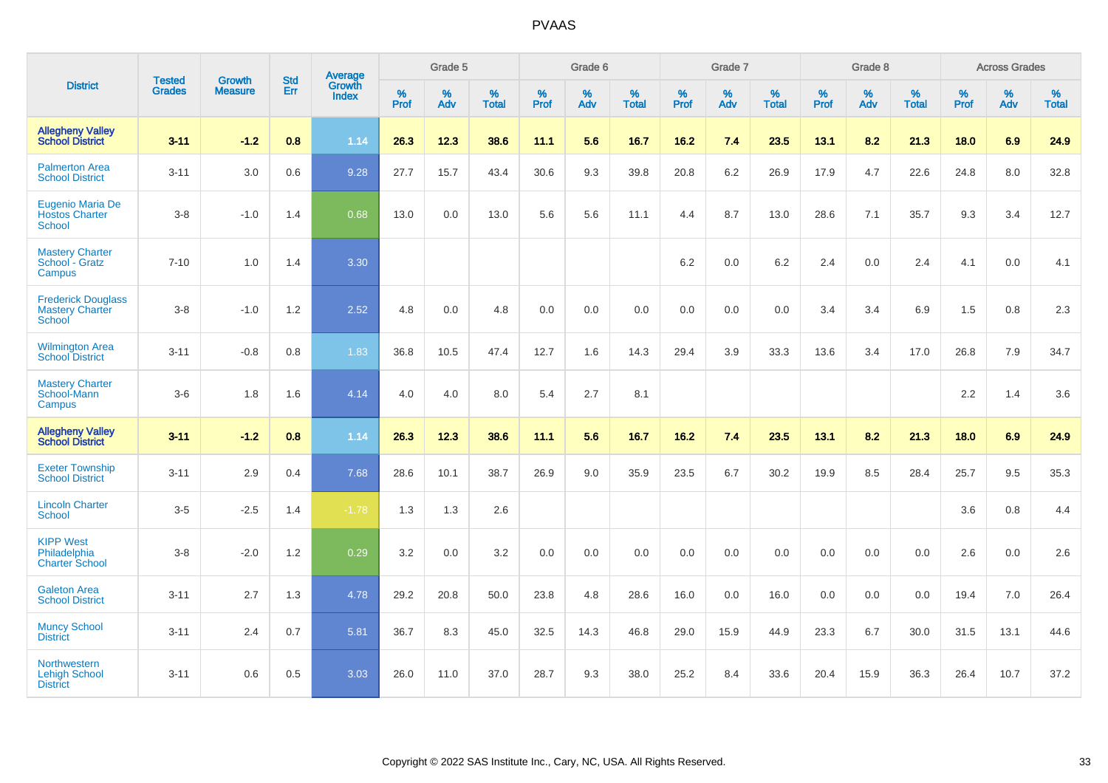|                                                                      | <b>Tested</b> | <b>Growth</b>  | <b>Std</b> | Average                |                     | Grade 5  |                   |              | Grade 6  |                   |              | Grade 7  |                   |              | Grade 8  |                   |           | <b>Across Grades</b> |                   |
|----------------------------------------------------------------------|---------------|----------------|------------|------------------------|---------------------|----------|-------------------|--------------|----------|-------------------|--------------|----------|-------------------|--------------|----------|-------------------|-----------|----------------------|-------------------|
| <b>District</b>                                                      | <b>Grades</b> | <b>Measure</b> | Err        | Growth<br><b>Index</b> | $\%$<br><b>Prof</b> | %<br>Adv | %<br><b>Total</b> | $\%$<br>Prof | %<br>Adv | %<br><b>Total</b> | $\%$<br>Prof | %<br>Adv | %<br><b>Total</b> | $\%$<br>Prof | %<br>Adv | %<br><b>Total</b> | %<br>Prof | $\%$<br>Adv          | %<br><b>Total</b> |
| <b>Allegheny Valley</b><br><b>School District</b>                    | $3 - 11$      | $-1.2$         | 0.8        | 1.14                   | 26.3                | 12.3     | 38.6              | 11.1         | 5.6      | 16.7              | 16.2         | 7.4      | 23.5              | 13.1         | 8.2      | 21.3              | 18.0      | 6.9                  | 24.9              |
| <b>Palmerton Area</b><br><b>School District</b>                      | $3 - 11$      | 3.0            | 0.6        | 9.28                   | 27.7                | 15.7     | 43.4              | 30.6         | 9.3      | 39.8              | 20.8         | 6.2      | 26.9              | 17.9         | 4.7      | 22.6              | 24.8      | 8.0                  | 32.8              |
| Eugenio Maria De<br><b>Hostos Charter</b><br><b>School</b>           | $3-8$         | $-1.0$         | 1.4        | 0.68                   | 13.0                | 0.0      | 13.0              | 5.6          | 5.6      | 11.1              | 4.4          | 8.7      | 13.0              | 28.6         | 7.1      | 35.7              | 9.3       | 3.4                  | 12.7              |
| <b>Mastery Charter</b><br>School - Gratz<br>Campus                   | $7 - 10$      | 1.0            | 1.4        | 3.30                   |                     |          |                   |              |          |                   | $6.2\,$      | $0.0\,$  | 6.2               | 2.4          | 0.0      | 2.4               | 4.1       | 0.0                  | 4.1               |
| <b>Frederick Douglass</b><br><b>Mastery Charter</b><br><b>School</b> | $3-8$         | $-1.0$         | 1.2        | 2.52                   | 4.8                 | 0.0      | 4.8               | $0.0\,$      | 0.0      | 0.0               | $0.0\,$      | 0.0      | 0.0               | 3.4          | 3.4      | 6.9               | 1.5       | 0.8                  | 2.3               |
| <b>Wilmington Area</b><br><b>School District</b>                     | $3 - 11$      | $-0.8$         | 0.8        | 1.83                   | 36.8                | 10.5     | 47.4              | 12.7         | 1.6      | 14.3              | 29.4         | 3.9      | 33.3              | 13.6         | 3.4      | 17.0              | 26.8      | 7.9                  | 34.7              |
| <b>Mastery Charter</b><br>School-Mann<br>Campus                      | $3-6$         | 1.8            | 1.6        | 4.14                   | 4.0                 | 4.0      | 8.0               | 5.4          | 2.7      | 8.1               |              |          |                   |              |          |                   | 2.2       | 1.4                  | 3.6               |
| <b>Allegheny Valley</b><br><b>School District</b>                    | $3 - 11$      | $-1.2$         | 0.8        | 1.14                   | 26.3                | 12.3     | 38.6              | 11.1         | 5.6      | 16.7              | $16.2$       | 7.4      | 23.5              | 13.1         | 8.2      | 21.3              | 18.0      | 6.9                  | 24.9              |
| <b>Exeter Township</b><br><b>School District</b>                     | $3 - 11$      | 2.9            | 0.4        | 7.68                   | 28.6                | 10.1     | 38.7              | 26.9         | 9.0      | 35.9              | 23.5         | 6.7      | 30.2              | 19.9         | 8.5      | 28.4              | 25.7      | 9.5                  | 35.3              |
| <b>Lincoln Charter</b><br><b>School</b>                              | $3-5$         | $-2.5$         | 1.4        | $-1.78$                | 1.3                 | 1.3      | 2.6               |              |          |                   |              |          |                   |              |          |                   | 3.6       | 0.8                  | 4.4               |
| <b>KIPP West</b><br>Philadelphia<br><b>Charter School</b>            | $3-8$         | $-2.0$         | 1.2        | 0.29                   | 3.2                 | 0.0      | 3.2               | 0.0          | 0.0      | 0.0               | 0.0          | 0.0      | 0.0               | 0.0          | 0.0      | 0.0               | 2.6       | 0.0                  | 2.6               |
| <b>Galeton Area</b><br><b>School District</b>                        | $3 - 11$      | 2.7            | 1.3        | 4.78                   | 29.2                | 20.8     | 50.0              | 23.8         | 4.8      | 28.6              | 16.0         | 0.0      | 16.0              | 0.0          | 0.0      | 0.0               | 19.4      | 7.0                  | 26.4              |
| <b>Muncy School</b><br><b>District</b>                               | $3 - 11$      | 2.4            | 0.7        | 5.81                   | 36.7                | 8.3      | 45.0              | 32.5         | 14.3     | 46.8              | 29.0         | 15.9     | 44.9              | 23.3         | 6.7      | 30.0              | 31.5      | 13.1                 | 44.6              |
| <b>Northwestern</b><br><b>Lehigh School</b><br><b>District</b>       | $3 - 11$      | 0.6            | 0.5        | 3.03                   | 26.0                | 11.0     | 37.0              | 28.7         | 9.3      | 38.0              | 25.2         | 8.4      | 33.6              | 20.4         | 15.9     | 36.3              | 26.4      | 10.7                 | 37.2              |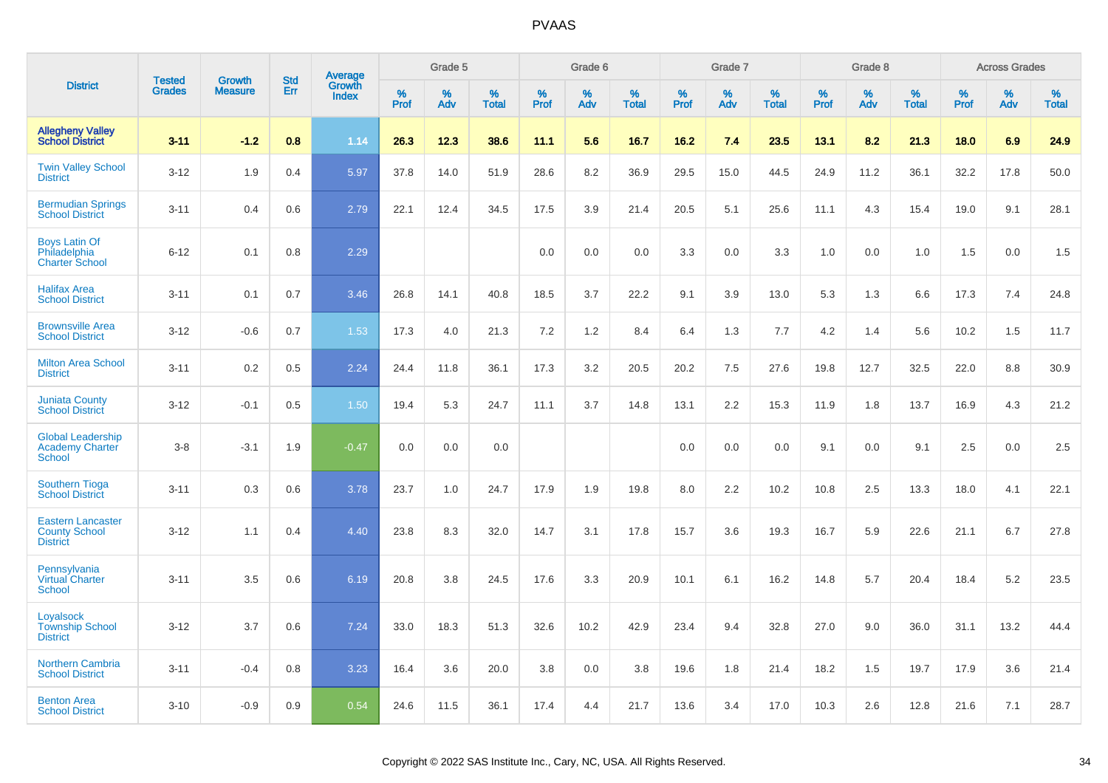|                                                                     | <b>Tested</b> | <b>Growth</b>  | <b>Std</b> |                                          |              | Grade 5  |                   |           | Grade 6  |                   |           | Grade 7  |                   |           | Grade 8  |                   |              | <b>Across Grades</b> |                   |
|---------------------------------------------------------------------|---------------|----------------|------------|------------------------------------------|--------------|----------|-------------------|-----------|----------|-------------------|-----------|----------|-------------------|-----------|----------|-------------------|--------------|----------------------|-------------------|
| <b>District</b>                                                     | <b>Grades</b> | <b>Measure</b> | Err        | <b>Average</b><br>Growth<br><b>Index</b> | $\%$<br>Prof | %<br>Adv | %<br><b>Total</b> | %<br>Prof | %<br>Adv | %<br><b>Total</b> | %<br>Prof | %<br>Adv | %<br><b>Total</b> | %<br>Prof | %<br>Adv | %<br><b>Total</b> | $\%$<br>Prof | %<br>Adv             | %<br><b>Total</b> |
| <b>Allegheny Valley</b><br><b>School District</b>                   | $3 - 11$      | $-1.2$         | 0.8        | 1.14                                     | 26.3         | 12.3     | 38.6              | 11.1      | 5.6      | 16.7              | 16.2      | 7.4      | 23.5              | 13.1      | 8.2      | 21.3              | 18.0         | 6.9                  | 24.9              |
| <b>Twin Valley School</b><br><b>District</b>                        | $3 - 12$      | 1.9            | 0.4        | 5.97                                     | 37.8         | 14.0     | 51.9              | 28.6      | 8.2      | 36.9              | 29.5      | 15.0     | 44.5              | 24.9      | 11.2     | 36.1              | 32.2         | 17.8                 | 50.0              |
| <b>Bermudian Springs</b><br><b>School District</b>                  | $3 - 11$      | 0.4            | 0.6        | 2.79                                     | 22.1         | 12.4     | 34.5              | 17.5      | 3.9      | 21.4              | 20.5      | 5.1      | 25.6              | 11.1      | 4.3      | 15.4              | 19.0         | 9.1                  | 28.1              |
| <b>Boys Latin Of</b><br>Philadelphia<br><b>Charter School</b>       | $6 - 12$      | 0.1            | 0.8        | 2.29                                     |              |          |                   | 0.0       | 0.0      | 0.0               | 3.3       | 0.0      | 3.3               | 1.0       | 0.0      | 1.0               | 1.5          | 0.0                  | 1.5               |
| <b>Halifax Area</b><br><b>School District</b>                       | $3 - 11$      | 0.1            | 0.7        | 3.46                                     | 26.8         | 14.1     | 40.8              | 18.5      | 3.7      | 22.2              | 9.1       | 3.9      | 13.0              | 5.3       | 1.3      | 6.6               | 17.3         | 7.4                  | 24.8              |
| <b>Brownsville Area</b><br><b>School District</b>                   | $3 - 12$      | $-0.6$         | 0.7        | 1.53                                     | 17.3         | 4.0      | 21.3              | 7.2       | $1.2$    | 8.4               | 6.4       | 1.3      | 7.7               | 4.2       | 1.4      | 5.6               | 10.2         | 1.5                  | 11.7              |
| <b>Milton Area School</b><br><b>District</b>                        | $3 - 11$      | 0.2            | 0.5        | 2.24                                     | 24.4         | 11.8     | 36.1              | 17.3      | 3.2      | 20.5              | 20.2      | 7.5      | 27.6              | 19.8      | 12.7     | 32.5              | 22.0         | 8.8                  | 30.9              |
| <b>Juniata County</b><br><b>School District</b>                     | $3 - 12$      | $-0.1$         | 0.5        | 1.50                                     | 19.4         | 5.3      | 24.7              | 11.1      | 3.7      | 14.8              | 13.1      | 2.2      | 15.3              | 11.9      | 1.8      | 13.7              | 16.9         | 4.3                  | 21.2              |
| <b>Global Leadership</b><br><b>Academy Charter</b><br><b>School</b> | $3-8$         | $-3.1$         | 1.9        | $-0.47$                                  | 0.0          | 0.0      | 0.0               |           |          |                   | 0.0       | 0.0      | 0.0               | 9.1       | 0.0      | 9.1               | 2.5          | 0.0                  | 2.5               |
| <b>Southern Tioga</b><br><b>School District</b>                     | $3 - 11$      | 0.3            | 0.6        | 3.78                                     | 23.7         | 1.0      | 24.7              | 17.9      | 1.9      | 19.8              | 8.0       | 2.2      | 10.2              | 10.8      | 2.5      | 13.3              | 18.0         | 4.1                  | 22.1              |
| <b>Eastern Lancaster</b><br><b>County School</b><br><b>District</b> | $3 - 12$      | 1.1            | 0.4        | 4.40                                     | 23.8         | 8.3      | 32.0              | 14.7      | 3.1      | 17.8              | 15.7      | 3.6      | 19.3              | 16.7      | 5.9      | 22.6              | 21.1         | 6.7                  | 27.8              |
| Pennsylvania<br><b>Virtual Charter</b><br>School                    | $3 - 11$      | 3.5            | 0.6        | 6.19                                     | 20.8         | 3.8      | 24.5              | 17.6      | 3.3      | 20.9              | 10.1      | 6.1      | 16.2              | 14.8      | 5.7      | 20.4              | 18.4         | 5.2                  | 23.5              |
| Loyalsock<br><b>Township School</b><br><b>District</b>              | $3 - 12$      | 3.7            | 0.6        | 7.24                                     | 33.0         | 18.3     | 51.3              | 32.6      | 10.2     | 42.9              | 23.4      | 9.4      | 32.8              | 27.0      | 9.0      | 36.0              | 31.1         | 13.2                 | 44.4              |
| <b>Northern Cambria</b><br><b>School District</b>                   | $3 - 11$      | $-0.4$         | 0.8        | 3.23                                     | 16.4         | 3.6      | 20.0              | 3.8       | 0.0      | 3.8               | 19.6      | 1.8      | 21.4              | 18.2      | 1.5      | 19.7              | 17.9         | 3.6                  | 21.4              |
| <b>Benton Area</b><br><b>School District</b>                        | $3 - 10$      | $-0.9$         | 0.9        | 0.54                                     | 24.6         | 11.5     | 36.1              | 17.4      | 4.4      | 21.7              | 13.6      | 3.4      | 17.0              | 10.3      | 2.6      | 12.8              | 21.6         | 7.1                  | 28.7              |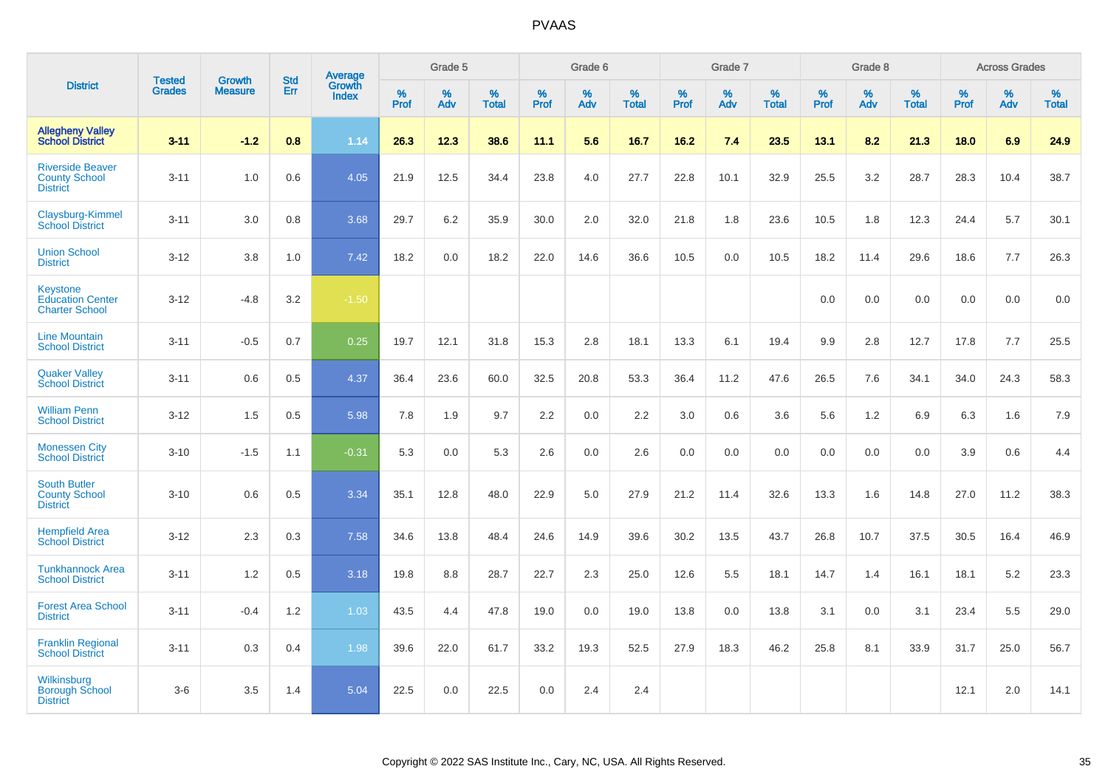|                                                                     |                                |                                 | <b>Std</b> | <b>Average</b>                |                  | Grade 5  |                   |           | Grade 6  |                   |                  | Grade 7  |                   |           | Grade 8  |                   |           | <b>Across Grades</b> |                   |
|---------------------------------------------------------------------|--------------------------------|---------------------------------|------------|-------------------------------|------------------|----------|-------------------|-----------|----------|-------------------|------------------|----------|-------------------|-----------|----------|-------------------|-----------|----------------------|-------------------|
| <b>District</b>                                                     | <b>Tested</b><br><b>Grades</b> | <b>Growth</b><br><b>Measure</b> | Err        | <b>Growth</b><br><b>Index</b> | %<br><b>Prof</b> | %<br>Adv | %<br><b>Total</b> | %<br>Prof | %<br>Adv | %<br><b>Total</b> | %<br><b>Prof</b> | %<br>Adv | %<br><b>Total</b> | %<br>Prof | %<br>Adv | %<br><b>Total</b> | %<br>Prof | %<br>Adv             | %<br><b>Total</b> |
| <b>Allegheny Valley</b><br><b>School District</b>                   | $3 - 11$                       | $-1.2$                          | 0.8        | 1.14                          | 26.3             | 12.3     | 38.6              | 11.1      | 5.6      | 16.7              | 16.2             | 7.4      | 23.5              | 13.1      | 8.2      | 21.3              | 18.0      | 6.9                  | 24.9              |
| <b>Riverside Beaver</b><br><b>County School</b><br><b>District</b>  | $3 - 11$                       | 1.0                             | 0.6        | 4.05                          | 21.9             | 12.5     | 34.4              | 23.8      | 4.0      | 27.7              | 22.8             | 10.1     | 32.9              | 25.5      | 3.2      | 28.7              | 28.3      | 10.4                 | 38.7              |
| Claysburg-Kimmel<br><b>School District</b>                          | $3 - 11$                       | 3.0                             | 0.8        | 3.68                          | 29.7             | 6.2      | 35.9              | 30.0      | 2.0      | 32.0              | 21.8             | 1.8      | 23.6              | 10.5      | 1.8      | 12.3              | 24.4      | 5.7                  | 30.1              |
| <b>Union School</b><br><b>District</b>                              | $3 - 12$                       | 3.8                             | 1.0        | 7.42                          | 18.2             | 0.0      | 18.2              | 22.0      | 14.6     | 36.6              | 10.5             | 0.0      | 10.5              | 18.2      | 11.4     | 29.6              | 18.6      | 7.7                  | 26.3              |
| <b>Keystone</b><br><b>Education Center</b><br><b>Charter School</b> | $3 - 12$                       | $-4.8$                          | 3.2        | $-1.50$                       |                  |          |                   |           |          |                   |                  |          |                   | 0.0       | 0.0      | 0.0               | 0.0       | 0.0                  | 0.0               |
| <b>Line Mountain</b><br><b>School District</b>                      | $3 - 11$                       | $-0.5$                          | 0.7        | 0.25                          | 19.7             | 12.1     | 31.8              | 15.3      | 2.8      | 18.1              | 13.3             | 6.1      | 19.4              | 9.9       | 2.8      | 12.7              | 17.8      | 7.7                  | 25.5              |
| <b>Quaker Valley</b><br><b>School District</b>                      | $3 - 11$                       | 0.6                             | 0.5        | 4.37                          | 36.4             | 23.6     | 60.0              | 32.5      | 20.8     | 53.3              | 36.4             | 11.2     | 47.6              | 26.5      | 7.6      | 34.1              | 34.0      | 24.3                 | 58.3              |
| <b>William Penn</b><br><b>School District</b>                       | $3 - 12$                       | 1.5                             | 0.5        | 5.98                          | 7.8              | 1.9      | 9.7               | 2.2       | 0.0      | 2.2               | 3.0              | 0.6      | 3.6               | 5.6       | 1.2      | 6.9               | 6.3       | 1.6                  | 7.9               |
| <b>Monessen City</b><br><b>School District</b>                      | $3 - 10$                       | $-1.5$                          | 1.1        | $-0.31$                       | 5.3              | 0.0      | 5.3               | 2.6       | 0.0      | 2.6               | 0.0              | 0.0      | 0.0               | 0.0       | 0.0      | 0.0               | 3.9       | 0.6                  | 4.4               |
| <b>South Butler</b><br><b>County School</b><br><b>District</b>      | $3 - 10$                       | 0.6                             | 0.5        | 3.34                          | 35.1             | 12.8     | 48.0              | 22.9      | 5.0      | 27.9              | 21.2             | 11.4     | 32.6              | 13.3      | 1.6      | 14.8              | 27.0      | 11.2                 | 38.3              |
| <b>Hempfield Area</b><br><b>School District</b>                     | $3 - 12$                       | 2.3                             | 0.3        | 7.58                          | 34.6             | 13.8     | 48.4              | 24.6      | 14.9     | 39.6              | 30.2             | 13.5     | 43.7              | 26.8      | 10.7     | 37.5              | 30.5      | 16.4                 | 46.9              |
| <b>Tunkhannock Area</b><br><b>School District</b>                   | $3 - 11$                       | 1.2                             | 0.5        | 3.18                          | 19.8             | 8.8      | 28.7              | 22.7      | 2.3      | 25.0              | 12.6             | 5.5      | 18.1              | 14.7      | 1.4      | 16.1              | 18.1      | 5.2                  | 23.3              |
| <b>Forest Area School</b><br><b>District</b>                        | $3 - 11$                       | $-0.4$                          | 1.2        | 1.03                          | 43.5             | 4.4      | 47.8              | 19.0      | 0.0      | 19.0              | 13.8             | 0.0      | 13.8              | 3.1       | 0.0      | 3.1               | 23.4      | 5.5                  | 29.0              |
| <b>Franklin Regional</b><br><b>School District</b>                  | $3 - 11$                       | 0.3                             | 0.4        | 1.98                          | 39.6             | 22.0     | 61.7              | 33.2      | 19.3     | 52.5              | 27.9             | 18.3     | 46.2              | 25.8      | 8.1      | 33.9              | 31.7      | 25.0                 | 56.7              |
| Wilkinsburg<br><b>Borough School</b><br><b>District</b>             | $3-6$                          | 3.5                             | 1.4        | 5.04                          | 22.5             | 0.0      | 22.5              | 0.0       | 2.4      | 2.4               |                  |          |                   |           |          |                   | 12.1      | 2.0                  | 14.1              |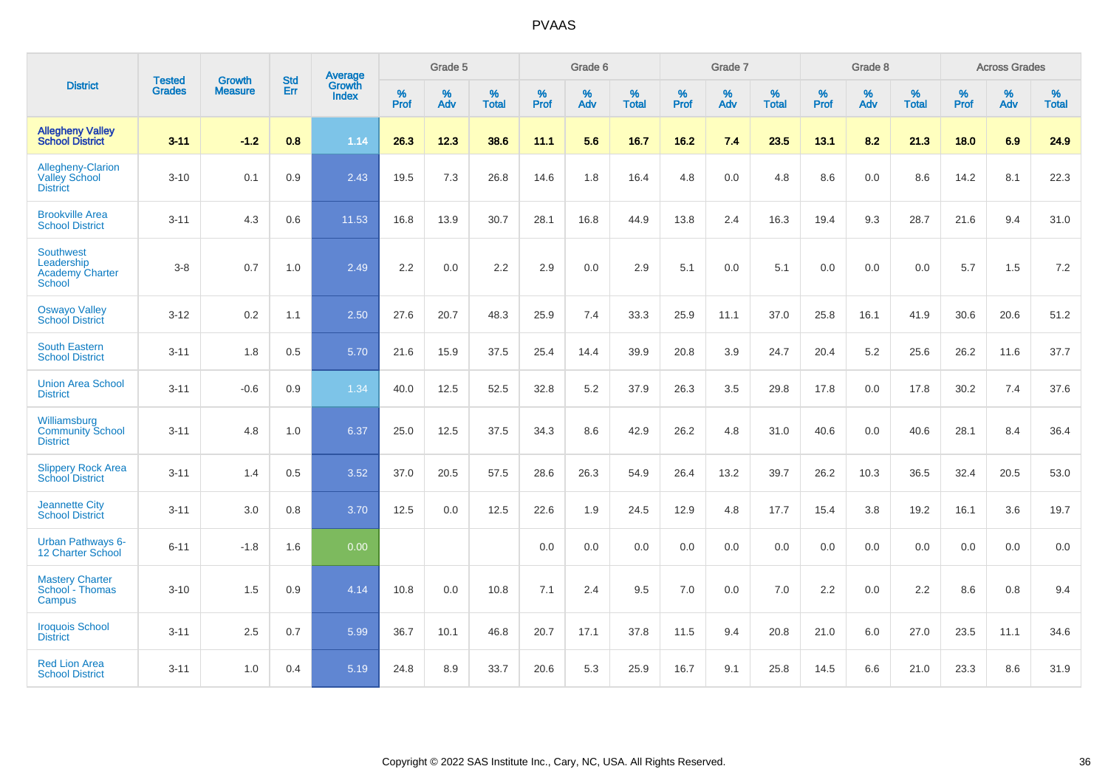|                                                                           | <b>Tested</b> | <b>Growth</b>  | <b>Std</b> | Average                |                     | Grade 5     |                   |                     | Grade 6  |                   |                     | Grade 7  |                   |              | Grade 8  |                   |                     | <b>Across Grades</b> |                   |
|---------------------------------------------------------------------------|---------------|----------------|------------|------------------------|---------------------|-------------|-------------------|---------------------|----------|-------------------|---------------------|----------|-------------------|--------------|----------|-------------------|---------------------|----------------------|-------------------|
| <b>District</b>                                                           | <b>Grades</b> | <b>Measure</b> | Err        | Growth<br><b>Index</b> | $\%$<br><b>Prof</b> | $\%$<br>Adv | %<br><b>Total</b> | $\%$<br><b>Prof</b> | %<br>Adv | %<br><b>Total</b> | $\%$<br><b>Prof</b> | %<br>Adv | %<br><b>Total</b> | $\%$<br>Prof | %<br>Adv | %<br><b>Total</b> | $\%$<br><b>Prof</b> | %<br>Adv             | %<br><b>Total</b> |
| <b>Allegheny Valley</b><br><b>School District</b>                         | $3 - 11$      | $-1.2$         | 0.8        | 1.14                   | 26.3                | 12.3        | 38.6              | 11.1                | 5.6      | 16.7              | 16.2                | 7.4      | 23.5              | 13.1         | 8.2      | 21.3              | 18.0                | 6.9                  | 24.9              |
| Allegheny-Clarion<br><b>Valley School</b><br><b>District</b>              | $3 - 10$      | 0.1            | 0.9        | 2.43                   | 19.5                | 7.3         | 26.8              | 14.6                | 1.8      | 16.4              | 4.8                 | 0.0      | 4.8               | 8.6          | 0.0      | 8.6               | 14.2                | 8.1                  | 22.3              |
| <b>Brookville Area</b><br><b>School District</b>                          | $3 - 11$      | 4.3            | 0.6        | 11.53                  | 16.8                | 13.9        | 30.7              | 28.1                | 16.8     | 44.9              | 13.8                | 2.4      | 16.3              | 19.4         | 9.3      | 28.7              | 21.6                | 9.4                  | 31.0              |
| <b>Southwest</b><br>Leadership<br><b>Academy Charter</b><br><b>School</b> | $3-8$         | 0.7            | 1.0        | 2.49                   | 2.2                 | 0.0         | $2.2\,$           | 2.9                 | 0.0      | 2.9               | 5.1                 | 0.0      | 5.1               | 0.0          | 0.0      | 0.0               | 5.7                 | 1.5                  | $7.2\,$           |
| <b>Oswayo Valley</b><br><b>School District</b>                            | $3 - 12$      | 0.2            | 1.1        | 2.50                   | 27.6                | 20.7        | 48.3              | 25.9                | 7.4      | 33.3              | 25.9                | 11.1     | 37.0              | 25.8         | 16.1     | 41.9              | 30.6                | 20.6                 | 51.2              |
| <b>South Eastern</b><br><b>School District</b>                            | $3 - 11$      | 1.8            | 0.5        | 5.70                   | 21.6                | 15.9        | 37.5              | 25.4                | 14.4     | 39.9              | 20.8                | 3.9      | 24.7              | 20.4         | 5.2      | 25.6              | 26.2                | 11.6                 | 37.7              |
| <b>Union Area School</b><br><b>District</b>                               | $3 - 11$      | $-0.6$         | 0.9        | 1.34                   | 40.0                | 12.5        | 52.5              | 32.8                | 5.2      | 37.9              | 26.3                | 3.5      | 29.8              | 17.8         | 0.0      | 17.8              | 30.2                | 7.4                  | 37.6              |
| Williamsburg<br><b>Community School</b><br><b>District</b>                | $3 - 11$      | 4.8            | 1.0        | 6.37                   | 25.0                | 12.5        | 37.5              | 34.3                | 8.6      | 42.9              | 26.2                | 4.8      | 31.0              | 40.6         | 0.0      | 40.6              | 28.1                | 8.4                  | 36.4              |
| <b>Slippery Rock Area</b><br><b>School District</b>                       | $3 - 11$      | 1.4            | 0.5        | 3.52                   | 37.0                | 20.5        | 57.5              | 28.6                | 26.3     | 54.9              | 26.4                | 13.2     | 39.7              | 26.2         | 10.3     | 36.5              | 32.4                | 20.5                 | 53.0              |
| <b>Jeannette City</b><br><b>School District</b>                           | $3 - 11$      | 3.0            | 0.8        | 3.70                   | 12.5                | 0.0         | 12.5              | 22.6                | 1.9      | 24.5              | 12.9                | 4.8      | 17.7              | 15.4         | 3.8      | 19.2              | 16.1                | 3.6                  | 19.7              |
| Urban Pathways 6-<br>12 Charter School                                    | $6 - 11$      | $-1.8$         | 1.6        | 0.00                   |                     |             |                   | 0.0                 | $0.0\,$  | 0.0               | 0.0                 | $0.0\,$  | 0.0               | 0.0          | $0.0\,$  | 0.0               | 0.0                 | $0.0\,$              | $0.0\,$           |
| <b>Mastery Charter</b><br>School - Thomas<br>Campus                       | $3 - 10$      | 1.5            | 0.9        | 4.14                   | 10.8                | 0.0         | 10.8              | 7.1                 | 2.4      | 9.5               | 7.0                 | 0.0      | 7.0               | 2.2          | 0.0      | 2.2               | 8.6                 | 0.8                  | 9.4               |
| <b>Iroquois School</b><br><b>District</b>                                 | $3 - 11$      | 2.5            | 0.7        | 5.99                   | 36.7                | 10.1        | 46.8              | 20.7                | 17.1     | 37.8              | 11.5                | 9.4      | 20.8              | 21.0         | 6.0      | 27.0              | 23.5                | 11.1                 | 34.6              |
| <b>Red Lion Area</b><br><b>School District</b>                            | $3 - 11$      | 1.0            | 0.4        | 5.19                   | 24.8                | 8.9         | 33.7              | 20.6                | 5.3      | 25.9              | 16.7                | 9.1      | 25.8              | 14.5         | 6.6      | 21.0              | 23.3                | 8.6                  | 31.9              |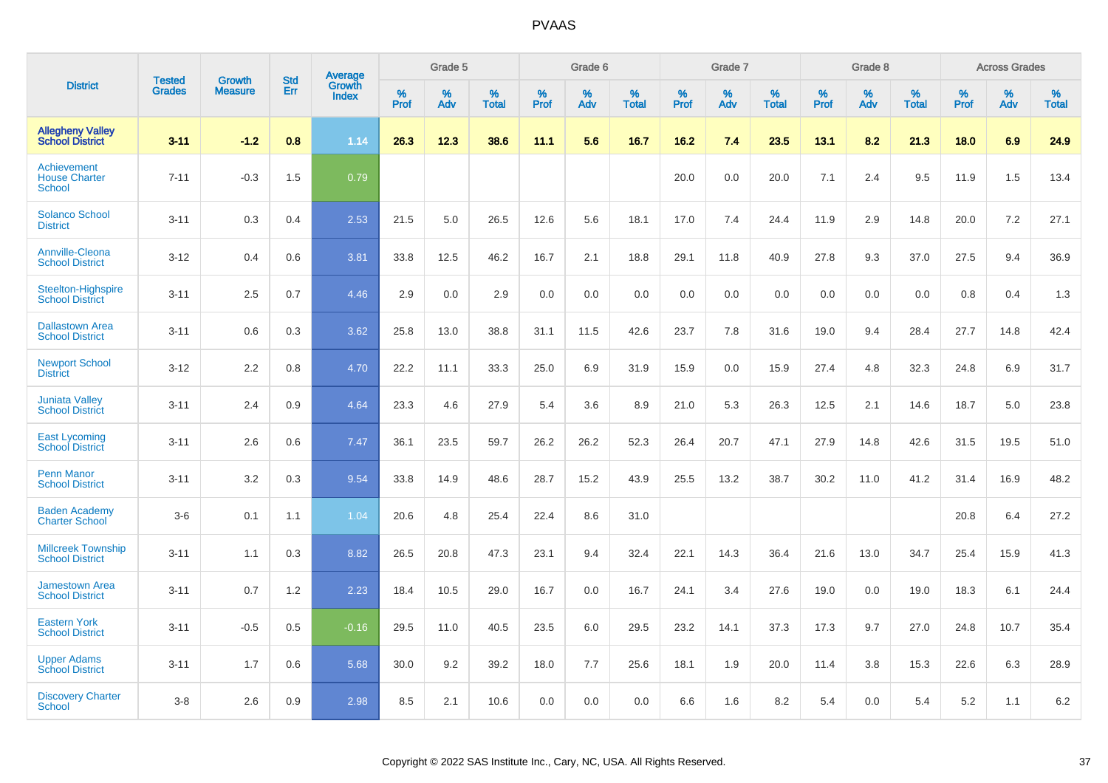|                                                      |                                |                                 | <b>Std</b> | Average                |           | Grade 5  |                   |           | Grade 6  |                   |           | Grade 7  |                   |           | Grade 8  |                   |           | <b>Across Grades</b> |                   |
|------------------------------------------------------|--------------------------------|---------------------------------|------------|------------------------|-----------|----------|-------------------|-----------|----------|-------------------|-----------|----------|-------------------|-----------|----------|-------------------|-----------|----------------------|-------------------|
| <b>District</b>                                      | <b>Tested</b><br><b>Grades</b> | <b>Growth</b><br><b>Measure</b> | Err        | Growth<br><b>Index</b> | %<br>Prof | %<br>Adv | %<br><b>Total</b> | %<br>Prof | %<br>Adv | %<br><b>Total</b> | %<br>Prof | %<br>Adv | %<br><b>Total</b> | %<br>Prof | %<br>Adv | %<br><b>Total</b> | %<br>Prof | %<br>Adv             | %<br><b>Total</b> |
| <b>Allegheny Valley</b><br><b>School District</b>    | $3 - 11$                       | $-1.2$                          | 0.8        | 1.14                   | 26.3      | 12.3     | 38.6              | 11.1      | 5.6      | 16.7              | 16.2      | 7.4      | 23.5              | 13.1      | 8.2      | 21.3              | 18.0      | 6.9                  | 24.9              |
| Achievement<br><b>House Charter</b><br><b>School</b> | $7 - 11$                       | $-0.3$                          | 1.5        | 0.79                   |           |          |                   |           |          |                   | 20.0      | 0.0      | 20.0              | 7.1       | 2.4      | 9.5               | 11.9      | 1.5                  | 13.4              |
| <b>Solanco School</b><br><b>District</b>             | $3 - 11$                       | 0.3                             | 0.4        | 2.53                   | 21.5      | 5.0      | 26.5              | 12.6      | 5.6      | 18.1              | 17.0      | 7.4      | 24.4              | 11.9      | 2.9      | 14.8              | 20.0      | 7.2                  | 27.1              |
| <b>Annville-Cleona</b><br><b>School District</b>     | $3 - 12$                       | 0.4                             | 0.6        | 3.81                   | 33.8      | 12.5     | 46.2              | 16.7      | 2.1      | 18.8              | 29.1      | 11.8     | 40.9              | 27.8      | 9.3      | 37.0              | 27.5      | 9.4                  | 36.9              |
| Steelton-Highspire<br><b>School District</b>         | $3 - 11$                       | 2.5                             | 0.7        | 4.46                   | 2.9       | 0.0      | 2.9               | 0.0       | 0.0      | 0.0               | 0.0       | 0.0      | 0.0               | 0.0       | 0.0      | 0.0               | 0.8       | 0.4                  | 1.3               |
| <b>Dallastown Area</b><br><b>School District</b>     | $3 - 11$                       | 0.6                             | 0.3        | 3.62                   | 25.8      | 13.0     | 38.8              | 31.1      | 11.5     | 42.6              | 23.7      | 7.8      | 31.6              | 19.0      | 9.4      | 28.4              | 27.7      | 14.8                 | 42.4              |
| <b>Newport School</b><br><b>District</b>             | $3 - 12$                       | 2.2                             | 0.8        | 4.70                   | 22.2      | 11.1     | 33.3              | 25.0      | 6.9      | 31.9              | 15.9      | 0.0      | 15.9              | 27.4      | 4.8      | 32.3              | 24.8      | 6.9                  | 31.7              |
| <b>Juniata Valley</b><br><b>School District</b>      | $3 - 11$                       | 2.4                             | 0.9        | 4.64                   | 23.3      | 4.6      | 27.9              | 5.4       | 3.6      | 8.9               | 21.0      | 5.3      | 26.3              | 12.5      | 2.1      | 14.6              | 18.7      | 5.0                  | 23.8              |
| <b>East Lycoming</b><br><b>School District</b>       | $3 - 11$                       | 2.6                             | 0.6        | 7.47                   | 36.1      | 23.5     | 59.7              | 26.2      | 26.2     | 52.3              | 26.4      | 20.7     | 47.1              | 27.9      | 14.8     | 42.6              | 31.5      | 19.5                 | 51.0              |
| <b>Penn Manor</b><br><b>School District</b>          | $3 - 11$                       | 3.2                             | 0.3        | 9.54                   | 33.8      | 14.9     | 48.6              | 28.7      | 15.2     | 43.9              | 25.5      | 13.2     | 38.7              | 30.2      | 11.0     | 41.2              | 31.4      | 16.9                 | 48.2              |
| <b>Baden Academy</b><br><b>Charter School</b>        | $3-6$                          | 0.1                             | 1.1        | 1.04                   | 20.6      | 4.8      | 25.4              | 22.4      | 8.6      | 31.0              |           |          |                   |           |          |                   | 20.8      | 6.4                  | 27.2              |
| <b>Millcreek Township</b><br><b>School District</b>  | $3 - 11$                       | 1.1                             | 0.3        | 8.82                   | 26.5      | 20.8     | 47.3              | 23.1      | 9.4      | 32.4              | 22.1      | 14.3     | 36.4              | 21.6      | 13.0     | 34.7              | 25.4      | 15.9                 | 41.3              |
| <b>Jamestown Area</b><br><b>School District</b>      | $3 - 11$                       | 0.7                             | 1.2        | 2.23                   | 18.4      | 10.5     | 29.0              | 16.7      | 0.0      | 16.7              | 24.1      | 3.4      | 27.6              | 19.0      | 0.0      | 19.0              | 18.3      | 6.1                  | 24.4              |
| <b>Eastern York</b><br><b>School District</b>        | $3 - 11$                       | $-0.5$                          | 0.5        | $-0.16$                | 29.5      | 11.0     | 40.5              | 23.5      | 6.0      | 29.5              | 23.2      | 14.1     | 37.3              | 17.3      | 9.7      | 27.0              | 24.8      | 10.7                 | 35.4              |
| <b>Upper Adams</b><br><b>School District</b>         | $3 - 11$                       | 1.7                             | 0.6        | 5.68                   | 30.0      | 9.2      | 39.2              | 18.0      | 7.7      | 25.6              | 18.1      | 1.9      | 20.0              | 11.4      | 3.8      | 15.3              | 22.6      | 6.3                  | 28.9              |
| <b>Discovery Charter</b><br><b>School</b>            | $3 - 8$                        | 2.6                             | 0.9        | 2.98                   | 8.5       | 2.1      | 10.6              | 0.0       | 0.0      | 0.0               | 6.6       | 1.6      | 8.2               | 5.4       | $0.0\,$  | 5.4               | 5.2       | 1.1                  | 6.2               |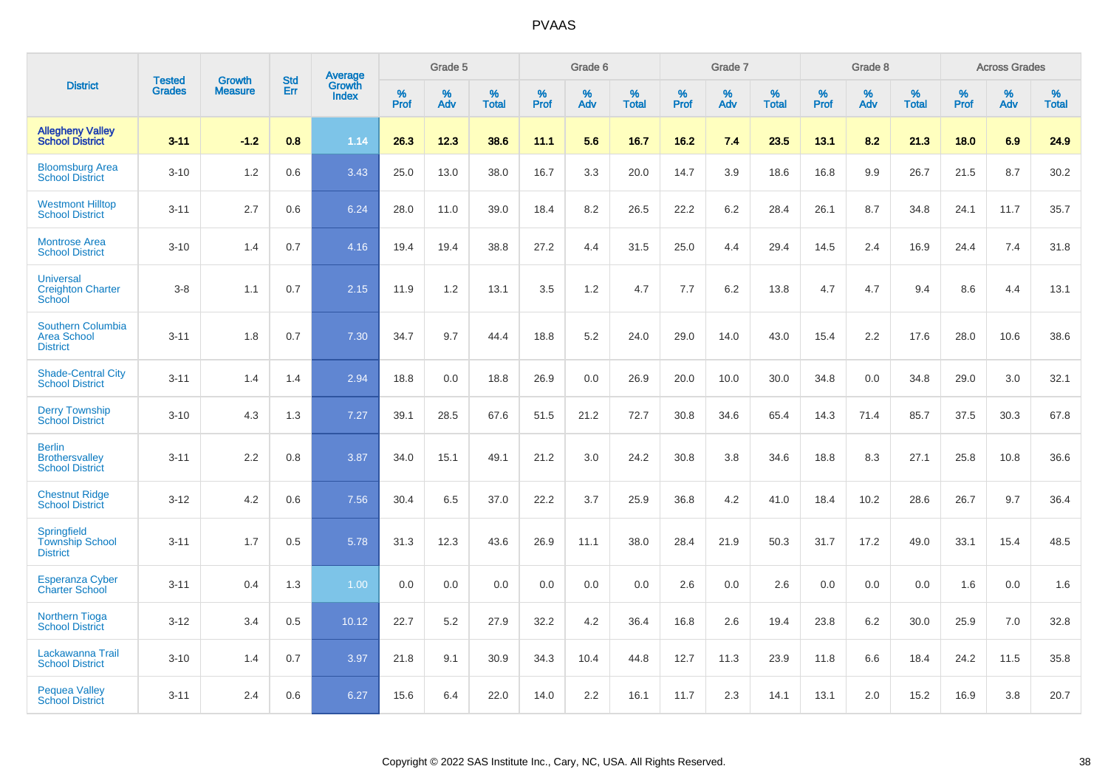|                                                                   | <b>Tested</b> | <b>Growth</b>  | <b>Std</b> | <b>Average</b>         |              | Grade 5  |                   |           | Grade 6  |                   |              | Grade 7  |                   |              | Grade 8  |                   |              | <b>Across Grades</b> |                   |
|-------------------------------------------------------------------|---------------|----------------|------------|------------------------|--------------|----------|-------------------|-----------|----------|-------------------|--------------|----------|-------------------|--------------|----------|-------------------|--------------|----------------------|-------------------|
| <b>District</b>                                                   | <b>Grades</b> | <b>Measure</b> | <b>Err</b> | Growth<br><b>Index</b> | $\%$<br>Prof | %<br>Adv | %<br><b>Total</b> | %<br>Prof | %<br>Adv | %<br><b>Total</b> | $\%$<br>Prof | %<br>Adv | %<br><b>Total</b> | $\%$<br>Prof | %<br>Adv | %<br><b>Total</b> | $\%$<br>Prof | %<br>Adv             | %<br><b>Total</b> |
| <b>Allegheny Valley</b><br><b>School District</b>                 | $3 - 11$      | $-1.2$         | 0.8        | 1.14                   | 26.3         | 12.3     | 38.6              | 11.1      | 5.6      | 16.7              | 16.2         | 7.4      | 23.5              | 13.1         | 8.2      | 21.3              | 18.0         | 6.9                  | 24.9              |
| <b>Bloomsburg Area</b><br><b>School District</b>                  | $3 - 10$      | 1.2            | 0.6        | 3.43                   | 25.0         | 13.0     | 38.0              | 16.7      | 3.3      | 20.0              | 14.7         | 3.9      | 18.6              | 16.8         | 9.9      | 26.7              | 21.5         | 8.7                  | 30.2              |
| <b>Westmont Hilltop</b><br><b>School District</b>                 | $3 - 11$      | 2.7            | 0.6        | 6.24                   | 28.0         | 11.0     | 39.0              | 18.4      | 8.2      | 26.5              | 22.2         | 6.2      | 28.4              | 26.1         | 8.7      | 34.8              | 24.1         | 11.7                 | 35.7              |
| <b>Montrose Area</b><br><b>School District</b>                    | $3 - 10$      | 1.4            | 0.7        | 4.16                   | 19.4         | 19.4     | 38.8              | 27.2      | 4.4      | 31.5              | 25.0         | 4.4      | 29.4              | 14.5         | 2.4      | 16.9              | 24.4         | 7.4                  | 31.8              |
| <b>Universal</b><br><b>Creighton Charter</b><br>School            | $3 - 8$       | 1.1            | 0.7        | 2.15                   | 11.9         | 1.2      | 13.1              | 3.5       | 1.2      | 4.7               | 7.7          | 6.2      | 13.8              | 4.7          | 4.7      | 9.4               | 8.6          | 4.4                  | 13.1              |
| <b>Southern Columbia</b><br><b>Area School</b><br><b>District</b> | $3 - 11$      | 1.8            | 0.7        | 7.30                   | 34.7         | 9.7      | 44.4              | 18.8      | 5.2      | 24.0              | 29.0         | 14.0     | 43.0              | 15.4         | 2.2      | 17.6              | 28.0         | 10.6                 | 38.6              |
| <b>Shade-Central City</b><br><b>School District</b>               | $3 - 11$      | 1.4            | 1.4        | 2.94                   | 18.8         | 0.0      | 18.8              | 26.9      | 0.0      | 26.9              | 20.0         | 10.0     | 30.0              | 34.8         | 0.0      | 34.8              | 29.0         | 3.0                  | 32.1              |
| <b>Derry Township</b><br><b>School District</b>                   | $3 - 10$      | 4.3            | 1.3        | 7.27                   | 39.1         | 28.5     | 67.6              | 51.5      | 21.2     | 72.7              | 30.8         | 34.6     | 65.4              | 14.3         | 71.4     | 85.7              | 37.5         | 30.3                 | 67.8              |
| <b>Berlin</b><br><b>Brothersvalley</b><br><b>School District</b>  | $3 - 11$      | 2.2            | 0.8        | 3.87                   | 34.0         | 15.1     | 49.1              | 21.2      | 3.0      | 24.2              | 30.8         | 3.8      | 34.6              | 18.8         | 8.3      | 27.1              | 25.8         | 10.8                 | 36.6              |
| <b>Chestnut Ridge</b><br><b>School District</b>                   | $3 - 12$      | 4.2            | 0.6        | 7.56                   | 30.4         | 6.5      | 37.0              | 22.2      | 3.7      | 25.9              | 36.8         | 4.2      | 41.0              | 18.4         | 10.2     | 28.6              | 26.7         | 9.7                  | 36.4              |
| Springfield<br><b>Township School</b><br><b>District</b>          | $3 - 11$      | 1.7            | 0.5        | 5.78                   | 31.3         | 12.3     | 43.6              | 26.9      | 11.1     | 38.0              | 28.4         | 21.9     | 50.3              | 31.7         | 17.2     | 49.0              | 33.1         | 15.4                 | 48.5              |
| <b>Esperanza Cyber</b><br><b>Charter School</b>                   | $3 - 11$      | 0.4            | 1.3        | 1.00                   | 0.0          | 0.0      | 0.0               | 0.0       | 0.0      | 0.0               | 2.6          | 0.0      | 2.6               | 0.0          | 0.0      | 0.0               | 1.6          | 0.0                  | 1.6               |
| <b>Northern Tioga</b><br><b>School District</b>                   | $3 - 12$      | 3.4            | 0.5        | 10.12                  | 22.7         | 5.2      | 27.9              | 32.2      | 4.2      | 36.4              | 16.8         | 2.6      | 19.4              | 23.8         | 6.2      | 30.0              | 25.9         | 7.0                  | 32.8              |
| Lackawanna Trail<br><b>School District</b>                        | $3 - 10$      | 1.4            | 0.7        | 3.97                   | 21.8         | 9.1      | 30.9              | 34.3      | 10.4     | 44.8              | 12.7         | 11.3     | 23.9              | 11.8         | 6.6      | 18.4              | 24.2         | 11.5                 | 35.8              |
| <b>Pequea Valley</b><br><b>School District</b>                    | $3 - 11$      | 2.4            | 0.6        | 6.27                   | 15.6         | 6.4      | 22.0              | 14.0      | 2.2      | 16.1              | 11.7         | 2.3      | 14.1              | 13.1         | 2.0      | 15.2              | 16.9         | 3.8                  | 20.7              |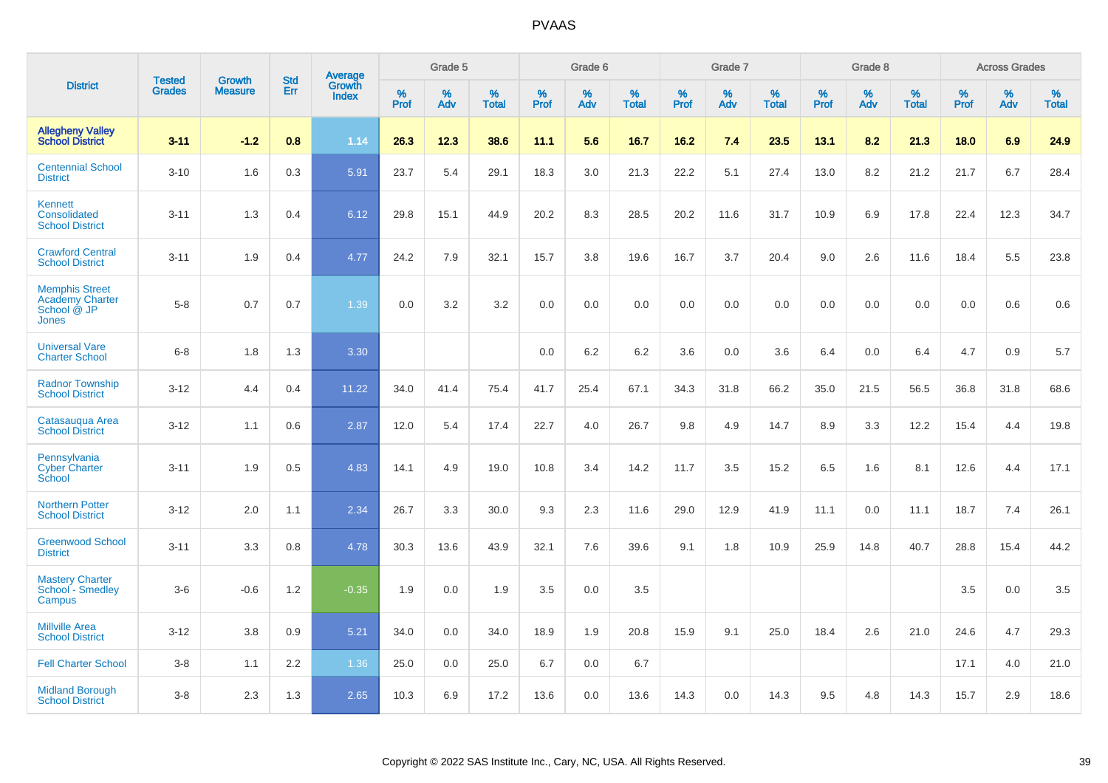|                                                                         |                                |                                 | <b>Std</b>       | Average                |           | Grade 5  |                   |           | Grade 6  |                   |           | Grade 7  |                   |           | Grade 8  |                   |              | <b>Across Grades</b> |                   |
|-------------------------------------------------------------------------|--------------------------------|---------------------------------|------------------|------------------------|-----------|----------|-------------------|-----------|----------|-------------------|-----------|----------|-------------------|-----------|----------|-------------------|--------------|----------------------|-------------------|
| <b>District</b>                                                         | <b>Tested</b><br><b>Grades</b> | <b>Growth</b><br><b>Measure</b> | Err              | Growth<br><b>Index</b> | %<br>Prof | %<br>Adv | %<br><b>Total</b> | %<br>Prof | %<br>Adv | %<br><b>Total</b> | %<br>Prof | %<br>Adv | %<br><b>Total</b> | %<br>Prof | %<br>Adv | %<br><b>Total</b> | $\%$<br>Prof | %<br>Adv             | %<br><b>Total</b> |
| <b>Allegheny Valley</b><br><b>School District</b>                       | $3 - 11$                       | $-1.2$                          | 0.8              | 1.14                   | 26.3      | 12.3     | 38.6              | 11.1      | 5.6      | 16.7              | 16.2      | 7.4      | 23.5              | 13.1      | 8.2      | 21.3              | 18.0         | 6.9                  | 24.9              |
| <b>Centennial School</b><br><b>District</b>                             | $3 - 10$                       | 1.6                             | 0.3              | 5.91                   | 23.7      | 5.4      | 29.1              | 18.3      | 3.0      | 21.3              | 22.2      | 5.1      | 27.4              | 13.0      | 8.2      | 21.2              | 21.7         | 6.7                  | 28.4              |
| Kennett<br>Consolidated<br><b>School District</b>                       | $3 - 11$                       | 1.3                             | 0.4              | 6.12                   | 29.8      | 15.1     | 44.9              | 20.2      | 8.3      | 28.5              | 20.2      | 11.6     | 31.7              | 10.9      | 6.9      | 17.8              | 22.4         | 12.3                 | 34.7              |
| <b>Crawford Central</b><br><b>School District</b>                       | $3 - 11$                       | 1.9                             | 0.4              | 4.77                   | 24.2      | 7.9      | 32.1              | 15.7      | 3.8      | 19.6              | 16.7      | 3.7      | 20.4              | 9.0       | 2.6      | 11.6              | 18.4         | 5.5                  | 23.8              |
| <b>Memphis Street</b><br><b>Academy Charter</b><br>School @ JP<br>Jones | $5 - 8$                        | 0.7                             | 0.7              | 1.39                   | 0.0       | 3.2      | 3.2               | 0.0       | 0.0      | 0.0               | 0.0       | 0.0      | 0.0               | 0.0       | 0.0      | 0.0               | 0.0          | 0.6                  | 0.6               |
| <b>Universal Vare</b><br><b>Charter School</b>                          | $6 - 8$                        | 1.8                             | 1.3              | 3.30                   |           |          |                   | 0.0       | 6.2      | 6.2               | 3.6       | 0.0      | 3.6               | 6.4       | 0.0      | 6.4               | 4.7          | 0.9                  | 5.7               |
| <b>Radnor Township</b><br><b>School District</b>                        | $3 - 12$                       | 4.4                             | 0.4              | 11.22                  | 34.0      | 41.4     | 75.4              | 41.7      | 25.4     | 67.1              | 34.3      | 31.8     | 66.2              | 35.0      | 21.5     | 56.5              | 36.8         | 31.8                 | 68.6              |
| Catasaugua Area<br><b>School District</b>                               | $3 - 12$                       | 1.1                             | 0.6              | 2.87                   | 12.0      | 5.4      | 17.4              | 22.7      | 4.0      | 26.7              | 9.8       | 4.9      | 14.7              | 8.9       | 3.3      | 12.2              | 15.4         | 4.4                  | 19.8              |
| Pennsylvania<br><b>Cyber Charter</b><br>School                          | $3 - 11$                       | 1.9                             | 0.5              | 4.83                   | 14.1      | 4.9      | 19.0              | 10.8      | 3.4      | 14.2              | 11.7      | 3.5      | 15.2              | 6.5       | 1.6      | 8.1               | 12.6         | 4.4                  | 17.1              |
| <b>Northern Potter</b><br><b>School District</b>                        | $3 - 12$                       | 2.0                             | 1.1              | 2.34                   | 26.7      | 3.3      | 30.0              | 9.3       | 2.3      | 11.6              | 29.0      | 12.9     | 41.9              | 11.1      | 0.0      | 11.1              | 18.7         | 7.4                  | 26.1              |
| <b>Greenwood School</b><br><b>District</b>                              | $3 - 11$                       | 3.3                             | 0.8              | 4.78                   | 30.3      | 13.6     | 43.9              | 32.1      | 7.6      | 39.6              | 9.1       | 1.8      | 10.9              | 25.9      | 14.8     | 40.7              | 28.8         | 15.4                 | 44.2              |
| <b>Mastery Charter</b><br>School - Smedley<br>Campus                    | $3-6$                          | $-0.6$                          | 1.2              | $-0.35$                | 1.9       | 0.0      | 1.9               | 3.5       | 0.0      | 3.5               |           |          |                   |           |          |                   | 3.5          | 0.0                  | 3.5               |
| <b>Millville Area</b><br><b>School District</b>                         | $3 - 12$                       | 3.8                             | 0.9              | 5.21                   | 34.0      | 0.0      | 34.0              | 18.9      | 1.9      | 20.8              | 15.9      | 9.1      | 25.0              | 18.4      | 2.6      | 21.0              | 24.6         | 4.7                  | 29.3              |
| <b>Fell Charter School</b>                                              | $3 - 8$                        | 1.1                             | $2.2\phantom{0}$ | 1.36                   | 25.0      | 0.0      | 25.0              | 6.7       | 0.0      | 6.7               |           |          |                   |           |          |                   | 17.1         | 4.0                  | 21.0              |
| <b>Midland Borough</b><br><b>School District</b>                        | $3 - 8$                        | 2.3                             | 1.3              | 2.65                   | 10.3      | 6.9      | 17.2              | 13.6      | 0.0      | 13.6              | 14.3      | 0.0      | 14.3              | 9.5       | 4.8      | 14.3              | 15.7         | 2.9                  | 18.6              |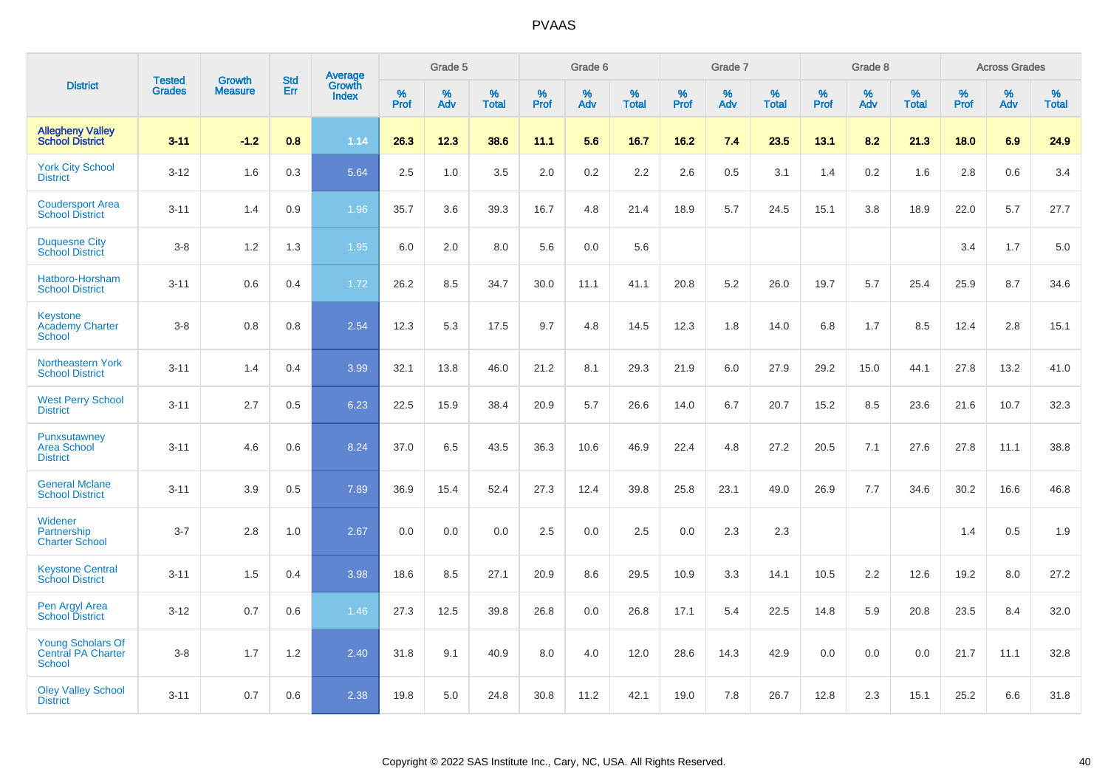|                                                                 |                                | <b>Growth</b>  | <b>Std</b> |                                          |              | Grade 5  |                   |              | Grade 6  |                   |              | Grade 7  |                   |              | Grade 8  |                   |              | <b>Across Grades</b> |                   |
|-----------------------------------------------------------------|--------------------------------|----------------|------------|------------------------------------------|--------------|----------|-------------------|--------------|----------|-------------------|--------------|----------|-------------------|--------------|----------|-------------------|--------------|----------------------|-------------------|
| <b>District</b>                                                 | <b>Tested</b><br><b>Grades</b> | <b>Measure</b> | <b>Err</b> | <b>Average</b><br>Growth<br><b>Index</b> | $\%$<br>Prof | %<br>Adv | %<br><b>Total</b> | $\%$<br>Prof | %<br>Adv | %<br><b>Total</b> | $\%$<br>Prof | %<br>Adv | %<br><b>Total</b> | $\%$<br>Prof | %<br>Adv | %<br><b>Total</b> | $\%$<br>Prof | %<br>Adv             | %<br><b>Total</b> |
| <b>Allegheny Valley</b><br><b>School District</b>               | $3 - 11$                       | $-1.2$         | 0.8        | 1.14                                     | 26.3         | 12.3     | 38.6              | 11.1         | 5.6      | 16.7              | 16.2         | 7.4      | 23.5              | 13.1         | 8.2      | 21.3              | 18.0         | 6.9                  | 24.9              |
| <b>York City School</b><br><b>District</b>                      | $3 - 12$                       | 1.6            | 0.3        | 5.64                                     | 2.5          | 1.0      | 3.5               | 2.0          | $0.2\,$  | 2.2               | 2.6          | 0.5      | 3.1               | 1.4          | 0.2      | 1.6               | 2.8          | 0.6                  | 3.4               |
| <b>Coudersport Area</b><br><b>School District</b>               | $3 - 11$                       | 1.4            | 0.9        | 1.96                                     | 35.7         | 3.6      | 39.3              | 16.7         | 4.8      | 21.4              | 18.9         | 5.7      | 24.5              | 15.1         | 3.8      | 18.9              | 22.0         | 5.7                  | 27.7              |
| <b>Duquesne City</b><br><b>School District</b>                  | $3 - 8$                        | 1.2            | 1.3        | 1.95                                     | 6.0          | 2.0      | 8.0               | 5.6          | 0.0      | 5.6               |              |          |                   |              |          |                   | 3.4          | 1.7                  | 5.0               |
| Hatboro-Horsham<br><b>School District</b>                       | $3 - 11$                       | 0.6            | 0.4        | 1.72                                     | 26.2         | 8.5      | 34.7              | 30.0         | 11.1     | 41.1              | 20.8         | 5.2      | 26.0              | 19.7         | 5.7      | 25.4              | 25.9         | 8.7                  | 34.6              |
| <b>Keystone</b><br><b>Academy Charter</b><br>School             | $3 - 8$                        | 0.8            | 0.8        | 2.54                                     | 12.3         | 5.3      | 17.5              | 9.7          | 4.8      | 14.5              | 12.3         | 1.8      | 14.0              | 6.8          | 1.7      | 8.5               | 12.4         | 2.8                  | 15.1              |
| Northeastern York<br><b>School District</b>                     | $3 - 11$                       | 1.4            | 0.4        | 3.99                                     | 32.1         | 13.8     | 46.0              | 21.2         | 8.1      | 29.3              | 21.9         | 6.0      | 27.9              | 29.2         | 15.0     | 44.1              | 27.8         | 13.2                 | 41.0              |
| <b>West Perry School</b><br><b>District</b>                     | $3 - 11$                       | 2.7            | 0.5        | 6.23                                     | 22.5         | 15.9     | 38.4              | 20.9         | 5.7      | 26.6              | 14.0         | 6.7      | 20.7              | 15.2         | 8.5      | 23.6              | 21.6         | 10.7                 | 32.3              |
| Punxsutawney<br><b>Area School</b><br><b>District</b>           | $3 - 11$                       | 4.6            | 0.6        | 8.24                                     | 37.0         | 6.5      | 43.5              | 36.3         | 10.6     | 46.9              | 22.4         | 4.8      | 27.2              | 20.5         | 7.1      | 27.6              | 27.8         | 11.1                 | 38.8              |
| <b>General Mclane</b><br><b>School District</b>                 | $3 - 11$                       | 3.9            | 0.5        | 7.89                                     | 36.9         | 15.4     | 52.4              | 27.3         | 12.4     | 39.8              | 25.8         | 23.1     | 49.0              | 26.9         | 7.7      | 34.6              | 30.2         | 16.6                 | 46.8              |
| Widener<br>Partnership<br><b>Charter School</b>                 | $3 - 7$                        | 2.8            | 1.0        | 2.67                                     | 0.0          | 0.0      | 0.0               | 2.5          | 0.0      | 2.5               | 0.0          | 2.3      | 2.3               |              |          |                   | 1.4          | 0.5                  | 1.9               |
| <b>Keystone Central</b><br><b>School District</b>               | $3 - 11$                       | 1.5            | 0.4        | 3.98                                     | 18.6         | 8.5      | 27.1              | 20.9         | 8.6      | 29.5              | 10.9         | 3.3      | 14.1              | 10.5         | 2.2      | 12.6              | 19.2         | 8.0                  | 27.2              |
| Pen Argyl Area<br><b>School District</b>                        | $3 - 12$                       | 0.7            | 0.6        | 1.46                                     | 27.3         | 12.5     | 39.8              | 26.8         | 0.0      | 26.8              | 17.1         | 5.4      | 22.5              | 14.8         | 5.9      | 20.8              | 23.5         | 8.4                  | 32.0              |
| <b>Young Scholars Of</b><br>Central PA Charter<br><b>School</b> | $3 - 8$                        | 1.7            | $1.2$      | 2.40                                     | 31.8         | 9.1      | 40.9              | 8.0          | 4.0      | 12.0              | 28.6         | 14.3     | 42.9              | 0.0          | 0.0      | 0.0               | 21.7         | 11.1                 | 32.8              |
| <b>Oley Valley School</b><br><b>District</b>                    | $3 - 11$                       | 0.7            | 0.6        | 2.38                                     | 19.8         | 5.0      | 24.8              | 30.8         | 11.2     | 42.1              | 19.0         | 7.8      | 26.7              | 12.8         | 2.3      | 15.1              | 25.2         | 6.6                  | 31.8              |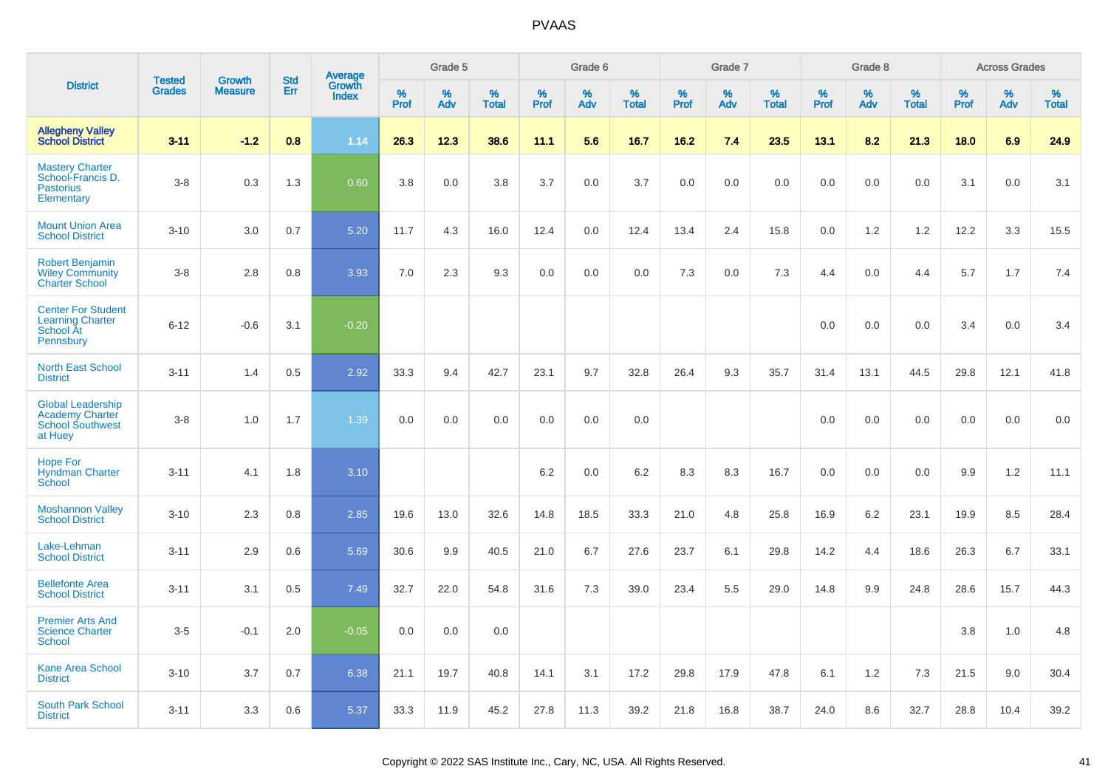|                                                                                          | <b>Tested</b> | <b>Growth</b>  | <b>Std</b> |                                   |                     | Grade 5  |                   |                     | Grade 6  |                   |              | Grade 7  |                   |              | Grade 8  |                   |              | <b>Across Grades</b> |                   |
|------------------------------------------------------------------------------------------|---------------|----------------|------------|-----------------------------------|---------------------|----------|-------------------|---------------------|----------|-------------------|--------------|----------|-------------------|--------------|----------|-------------------|--------------|----------------------|-------------------|
| <b>District</b>                                                                          | <b>Grades</b> | <b>Measure</b> | Err        | Average<br>Growth<br><b>Index</b> | $\%$<br><b>Prof</b> | %<br>Adv | %<br><b>Total</b> | $\%$<br><b>Prof</b> | %<br>Adv | %<br><b>Total</b> | $\%$<br>Prof | %<br>Adv | %<br><b>Total</b> | $\%$<br>Prof | %<br>Adv | %<br><b>Total</b> | $\%$<br>Prof | %<br>Adv             | %<br><b>Total</b> |
| <b>Allegheny Valley</b><br><b>School District</b>                                        | $3 - 11$      | $-1.2$         | 0.8        | 1.14                              | 26.3                | 12.3     | 38.6              | 11.1                | 5.6      | 16.7              | 16.2         | 7.4      | 23.5              | 13.1         | 8.2      | 21.3              | 18.0         | 6.9                  | 24.9              |
| <b>Mastery Charter</b><br>School-Francis D.<br><b>Pastorius</b><br>Elementary            | $3-8$         | 0.3            | 1.3        | 0.60                              | 3.8                 | 0.0      | 3.8               | 3.7                 | 0.0      | 3.7               | 0.0          | 0.0      | 0.0               | 0.0          | 0.0      | 0.0               | 3.1          | 0.0                  | 3.1               |
| <b>Mount Union Area</b><br><b>School District</b>                                        | $3 - 10$      | 3.0            | 0.7        | 5.20                              | 11.7                | 4.3      | 16.0              | 12.4                | 0.0      | 12.4              | 13.4         | 2.4      | 15.8              | 0.0          | 1.2      | 1.2               | 12.2         | 3.3                  | 15.5              |
| <b>Robert Benjamin</b><br><b>Wiley Community</b><br><b>Charter School</b>                | $3-8$         | 2.8            | 0.8        | 3.93                              | 7.0                 | 2.3      | 9.3               | 0.0                 | 0.0      | 0.0               | 7.3          | 0.0      | 7.3               | 4.4          | 0.0      | 4.4               | 5.7          | 1.7                  | 7.4               |
| <b>Center For Student</b><br><b>Learning Charter</b><br>School At<br>Pennsbury           | $6 - 12$      | $-0.6$         | 3.1        | $-0.20$                           |                     |          |                   |                     |          |                   |              |          |                   | 0.0          | 0.0      | 0.0               | 3.4          | 0.0                  | 3.4               |
| <b>North East School</b><br><b>District</b>                                              | $3 - 11$      | 1.4            | 0.5        | 2.92                              | 33.3                | 9.4      | 42.7              | 23.1                | 9.7      | 32.8              | 26.4         | 9.3      | 35.7              | 31.4         | 13.1     | 44.5              | 29.8         | 12.1                 | 41.8              |
| <b>Global Leadership</b><br><b>Academy Charter</b><br><b>School Southwest</b><br>at Huey | $3 - 8$       | 1.0            | 1.7        | 1.39                              | 0.0                 | 0.0      | 0.0               | 0.0                 | 0.0      | 0.0               |              |          |                   | 0.0          | 0.0      | 0.0               | 0.0          | 0.0                  | 0.0               |
| <b>Hope For</b><br><b>Hyndman Charter</b><br>School                                      | $3 - 11$      | 4.1            | 1.8        | 3.10                              |                     |          |                   | 6.2                 | 0.0      | 6.2               | 8.3          | 8.3      | 16.7              | 0.0          | 0.0      | 0.0               | 9.9          | $1.2$                | 11.1              |
| <b>Moshannon Valley</b><br><b>School District</b>                                        | $3 - 10$      | 2.3            | 0.8        | 2.85                              | 19.6                | 13.0     | 32.6              | 14.8                | 18.5     | 33.3              | 21.0         | 4.8      | 25.8              | 16.9         | 6.2      | 23.1              | 19.9         | 8.5                  | 28.4              |
| Lake-Lehman<br><b>School District</b>                                                    | $3 - 11$      | 2.9            | 0.6        | 5.69                              | 30.6                | 9.9      | 40.5              | 21.0                | 6.7      | 27.6              | 23.7         | 6.1      | 29.8              | 14.2         | 4.4      | 18.6              | 26.3         | 6.7                  | 33.1              |
| <b>Bellefonte Area</b><br><b>School District</b>                                         | $3 - 11$      | 3.1            | 0.5        | 7.49                              | 32.7                | 22.0     | 54.8              | 31.6                | 7.3      | 39.0              | 23.4         | 5.5      | 29.0              | 14.8         | 9.9      | 24.8              | 28.6         | 15.7                 | 44.3              |
| <b>Premier Arts And</b><br><b>Science Charter</b><br>School                              | $3-5$         | $-0.1$         | 2.0        | $-0.05$                           | 0.0                 | 0.0      | 0.0               |                     |          |                   |              |          |                   |              |          |                   | 3.8          | 1.0                  | 4.8               |
| <b>Kane Area School</b><br><b>District</b>                                               | $3 - 10$      | 3.7            | 0.7        | 6.38                              | 21.1                | 19.7     | 40.8              | 14.1                | 3.1      | 17.2              | 29.8         | 17.9     | 47.8              | 6.1          | 1.2      | 7.3               | 21.5         | 9.0                  | 30.4              |
| <b>South Park School</b><br><b>District</b>                                              | $3 - 11$      | 3.3            | 0.6        | 5.37                              | 33.3                | 11.9     | 45.2              | 27.8                | 11.3     | 39.2              | 21.8         | 16.8     | 38.7              | 24.0         | 8.6      | 32.7              | 28.8         | 10.4                 | 39.2              |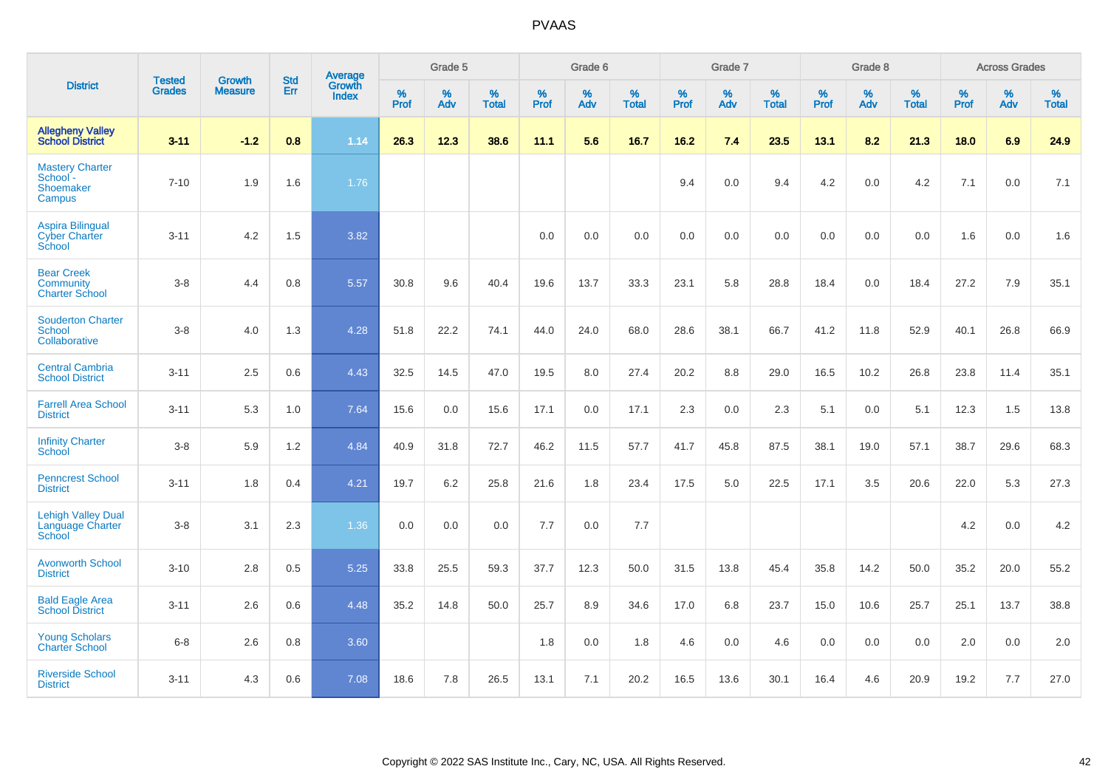|                                                            | <b>Tested</b> |                                 | <b>Std</b> | Average                |           | Grade 5  |                   |           | Grade 6  |                   |           | Grade 7  |                   |           | Grade 8  |                   |           | <b>Across Grades</b> |                   |
|------------------------------------------------------------|---------------|---------------------------------|------------|------------------------|-----------|----------|-------------------|-----------|----------|-------------------|-----------|----------|-------------------|-----------|----------|-------------------|-----------|----------------------|-------------------|
| <b>District</b>                                            | <b>Grades</b> | <b>Growth</b><br><b>Measure</b> | Err        | Growth<br><b>Index</b> | %<br>Prof | %<br>Adv | %<br><b>Total</b> | %<br>Prof | %<br>Adv | %<br><b>Total</b> | %<br>Prof | %<br>Adv | %<br><b>Total</b> | %<br>Prof | %<br>Adv | %<br><b>Total</b> | %<br>Prof | %<br>Adv             | %<br><b>Total</b> |
| <b>Allegheny Valley</b><br><b>School District</b>          | $3 - 11$      | $-1.2$                          | 0.8        | 1.14                   | 26.3      | 12.3     | 38.6              | 11.1      | 5.6      | 16.7              | 16.2      | 7.4      | 23.5              | 13.1      | 8.2      | 21.3              | 18.0      | 6.9                  | 24.9              |
| <b>Mastery Charter</b><br>School-<br>Shoemaker<br>Campus   | $7 - 10$      | 1.9                             | 1.6        | 1.76                   |           |          |                   |           |          |                   | 9.4       | 0.0      | 9.4               | 4.2       | 0.0      | 4.2               | 7.1       | 0.0                  | 7.1               |
| <b>Aspira Bilingual</b><br><b>Cyber Charter</b><br>School  | $3 - 11$      | 4.2                             | 1.5        | 3.82                   |           |          |                   | 0.0       | 0.0      | 0.0               | 0.0       | 0.0      | 0.0               | 0.0       | 0.0      | 0.0               | 1.6       | 0.0                  | 1.6               |
| <b>Bear Creek</b><br>Community<br><b>Charter School</b>    | $3 - 8$       | 4.4                             | 0.8        | 5.57                   | 30.8      | 9.6      | 40.4              | 19.6      | 13.7     | 33.3              | 23.1      | 5.8      | 28.8              | 18.4      | 0.0      | 18.4              | 27.2      | 7.9                  | 35.1              |
| <b>Souderton Charter</b><br><b>School</b><br>Collaborative | $3 - 8$       | 4.0                             | 1.3        | 4.28                   | 51.8      | 22.2     | 74.1              | 44.0      | 24.0     | 68.0              | 28.6      | 38.1     | 66.7              | 41.2      | 11.8     | 52.9              | 40.1      | 26.8                 | 66.9              |
| <b>Central Cambria</b><br><b>School District</b>           | $3 - 11$      | 2.5                             | 0.6        | 4.43                   | 32.5      | 14.5     | 47.0              | 19.5      | 8.0      | 27.4              | 20.2      | 8.8      | 29.0              | 16.5      | 10.2     | 26.8              | 23.8      | 11.4                 | 35.1              |
| <b>Farrell Area School</b><br><b>District</b>              | $3 - 11$      | 5.3                             | 1.0        | 7.64                   | 15.6      | 0.0      | 15.6              | 17.1      | 0.0      | 17.1              | 2.3       | 0.0      | 2.3               | 5.1       | 0.0      | 5.1               | 12.3      | 1.5                  | 13.8              |
| <b>Infinity Charter</b><br>School                          | $3 - 8$       | 5.9                             | 1.2        | 4.84                   | 40.9      | 31.8     | 72.7              | 46.2      | 11.5     | 57.7              | 41.7      | 45.8     | 87.5              | 38.1      | 19.0     | 57.1              | 38.7      | 29.6                 | 68.3              |
| <b>Penncrest School</b><br><b>District</b>                 | $3 - 11$      | 1.8                             | 0.4        | 4.21                   | 19.7      | 6.2      | 25.8              | 21.6      | 1.8      | 23.4              | 17.5      | 5.0      | 22.5              | 17.1      | 3.5      | 20.6              | 22.0      | 5.3                  | 27.3              |
| <b>Lehigh Valley Dual</b><br>Language Charter<br>School    | $3 - 8$       | 3.1                             | 2.3        | 1.36                   | 0.0       | 0.0      | 0.0               | 7.7       | 0.0      | 7.7               |           |          |                   |           |          |                   | 4.2       | 0.0                  | 4.2               |
| <b>Avonworth School</b><br><b>District</b>                 | $3 - 10$      | 2.8                             | 0.5        | 5.25                   | 33.8      | 25.5     | 59.3              | 37.7      | 12.3     | 50.0              | 31.5      | 13.8     | 45.4              | 35.8      | 14.2     | 50.0              | 35.2      | 20.0                 | 55.2              |
| <b>Bald Eagle Area</b><br><b>School District</b>           | $3 - 11$      | 2.6                             | 0.6        | 4.48                   | 35.2      | 14.8     | 50.0              | 25.7      | 8.9      | 34.6              | 17.0      | 6.8      | 23.7              | 15.0      | 10.6     | 25.7              | 25.1      | 13.7                 | 38.8              |
| <b>Young Scholars</b><br><b>Charter School</b>             | $6 - 8$       | 2.6                             | 0.8        | 3.60                   |           |          |                   | 1.8       | 0.0      | 1.8               | 4.6       | 0.0      | 4.6               | 0.0       | 0.0      | 0.0               | 2.0       | 0.0                  | 2.0               |
| <b>Riverside School</b><br><b>District</b>                 | $3 - 11$      | 4.3                             | 0.6        | 7.08                   | 18.6      | 7.8      | 26.5              | 13.1      | 7.1      | 20.2              | 16.5      | 13.6     | 30.1              | 16.4      | 4.6      | 20.9              | 19.2      | 7.7                  | 27.0              |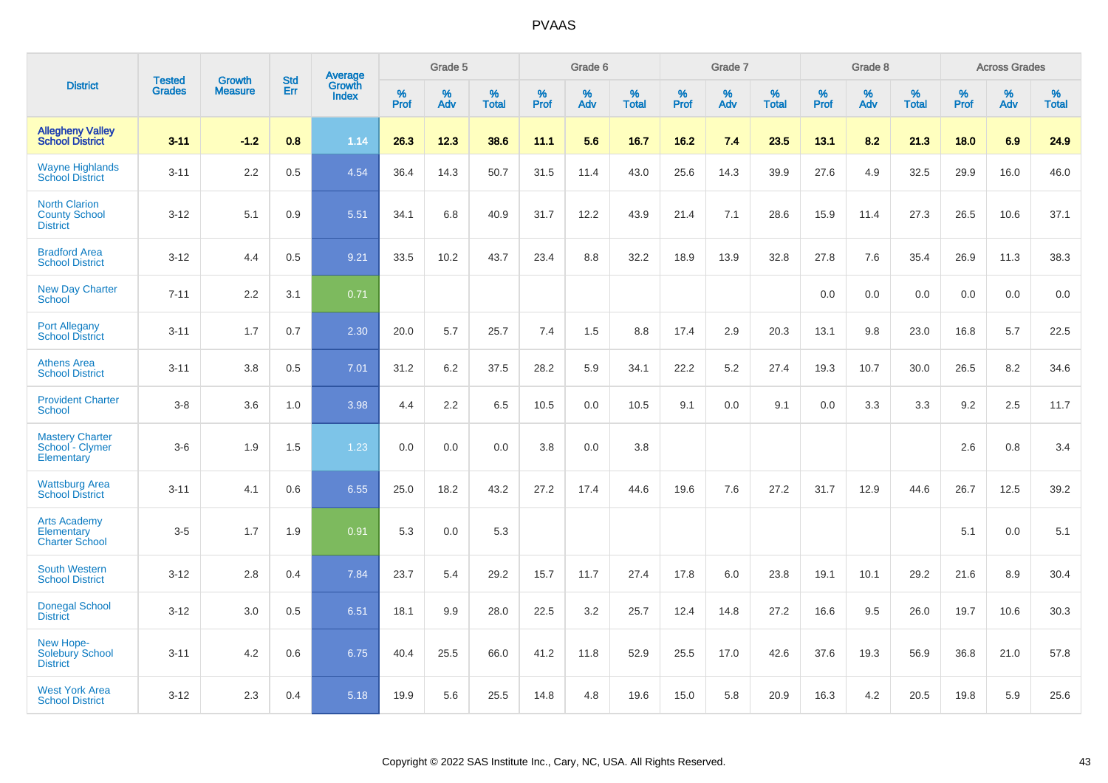|                                                                   |                                |                                 | <b>Std</b> | Average                       |                  | Grade 5  |                   |           | Grade 6  |                   |           | Grade 7  |                   |           | Grade 8  |                   |           | <b>Across Grades</b> |                   |
|-------------------------------------------------------------------|--------------------------------|---------------------------------|------------|-------------------------------|------------------|----------|-------------------|-----------|----------|-------------------|-----------|----------|-------------------|-----------|----------|-------------------|-----------|----------------------|-------------------|
| <b>District</b>                                                   | <b>Tested</b><br><b>Grades</b> | <b>Growth</b><br><b>Measure</b> | Err        | <b>Growth</b><br><b>Index</b> | %<br><b>Prof</b> | %<br>Adv | %<br><b>Total</b> | %<br>Prof | %<br>Adv | %<br><b>Total</b> | %<br>Prof | %<br>Adv | %<br><b>Total</b> | %<br>Prof | %<br>Adv | %<br><b>Total</b> | %<br>Prof | %<br>Adv             | %<br><b>Total</b> |
| <b>Allegheny Valley</b><br><b>School District</b>                 | $3 - 11$                       | $-1.2$                          | 0.8        | 1.14                          | 26.3             | 12.3     | 38.6              | 11.1      | 5.6      | 16.7              | 16.2      | 7.4      | 23.5              | 13.1      | 8.2      | 21.3              | 18.0      | 6.9                  | 24.9              |
| <b>Wayne Highlands</b><br><b>School District</b>                  | $3 - 11$                       | 2.2                             | 0.5        | 4.54                          | 36.4             | 14.3     | 50.7              | 31.5      | 11.4     | 43.0              | 25.6      | 14.3     | 39.9              | 27.6      | 4.9      | 32.5              | 29.9      | 16.0                 | 46.0              |
| <b>North Clarion</b><br><b>County School</b><br><b>District</b>   | $3-12$                         | 5.1                             | 0.9        | 5.51                          | 34.1             | 6.8      | 40.9              | 31.7      | 12.2     | 43.9              | 21.4      | 7.1      | 28.6              | 15.9      | 11.4     | 27.3              | 26.5      | 10.6                 | 37.1              |
| <b>Bradford Area</b><br><b>School District</b>                    | $3 - 12$                       | 4.4                             | 0.5        | 9.21                          | 33.5             | 10.2     | 43.7              | 23.4      | 8.8      | 32.2              | 18.9      | 13.9     | 32.8              | 27.8      | 7.6      | 35.4              | 26.9      | 11.3                 | 38.3              |
| <b>New Day Charter</b><br><b>School</b>                           | $7 - 11$                       | 2.2                             | 3.1        | 0.71                          |                  |          |                   |           |          |                   |           |          |                   | 0.0       | 0.0      | 0.0               | 0.0       | 0.0                  | 0.0               |
| <b>Port Allegany</b><br><b>School District</b>                    | $3 - 11$                       | 1.7                             | 0.7        | 2.30                          | 20.0             | 5.7      | 25.7              | 7.4       | 1.5      | 8.8               | 17.4      | 2.9      | 20.3              | 13.1      | 9.8      | 23.0              | 16.8      | 5.7                  | 22.5              |
| <b>Athens Area</b><br><b>School District</b>                      | $3 - 11$                       | 3.8                             | 0.5        | 7.01                          | 31.2             | 6.2      | 37.5              | 28.2      | 5.9      | 34.1              | 22.2      | 5.2      | 27.4              | 19.3      | 10.7     | 30.0              | 26.5      | 8.2                  | 34.6              |
| <b>Provident Charter</b><br><b>School</b>                         | $3-8$                          | 3.6                             | 1.0        | 3.98                          | 4.4              | 2.2      | 6.5               | 10.5      | 0.0      | 10.5              | 9.1       | 0.0      | 9.1               | 0.0       | 3.3      | 3.3               | 9.2       | 2.5                  | 11.7              |
| <b>Mastery Charter</b><br>School - Clymer<br>Elementary           | $3-6$                          | 1.9                             | 1.5        | 1.23                          | 0.0              | 0.0      | 0.0               | 3.8       | 0.0      | 3.8               |           |          |                   |           |          |                   | 2.6       | 0.8                  | 3.4               |
| <b>Wattsburg Area</b><br><b>School District</b>                   | $3 - 11$                       | 4.1                             | 0.6        | 6.55                          | 25.0             | 18.2     | 43.2              | 27.2      | 17.4     | 44.6              | 19.6      | 7.6      | 27.2              | 31.7      | 12.9     | 44.6              | 26.7      | 12.5                 | 39.2              |
| <b>Arts Academy</b><br><b>Elementary</b><br><b>Charter School</b> | $3-5$                          | 1.7                             | 1.9        | 0.91                          | 5.3              | 0.0      | 5.3               |           |          |                   |           |          |                   |           |          |                   | 5.1       | 0.0                  | 5.1               |
| <b>South Western</b><br><b>School District</b>                    | $3 - 12$                       | 2.8                             | 0.4        | 7.84                          | 23.7             | 5.4      | 29.2              | 15.7      | 11.7     | 27.4              | 17.8      | 6.0      | 23.8              | 19.1      | 10.1     | 29.2              | 21.6      | 8.9                  | 30.4              |
| <b>Donegal School</b><br><b>District</b>                          | $3 - 12$                       | 3.0                             | 0.5        | 6.51                          | 18.1             | 9.9      | 28.0              | 22.5      | 3.2      | 25.7              | 12.4      | 14.8     | 27.2              | 16.6      | 9.5      | 26.0              | 19.7      | 10.6                 | 30.3              |
| New Hope-<br>Solebury School<br><b>District</b>                   | $3 - 11$                       | 4.2                             | 0.6        | 6.75                          | 40.4             | 25.5     | 66.0              | 41.2      | 11.8     | 52.9              | 25.5      | 17.0     | 42.6              | 37.6      | 19.3     | 56.9              | 36.8      | 21.0                 | 57.8              |
| <b>West York Area</b><br><b>School District</b>                   | $3 - 12$                       | 2.3                             | 0.4        | 5.18                          | 19.9             | 5.6      | 25.5              | 14.8      | 4.8      | 19.6              | 15.0      | 5.8      | 20.9              | 16.3      | 4.2      | 20.5              | 19.8      | 5.9                  | 25.6              |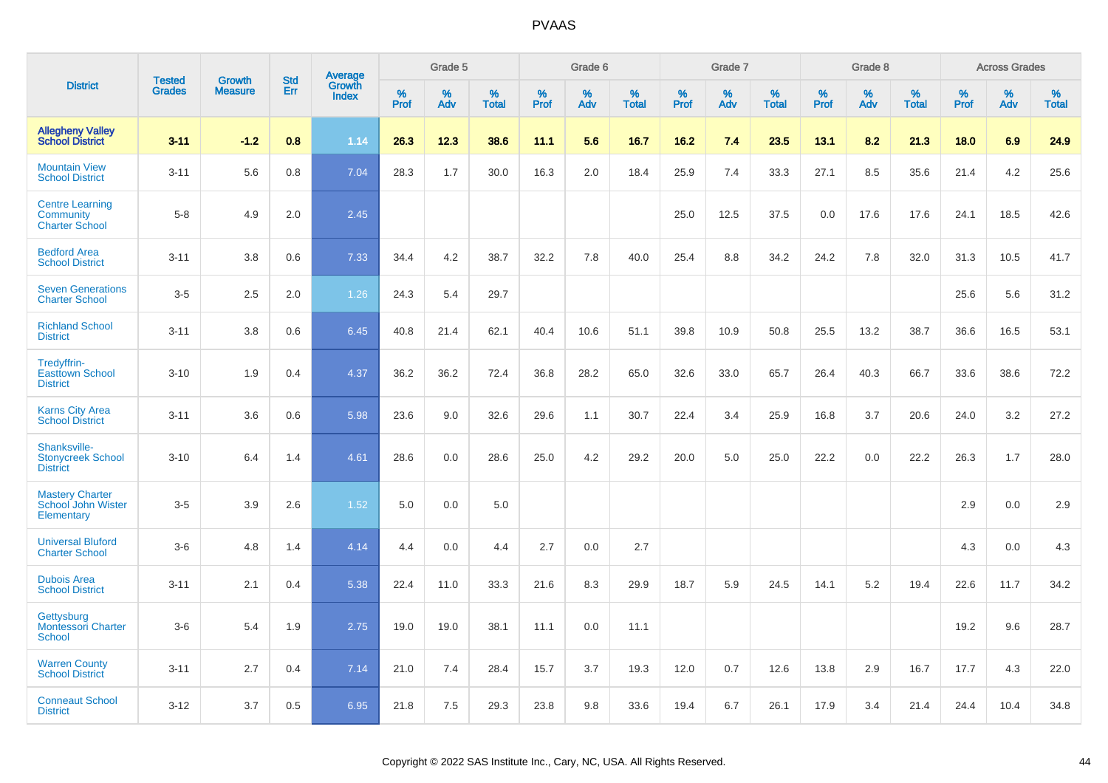|                                                              |                                |                                 | <b>Std</b> |                                   |                     | Grade 5  |                   |                     | Grade 6  |                   |              | Grade 7  |                   |                     | Grade 8  |                   |              | <b>Across Grades</b> |                      |
|--------------------------------------------------------------|--------------------------------|---------------------------------|------------|-----------------------------------|---------------------|----------|-------------------|---------------------|----------|-------------------|--------------|----------|-------------------|---------------------|----------|-------------------|--------------|----------------------|----------------------|
| <b>District</b>                                              | <b>Tested</b><br><b>Grades</b> | <b>Growth</b><br><b>Measure</b> | Err        | Average<br>Growth<br><b>Index</b> | $\%$<br><b>Prof</b> | %<br>Adv | %<br><b>Total</b> | $\%$<br><b>Prof</b> | %<br>Adv | %<br><b>Total</b> | $\%$<br>Prof | %<br>Adv | %<br><b>Total</b> | $\%$<br><b>Prof</b> | %<br>Adv | %<br><b>Total</b> | $\%$<br>Prof | %<br>Adv             | $\%$<br><b>Total</b> |
| <b>Allegheny Valley</b><br><b>School District</b>            | $3 - 11$                       | $-1.2$                          | 0.8        | 1.14                              | 26.3                | 12.3     | 38.6              | 11.1                | 5.6      | 16.7              | 16.2         | 7.4      | 23.5              | 13.1                | 8.2      | 21.3              | 18.0         | 6.9                  | 24.9                 |
| <b>Mountain View</b><br><b>School District</b>               | $3 - 11$                       | 5.6                             | 0.8        | 7.04                              | 28.3                | 1.7      | 30.0              | 16.3                | 2.0      | 18.4              | 25.9         | 7.4      | 33.3              | 27.1                | 8.5      | 35.6              | 21.4         | 4.2                  | 25.6                 |
| <b>Centre Learning</b><br>Community<br><b>Charter School</b> | $5 - 8$                        | 4.9                             | 2.0        | 2.45                              |                     |          |                   |                     |          |                   | 25.0         | 12.5     | 37.5              | 0.0                 | 17.6     | 17.6              | 24.1         | 18.5                 | 42.6                 |
| <b>Bedford Area</b><br><b>School District</b>                | $3 - 11$                       | 3.8                             | 0.6        | 7.33                              | 34.4                | 4.2      | 38.7              | 32.2                | 7.8      | 40.0              | 25.4         | 8.8      | 34.2              | 24.2                | 7.8      | 32.0              | 31.3         | 10.5                 | 41.7                 |
| <b>Seven Generations</b><br><b>Charter School</b>            | $3-5$                          | 2.5                             | 2.0        | 1.26                              | 24.3                | 5.4      | 29.7              |                     |          |                   |              |          |                   |                     |          |                   | 25.6         | 5.6                  | 31.2                 |
| <b>Richland School</b><br><b>District</b>                    | $3 - 11$                       | 3.8                             | 0.6        | 6.45                              | 40.8                | 21.4     | 62.1              | 40.4                | 10.6     | 51.1              | 39.8         | 10.9     | 50.8              | 25.5                | 13.2     | 38.7              | 36.6         | 16.5                 | 53.1                 |
| Tredyffrin-<br><b>Easttown School</b><br><b>District</b>     | $3 - 10$                       | 1.9                             | 0.4        | 4.37                              | 36.2                | 36.2     | 72.4              | 36.8                | 28.2     | 65.0              | 32.6         | 33.0     | 65.7              | 26.4                | 40.3     | 66.7              | 33.6         | 38.6                 | 72.2                 |
| <b>Karns City Area</b><br><b>School District</b>             | $3 - 11$                       | 3.6                             | 0.6        | 5.98                              | 23.6                | 9.0      | 32.6              | 29.6                | 1.1      | 30.7              | 22.4         | 3.4      | 25.9              | 16.8                | 3.7      | 20.6              | 24.0         | 3.2                  | 27.2                 |
| Shanksville-<br><b>Stonycreek School</b><br><b>District</b>  | $3 - 10$                       | 6.4                             | 1.4        | 4.61                              | 28.6                | 0.0      | 28.6              | 25.0                | 4.2      | 29.2              | 20.0         | 5.0      | 25.0              | 22.2                | 0.0      | 22.2              | 26.3         | 1.7                  | 28.0                 |
| <b>Mastery Charter</b><br>School John Wister<br>Elementary   | $3-5$                          | 3.9                             | 2.6        | 1.52                              | 5.0                 | 0.0      | 5.0               |                     |          |                   |              |          |                   |                     |          |                   | 2.9          | 0.0                  | 2.9                  |
| <b>Universal Bluford</b><br><b>Charter School</b>            | $3-6$                          | 4.8                             | 1.4        | 4.14                              | 4.4                 | 0.0      | 4.4               | 2.7                 | 0.0      | 2.7               |              |          |                   |                     |          |                   | 4.3          | 0.0                  | 4.3                  |
| <b>Dubois Area</b><br><b>School District</b>                 | $3 - 11$                       | 2.1                             | 0.4        | 5.38                              | 22.4                | 11.0     | 33.3              | 21.6                | 8.3      | 29.9              | 18.7         | 5.9      | 24.5              | 14.1                | 5.2      | 19.4              | 22.6         | 11.7                 | 34.2                 |
| Gettysburg<br><b>Montessori Charter</b><br>School            | $3-6$                          | 5.4                             | 1.9        | 2.75                              | 19.0                | 19.0     | 38.1              | 11.1                | 0.0      | 11.1              |              |          |                   |                     |          |                   | 19.2         | 9.6                  | 28.7                 |
| <b>Warren County</b><br><b>School District</b>               | $3 - 11$                       | 2.7                             | 0.4        | 7.14                              | 21.0                | 7.4      | 28.4              | 15.7                | 3.7      | 19.3              | 12.0         | 0.7      | 12.6              | 13.8                | 2.9      | 16.7              | 17.7         | 4.3                  | 22.0                 |
| <b>Conneaut School</b><br><b>District</b>                    | $3 - 12$                       | 3.7                             | 0.5        | 6.95                              | 21.8                | 7.5      | 29.3              | 23.8                | 9.8      | 33.6              | 19.4         | 6.7      | 26.1              | 17.9                | 3.4      | 21.4              | 24.4         | 10.4                 | 34.8                 |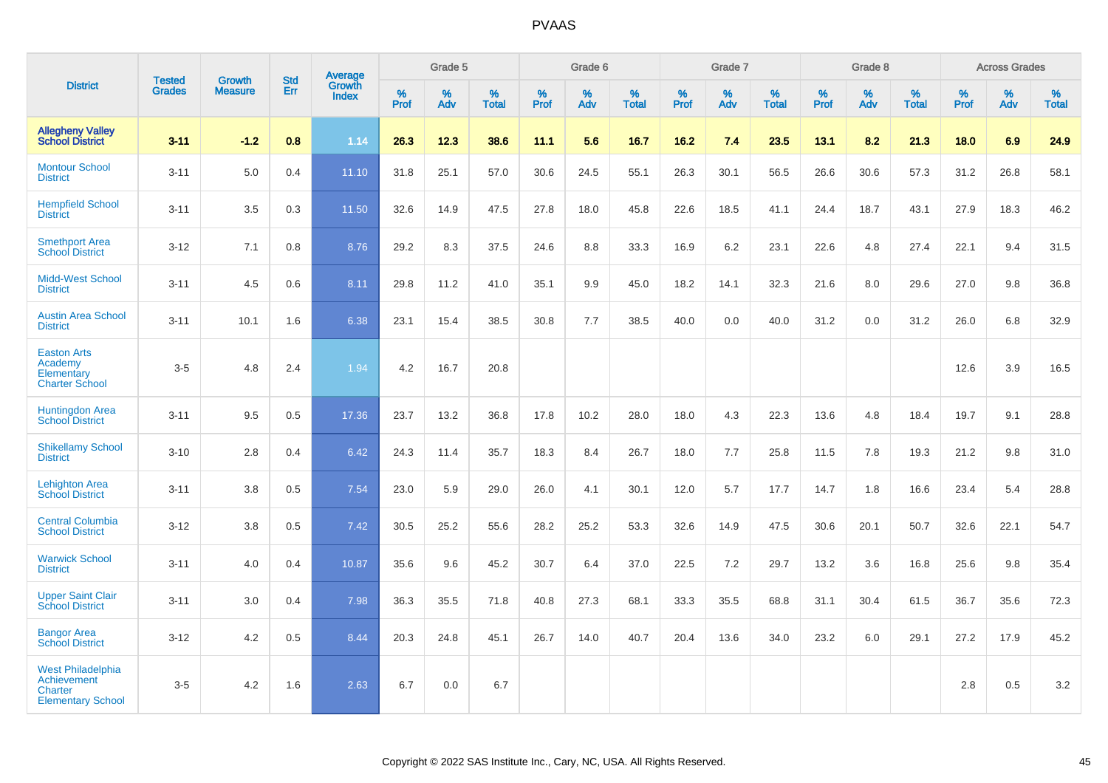|                                                                                |                                |                                 |                   | Average                |              | Grade 5  |                   |           | Grade 6  |                   |           | Grade 7  |                   |           | Grade 8  |                   |           | <b>Across Grades</b> |                   |
|--------------------------------------------------------------------------------|--------------------------------|---------------------------------|-------------------|------------------------|--------------|----------|-------------------|-----------|----------|-------------------|-----------|----------|-------------------|-----------|----------|-------------------|-----------|----------------------|-------------------|
| <b>District</b>                                                                | <b>Tested</b><br><b>Grades</b> | <b>Growth</b><br><b>Measure</b> | <b>Std</b><br>Err | Growth<br><b>Index</b> | $\%$<br>Prof | %<br>Adv | %<br><b>Total</b> | %<br>Prof | %<br>Adv | %<br><b>Total</b> | %<br>Prof | %<br>Adv | %<br><b>Total</b> | %<br>Prof | %<br>Adv | %<br><b>Total</b> | %<br>Prof | $\%$<br>Adv          | %<br><b>Total</b> |
| <b>Allegheny Valley</b><br><b>School District</b>                              | $3 - 11$                       | $-1.2$                          | 0.8               | 1.14                   | 26.3         | 12.3     | 38.6              | 11.1      | 5.6      | 16.7              | 16.2      | 7.4      | 23.5              | 13.1      | 8.2      | 21.3              | 18.0      | 6.9                  | 24.9              |
| <b>Montour School</b><br><b>District</b>                                       | $3 - 11$                       | 5.0                             | 0.4               | 11.10                  | 31.8         | 25.1     | 57.0              | 30.6      | 24.5     | 55.1              | 26.3      | 30.1     | 56.5              | 26.6      | 30.6     | 57.3              | 31.2      | 26.8                 | 58.1              |
| <b>Hempfield School</b><br><b>District</b>                                     | $3 - 11$                       | 3.5                             | 0.3               | 11.50                  | 32.6         | 14.9     | 47.5              | 27.8      | 18.0     | 45.8              | 22.6      | 18.5     | 41.1              | 24.4      | 18.7     | 43.1              | 27.9      | 18.3                 | 46.2              |
| <b>Smethport Area</b><br><b>School District</b>                                | $3 - 12$                       | 7.1                             | 0.8               | 8.76                   | 29.2         | 8.3      | 37.5              | 24.6      | 8.8      | 33.3              | 16.9      | 6.2      | 23.1              | 22.6      | 4.8      | 27.4              | 22.1      | 9.4                  | 31.5              |
| <b>Midd-West School</b><br><b>District</b>                                     | $3 - 11$                       | 4.5                             | 0.6               | 8.11                   | 29.8         | 11.2     | 41.0              | 35.1      | 9.9      | 45.0              | 18.2      | 14.1     | 32.3              | 21.6      | 8.0      | 29.6              | 27.0      | 9.8                  | 36.8              |
| <b>Austin Area School</b><br><b>District</b>                                   | $3 - 11$                       | 10.1                            | 1.6               | 6.38                   | 23.1         | 15.4     | 38.5              | 30.8      | 7.7      | 38.5              | 40.0      | 0.0      | 40.0              | 31.2      | 0.0      | 31.2              | 26.0      | 6.8                  | 32.9              |
| <b>Easton Arts</b><br>Academy<br>Elementary<br><b>Charter School</b>           | $3-5$                          | 4.8                             | 2.4               | 1.94                   | 4.2          | 16.7     | 20.8              |           |          |                   |           |          |                   |           |          |                   | 12.6      | 3.9                  | 16.5              |
| <b>Huntingdon Area</b><br><b>School District</b>                               | $3 - 11$                       | 9.5                             | 0.5               | 17.36                  | 23.7         | 13.2     | 36.8              | 17.8      | 10.2     | 28.0              | 18.0      | 4.3      | 22.3              | 13.6      | 4.8      | 18.4              | 19.7      | 9.1                  | 28.8              |
| <b>Shikellamy School</b><br><b>District</b>                                    | $3 - 10$                       | 2.8                             | 0.4               | 6.42                   | 24.3         | 11.4     | 35.7              | 18.3      | 8.4      | 26.7              | 18.0      | 7.7      | 25.8              | 11.5      | 7.8      | 19.3              | 21.2      | 9.8                  | 31.0              |
| <b>Lehighton Area</b><br><b>School District</b>                                | $3 - 11$                       | 3.8                             | 0.5               | 7.54                   | 23.0         | 5.9      | 29.0              | 26.0      | 4.1      | 30.1              | 12.0      | 5.7      | 17.7              | 14.7      | 1.8      | 16.6              | 23.4      | 5.4                  | 28.8              |
| <b>Central Columbia</b><br><b>School District</b>                              | $3 - 12$                       | 3.8                             | 0.5               | 7.42                   | 30.5         | 25.2     | 55.6              | 28.2      | 25.2     | 53.3              | 32.6      | 14.9     | 47.5              | 30.6      | 20.1     | 50.7              | 32.6      | 22.1                 | 54.7              |
| <b>Warwick School</b><br><b>District</b>                                       | $3 - 11$                       | 4.0                             | 0.4               | 10.87                  | 35.6         | 9.6      | 45.2              | 30.7      | 6.4      | 37.0              | 22.5      | 7.2      | 29.7              | 13.2      | 3.6      | 16.8              | 25.6      | 9.8                  | 35.4              |
| <b>Upper Saint Clair</b><br><b>School District</b>                             | $3 - 11$                       | 3.0                             | 0.4               | 7.98                   | 36.3         | 35.5     | 71.8              | 40.8      | 27.3     | 68.1              | 33.3      | 35.5     | 68.8              | 31.1      | 30.4     | 61.5              | 36.7      | 35.6                 | 72.3              |
| <b>Bangor Area</b><br><b>School District</b>                                   | $3 - 12$                       | 4.2                             | 0.5               | 8.44                   | 20.3         | 24.8     | 45.1              | 26.7      | 14.0     | 40.7              | 20.4      | 13.6     | 34.0              | 23.2      | 6.0      | 29.1              | 27.2      | 17.9                 | 45.2              |
| <b>West Philadelphia</b><br>Achievement<br>Charter<br><b>Elementary School</b> | $3-5$                          | 4.2                             | 1.6               | 2.63                   | 6.7          | 0.0      | 6.7               |           |          |                   |           |          |                   |           |          |                   | 2.8       | 0.5                  | 3.2               |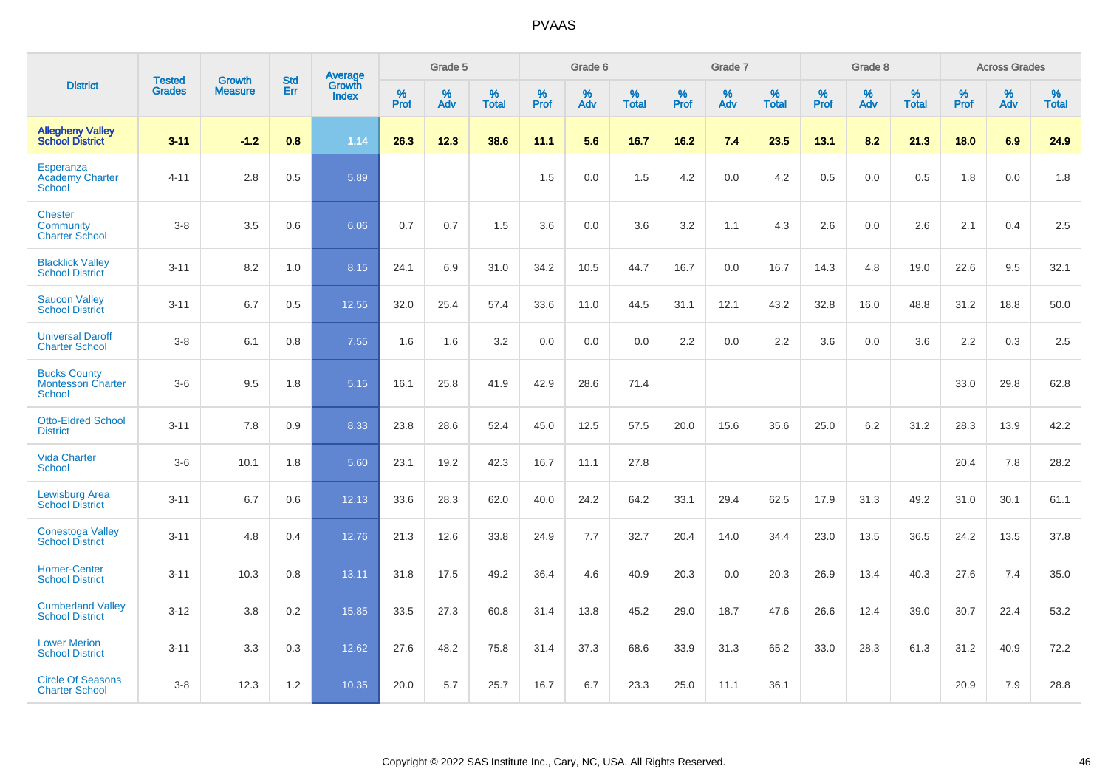|                                                                   | <b>Tested</b> | <b>Growth</b>  | <b>Std</b> | Average                       |           | Grade 5  |                   |           | Grade 6  |                   |           | Grade 7  |                   |           | Grade 8  |                   |           | <b>Across Grades</b> |                   |
|-------------------------------------------------------------------|---------------|----------------|------------|-------------------------------|-----------|----------|-------------------|-----------|----------|-------------------|-----------|----------|-------------------|-----------|----------|-------------------|-----------|----------------------|-------------------|
| <b>District</b>                                                   | <b>Grades</b> | <b>Measure</b> | Err        | <b>Growth</b><br><b>Index</b> | %<br>Prof | %<br>Adv | %<br><b>Total</b> | %<br>Prof | %<br>Adv | %<br><b>Total</b> | %<br>Prof | %<br>Adv | %<br><b>Total</b> | %<br>Prof | %<br>Adv | %<br><b>Total</b> | %<br>Prof | %<br>Adv             | %<br><b>Total</b> |
| <b>Allegheny Valley</b><br><b>School District</b>                 | $3 - 11$      | $-1.2$         | 0.8        | 1.14                          | 26.3      | 12.3     | 38.6              | 11.1      | 5.6      | 16.7              | 16.2      | 7.4      | 23.5              | 13.1      | 8.2      | 21.3              | 18.0      | 6.9                  | 24.9              |
| Esperanza<br><b>Academy Charter</b><br>School                     | $4 - 11$      | 2.8            | 0.5        | 5.89                          |           |          |                   | 1.5       | 0.0      | 1.5               | 4.2       | 0.0      | 4.2               | 0.5       | 0.0      | 0.5               | 1.8       | 0.0                  | 1.8               |
| <b>Chester</b><br>Community<br><b>Charter School</b>              | $3 - 8$       | 3.5            | 0.6        | 6.06                          | 0.7       | 0.7      | 1.5               | 3.6       | 0.0      | 3.6               | 3.2       | 1.1      | 4.3               | 2.6       | 0.0      | 2.6               | 2.1       | 0.4                  | 2.5               |
| <b>Blacklick Valley</b><br><b>School District</b>                 | $3 - 11$      | 8.2            | 1.0        | 8.15                          | 24.1      | 6.9      | 31.0              | 34.2      | 10.5     | 44.7              | 16.7      | 0.0      | 16.7              | 14.3      | 4.8      | 19.0              | 22.6      | 9.5                  | 32.1              |
| <b>Saucon Valley</b><br><b>School District</b>                    | $3 - 11$      | 6.7            | 0.5        | 12.55                         | 32.0      | 25.4     | 57.4              | 33.6      | 11.0     | 44.5              | 31.1      | 12.1     | 43.2              | 32.8      | 16.0     | 48.8              | 31.2      | 18.8                 | 50.0              |
| <b>Universal Daroff</b><br><b>Charter School</b>                  | $3 - 8$       | 6.1            | 0.8        | 7.55                          | 1.6       | 1.6      | 3.2               | 0.0       | 0.0      | 0.0               | 2.2       | 0.0      | 2.2               | 3.6       | 0.0      | 3.6               | 2.2       | 0.3                  | 2.5               |
| <b>Bucks County</b><br><b>Montessori Charter</b><br><b>School</b> | $3-6$         | 9.5            | 1.8        | 5.15                          | 16.1      | 25.8     | 41.9              | 42.9      | 28.6     | 71.4              |           |          |                   |           |          |                   | 33.0      | 29.8                 | 62.8              |
| <b>Otto-Eldred School</b><br><b>District</b>                      | $3 - 11$      | 7.8            | 0.9        | 8.33                          | 23.8      | 28.6     | 52.4              | 45.0      | 12.5     | 57.5              | 20.0      | 15.6     | 35.6              | 25.0      | 6.2      | 31.2              | 28.3      | 13.9                 | 42.2              |
| <b>Vida Charter</b><br><b>School</b>                              | $3-6$         | 10.1           | 1.8        | 5.60                          | 23.1      | 19.2     | 42.3              | 16.7      | 11.1     | 27.8              |           |          |                   |           |          |                   | 20.4      | 7.8                  | 28.2              |
| <b>Lewisburg Area</b><br><b>School District</b>                   | $3 - 11$      | 6.7            | 0.6        | 12.13                         | 33.6      | 28.3     | 62.0              | 40.0      | 24.2     | 64.2              | 33.1      | 29.4     | 62.5              | 17.9      | 31.3     | 49.2              | 31.0      | 30.1                 | 61.1              |
| <b>Conestoga Valley</b><br><b>School District</b>                 | $3 - 11$      | 4.8            | 0.4        | 12.76                         | 21.3      | 12.6     | 33.8              | 24.9      | 7.7      | 32.7              | 20.4      | 14.0     | 34.4              | 23.0      | 13.5     | 36.5              | 24.2      | 13.5                 | 37.8              |
| <b>Homer-Center</b><br><b>School District</b>                     | $3 - 11$      | 10.3           | 0.8        | 13.11                         | 31.8      | 17.5     | 49.2              | 36.4      | 4.6      | 40.9              | 20.3      | 0.0      | 20.3              | 26.9      | 13.4     | 40.3              | 27.6      | 7.4                  | 35.0              |
| <b>Cumberland Valley</b><br><b>School District</b>                | $3 - 12$      | 3.8            | 0.2        | 15.85                         | 33.5      | 27.3     | 60.8              | 31.4      | 13.8     | 45.2              | 29.0      | 18.7     | 47.6              | 26.6      | 12.4     | 39.0              | 30.7      | 22.4                 | 53.2              |
| <b>Lower Merion</b><br><b>School District</b>                     | $3 - 11$      | 3.3            | 0.3        | 12.62                         | 27.6      | 48.2     | 75.8              | 31.4      | 37.3     | 68.6              | 33.9      | 31.3     | 65.2              | 33.0      | 28.3     | 61.3              | 31.2      | 40.9                 | 72.2              |
| <b>Circle Of Seasons</b><br><b>Charter School</b>                 | $3 - 8$       | 12.3           | 1.2        | 10.35                         | 20.0      | 5.7      | 25.7              | 16.7      | 6.7      | 23.3              | 25.0      | 11.1     | 36.1              |           |          |                   | 20.9      | 7.9                  | 28.8              |